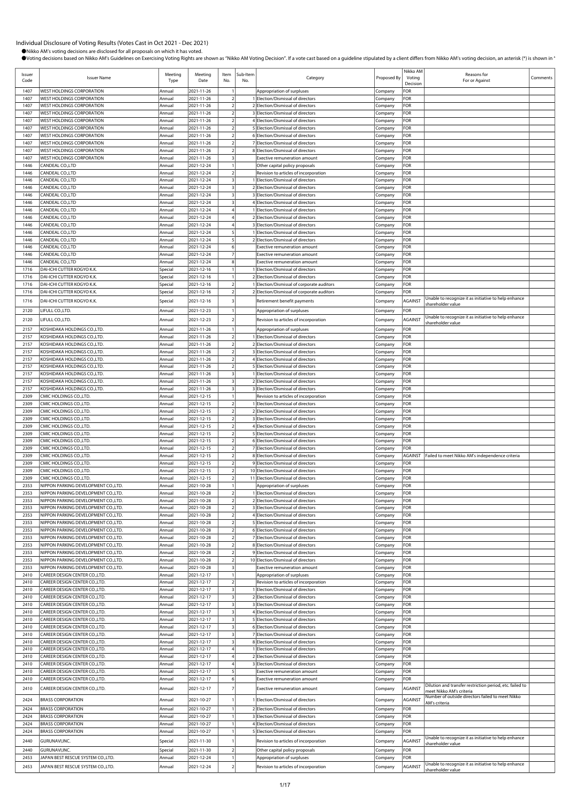| Issuer<br>Code | <b>Issuer Name</b>                                                          | Meeting<br>Type    | Meeting<br>Date          | Item<br>No.                                        | Sub-Item<br>No. | Category                                                                 | Proposed By        | Nikko AM<br>Voting<br>Decision | Reasons for<br>For or Against                                     | Comments |
|----------------|-----------------------------------------------------------------------------|--------------------|--------------------------|----------------------------------------------------|-----------------|--------------------------------------------------------------------------|--------------------|--------------------------------|-------------------------------------------------------------------|----------|
| 1407           | <b>WEST HOLDINGS CORPORATION</b>                                            | Annual             | 2021-11-26               |                                                    |                 | Appropriation of surpluses                                               | Company            | FOR                            |                                                                   |          |
| 1407           | <b>WEST HOLDINGS CORPORATION</b>                                            | Annual             | 2021-11-26               | $\overline{2}$                                     |                 | Election/Dismissal of directors                                          | Company            | FOR                            |                                                                   |          |
| 1407<br>1407   | <b>WEST HOLDINGS CORPORATION</b><br>WEST HOLDINGS CORPORATION               | Annual<br>Annual   | 2021-11-26<br>2021-11-26 | $\overline{2}$<br>$\overline{2}$                   |                 | 2 Election/Dismissal of directors<br>3 Election/Dismissal of directors   | Company            | FOR<br>FOR                     |                                                                   |          |
| 1407           | WEST HOLDINGS CORPORATION                                                   | Annual             | 2021-11-26               | $\overline{2}$                                     |                 | Election/Dismissal of directors                                          | Company<br>Company | For                            |                                                                   |          |
| 1407           | WEST HOLDINGS CORPORATION                                                   | Annual             | 2021-11-26               | $\overline{2}$                                     |                 | 5 Election/Dismissal of directors                                        | Company            | For                            |                                                                   |          |
| 1407           | <b>WEST HOLDINGS CORPORATION</b>                                            | Annual             | 2021-11-26               |                                                    |                 | 6 Election/Dismissal of directors                                        | Company            | FOR                            |                                                                   |          |
| 1407           | WEST HOLDINGS CORPORATION                                                   | Annual             | 2021-11-26               | $\overline{2}$                                     |                 | 7 Election/Dismissal of directors                                        | Company            | FOR                            |                                                                   |          |
| 1407           | WEST HOLDINGS CORPORATION                                                   | Annual             | 2021-11-26               | $\overline{2}$                                     |                 | 8 Election/Dismissal of directors                                        | Company            | FOR                            |                                                                   |          |
| 1407<br>1446   | WEST HOLDINGS CORPORATION<br>CANDEAL CO.,LTD                                | Annual<br>Annual   | 2021-11-26<br>2021-12-24 |                                                    |                 | Exective remuneration amount                                             | Company            | FOR<br>For                     |                                                                   |          |
| 1446           | CANDEAL CO.,LTD                                                             | Annual             | 2021-12-24               | $\overline{2}$                                     |                 | Other capital policy proposals<br>Revision to articles of incorporation  | Company<br>Company | FOR                            |                                                                   |          |
| 1446           | CANDEAL CO.,LTD                                                             | Annual             | 2021-12-24               | $\overline{\mathbf{3}}$                            |                 | 1 Election/Dismissal of directors                                        | Company            | FOR                            |                                                                   |          |
| 1446           | CANDEAL CO.,LTD                                                             | Annual             | 2021-12-24               | $\overline{\mathbf{3}}$                            |                 | Election/Dismissal of directors                                          | Company            | FOR                            |                                                                   |          |
| 1446           | CANDEAL CO.,LTD                                                             | Annual             | 2021-12-24               | $\overline{\mathbf{3}}$                            |                 | Election/Dismissal of directors                                          | Company            | For                            |                                                                   |          |
| 1446           | CANDEAL CO.,LTD                                                             | Annual             | 2021-12-24               | $\overline{\mathbf{3}}$                            |                 | 4 Election/Dismissal of directors                                        | Company            | FOR                            |                                                                   |          |
| 1446           | CANDEAL CO.,LTD                                                             | Annual             | 2021-12-24               | $\overline{4}$                                     |                 | Election/Dismissal of directors                                          | Company            | FOR                            |                                                                   |          |
| 1446<br>1446   | CANDEAL CO.,LTD<br>CANDEAL CO.,LTD                                          | Annual<br>Annual   | 2021-12-24<br>2021-12-24 |                                                    |                 | 2 Election/Dismissal of directors<br>3 Election/Dismissal of directors   | Company<br>Company | FOR<br>FOR                     |                                                                   |          |
| 1446           | CANDEAL CO.,LTD                                                             | Annual             | 2021-12-24               |                                                    |                 | Election/Dismissal of directors                                          | Company            | FOR                            |                                                                   |          |
| 1446           | CANDEAL CO.,LTD                                                             | Annual             | 2021-12-24               | 5                                                  |                 | 2 Election/Dismissal of directors                                        | Company            | For                            |                                                                   |          |
| 1446           | CANDEAL CO.,LTD                                                             | Annual             | 2021-12-24               | 6                                                  |                 | Exective remuneration amount                                             | Company            | FOR                            |                                                                   |          |
| 1446           | CANDEAL CO.,LTD                                                             | Annual             | 2021-12-24               | $\overline{7}$                                     |                 | <b>Exective remuneration amount</b>                                      | Company            | FOR                            |                                                                   |          |
| 1446           | CANDEAL CO.,LTD                                                             | Annual             | 2021-12-24               | 8                                                  |                 | <b>Exective remuneration amount</b>                                      | Company            | FOR                            |                                                                   |          |
| 1716<br>1716   | DAI-ICHI CUTTER KOGYO K.K.<br>DAI-ICHI CUTTER KOGYO K.K.                    | Special<br>Special | 2021-12-16<br>2021-12-16 |                                                    |                 | Election/Dismissal of directors<br>2 Election/Dismissal of directors     | Company<br>Company | FOR<br>For                     |                                                                   |          |
| 1716           | DAI-ICHI CUTTER KOGYO K.K.                                                  | Special            | 2021-12-16               | $\overline{\mathbf{2}}$                            |                 | Election/Dismissal of corporate auditors                                 | Company            | FOR                            |                                                                   |          |
| 1716           | DAI-ICHI CUTTER KOGYO K.K.                                                  | Special            | 2021-12-16               | $\overline{2}$                                     |                 | 2 Election/Dismissal of corporate auditors                               | Company            | FOR                            |                                                                   |          |
| 1716           | DAI-ICHI CUTTER KOGYO K.K.                                                  | Special            | 2021-12-16               |                                                    |                 | Retirement benefit payments                                              | Company            | AGAINST                        | Unable to recognize it as initiative to help enhance              |          |
| 2120           | LIFULL CO.,LTD.                                                             | Annual             | 2021-12-23               |                                                    |                 | Appropriation of surpluses                                               | Company            | FOR                            | shareholder value                                                 |          |
| 2120           | LIFULL CO.,LTD.                                                             | Annual             | 2021-12-23               |                                                    |                 | Revision to articles of incorporation                                    |                    | AGAINST                        | Unable to recognize it as initiative to help enhance              |          |
|                | KOSHIDAKA HOLDINGS CO.,LTD.                                                 |                    |                          |                                                    |                 |                                                                          | Company            | FOR                            | shareholder value                                                 |          |
| 2157<br>2157   | KOSHIDAKA HOLDINGS CO.,LTD.                                                 | Annual<br>Annual   | 2021-11-26<br>2021-11-26 | $\mathcal{I}$                                      |                 | Appropriation of surpluses<br>Election/Dismissal of directors            | Company<br>Company | FOR                            |                                                                   |          |
| 2157           | KOSHIDAKA HOLDINGS CO.,LTD.                                                 | Annual             | 2021-11-26               |                                                    |                 | 2 Election/Dismissal of directors                                        | Company            | FOR                            |                                                                   |          |
| 2157           | KOSHIDAKA HOLDINGS CO.,LTD.                                                 | Annual             | 2021-11-26               | $\overline{2}$                                     |                 | 3 Election/Dismissal of directors                                        | Company            | FOR                            |                                                                   |          |
| 2157           | KOSHIDAKA HOLDINGS CO.,LTD.                                                 | Annual             | 2021-11-26               | $\overline{2}$                                     |                 | 4 Election/Dismissal of directors                                        | Company            | FOR                            |                                                                   |          |
| 2157           | KOSHIDAKA HOLDINGS CO.,LTD.                                                 | Annual             | 2021-11-26               |                                                    |                 | Election/Dismissal of directors                                          | Company            | FOR                            |                                                                   |          |
| 2157           | KOSHIDAKA HOLDINGS CO.,LTD.                                                 | Annual             | 2021-11-26               | $\overline{\mathbf{3}}$                            |                 | 1 Election/Dismissal of directors                                        | Company            | FOR                            |                                                                   |          |
| 2157<br>2157   | KOSHIDAKA HOLDINGS CO.,LTD.<br>KOSHIDAKA HOLDINGS CO.,LTD.                  | Annual<br>Annual   | 2021-11-26<br>2021-11-26 | 3<br>$\overline{\mathbf{3}}$                       |                 | 2 Election/Dismissal of directors<br>3 Election/Dismissal of directors   | Company            | FOR<br>FOR                     |                                                                   |          |
| 2309           | CMIC HOLDINGS CO., LTD.                                                     | Annual             | 2021-12-15               |                                                    |                 | Revision to articles of incorporation                                    | Company<br>Company | FOR                            |                                                                   |          |
| 2309           | CMIC HOLDINGS CO., LTD.                                                     | Annual             | 2021-12-15               |                                                    |                 | Election/Dismissal of directors                                          | Company            | FOR                            |                                                                   |          |
| 2309           | CMIC HOLDINGS CO., LTD.                                                     | Annual             | 2021-12-15               | $\overline{2}$                                     |                 | 2 Election/Dismissal of directors                                        | Company            | FOR                            |                                                                   |          |
| 2309           | CMIC HOLDINGS CO., LTD.                                                     | Annual             | 2021-12-15               |                                                    |                 | 3 Election/Dismissal of directors                                        | Company            | FOR                            |                                                                   |          |
| 2309<br>2309   | CMIC HOLDINGS CO., LTD.<br>CMIC HOLDINGS CO.,LTD.                           | Annual<br>Annual   | 2021-12-15<br>2021-12-15 | $\overline{2}$<br>$\overline{2}$                   |                 | 4 Election/Dismissal of directors<br>5 Election/Dismissal of directors   | Company            | FOR<br>FOR                     |                                                                   |          |
| 2309           | CMIC HOLDINGS CO., LTD.                                                     | Annual             | 2021-12-15               | $\mathcal{I}$                                      |                 | 6 Election/Dismissal of directors                                        | Company<br>Company | FOR                            |                                                                   |          |
| 2309           | CMIC HOLDINGS CO., LTD.                                                     | Annual             | 2021-12-15               | $\overline{2}$                                     |                 | 7 Election/Dismissal of directors                                        | Company            | FOR                            |                                                                   |          |
| 2309           | CMIC HOLDINGS CO., LTD.                                                     | Annual             | 2021-12-15               |                                                    |                 | 8 Election/Dismissal of directors                                        | Company            | AGAINST                        | Failed to meet Nikko AM's independence criteria                   |          |
| 2309           | CMIC HOLDINGS CO., LTD.                                                     | Annual             | 2021-12-15               | $\overline{2}$                                     |                 | 9 Election/Dismissal of directors                                        | Company            | FOR                            |                                                                   |          |
| 2309           | CMIC HOLDINGS CO., LTD.                                                     | Annual             | 2021-12-15               | $\overline{2}$                                     |                 | 10 Election/Dismissal of directors                                       | Company            | FOR                            |                                                                   |          |
| 2309<br>2353   | CMIC HOLDINGS CO., LTD.<br>NIPPON PARKING DEVELOPMENT CO.,LTD.              | Annua<br>Annual    | 2021-12-15<br>2021-10-28 |                                                    | 11              | Election/Dismissal of directors<br>Appropriation of surpluses            | Company<br>Company | FOR<br>FOR                     |                                                                   |          |
| 2353           | NIPPON PARKING DEVELOPMENT CO.,LTD.                                         | Annual             | 2021-10-28               | $\overline{a}$                                     |                 | 1 Election/Dismissal of directors                                        | Company            | FOR                            |                                                                   |          |
| 2353           | NIPPON PARKING DEVELOPMENT CO.,LTD.                                         | Annual             | 2021-10-28               | $\overline{2}$                                     |                 | 2 Election/Dismissal of directors                                        | Company            | FOR                            |                                                                   |          |
| 2353           | NIPPON PARKING DEVELOPMENT CO.,LTD.                                         | Annual             | 2021-10-28               | $\overline{2}$                                     |                 | 3 Election/Dismissal of directors                                        | Company            | FOR                            |                                                                   |          |
| 2353           | NIPPON PARKING DEVELOPMENT CO.,LTD.                                         | Annual             | 2021-10-28               | $\overline{2}$                                     |                 | Election/Dismissal of directors                                          | Company            | FOR                            |                                                                   |          |
| 2353           | NIPPON PARKING DEVELOPMENT CO.,LTD.                                         | Annual             | 2021-10-28               | $\overline{2}$                                     |                 | 5 Election/Dismissal of directors                                        | Company            | FOR                            |                                                                   |          |
| 2353<br>2353   | NIPPON PARKING DEVELOPMENT CO., LTD.<br>NIPPON PARKING DEVELOPMENT CO.,LTD. | Annual<br>Annual   | 2021-10-28<br>2021-10-28 | $\overline{2}$                                     |                 | 6 Election/Dismissal of directors<br>7 Election/Dismissal of directors   | Company<br>Company | FOR<br>FOR                     |                                                                   |          |
| 2353           | NIPPON PARKING DEVELOPMENT CO.,LTD.                                         | Annual             | 2021-10-28               | $\overline{2}$                                     |                 | 8 Election/Dismissal of directors                                        | Company            | FOR                            |                                                                   |          |
| 2353           | NIPPON PARKING DEVELOPMENT CO.,LTD.                                         | Annual             | 2021-10-28               |                                                    |                 | 9 Election/Dismissal of directors                                        | Company            | FOR                            |                                                                   |          |
| 2353           | NIPPON PARKING DEVELOPMENT CO., LTD.                                        | Annual             | 2021-10-28               | $\overline{2}$                                     |                 | 10 Election/Dismissal of directors                                       | Company            | For                            |                                                                   |          |
| 2353           | NIPPON PARKING DEVELOPMENT CO., LTD.                                        | Annual             | 2021-10-28               | $\overline{\mathbf{3}}$                            |                 | Exective remuneration amount                                             | Company            | FOR                            |                                                                   |          |
| 2410           | CAREER DESIGN CENTER CO., LTD.                                              | Annual             | 2021-12-17<br>2021-12-17 | $\overline{1}$<br>$\overline{2}$                   |                 | Appropriation of surpluses                                               | Company            | FOR                            |                                                                   |          |
| 2410<br>2410   | CAREER DESIGN CENTER CO., LTD.<br>CAREER DESIGN CENTER CO., LTD.            | Annual<br>Annual   | 2021-12-17               | $\overline{\mathbf{3}}$                            |                 | Revision to articles of incorporation<br>Election/Dismissal of directors | Company<br>Company | FOR<br>FOR                     |                                                                   |          |
| 2410           | CAREER DESIGN CENTER CO., LTD.                                              | Annual             | 2021-12-17               | $\overline{\mathbf{3}}$                            |                 | 2 Election/Dismissal of directors                                        | Company            | FOR                            |                                                                   |          |
| 2410           | CAREER DESIGN CENTER CO., LTD.                                              | Annual             | 2021-12-17               | $\overline{\mathbf{3}}$                            |                 | 3 Election/Dismissal of directors                                        | Company            | FOR                            |                                                                   |          |
| 2410           | CAREER DESIGN CENTER CO., LTD.                                              | Annual             | 2021-12-17               | $\overline{\mathbf{3}}$                            |                 | 4 Election/Dismissal of directors                                        | Company            | FOR                            |                                                                   |          |
| 2410           | CAREER DESIGN CENTER CO., LTD.                                              | Annual             | 2021-12-17               | $\overline{\mathbf{3}}$                            |                 | 5 Election/Dismissal of directors                                        | Company            | FOR                            |                                                                   |          |
| 2410           | CAREER DESIGN CENTER CO., LTD.                                              | Annual             | 2021-12-17               | 3                                                  |                 | 6 Election/Dismissal of directors                                        | Company            | FOR                            |                                                                   |          |
| 2410<br>2410   | CAREER DESIGN CENTER CO., LTD.<br>CAREER DESIGN CENTER CO., LTD.            | Annual<br>Annual   | 2021-12-17<br>2021-12-17 | $\overline{\mathbf{3}}$<br>$\overline{\mathbf{3}}$ |                 | 7 Election/Dismissal of directors<br>8 Election/Dismissal of directors   | Company<br>Company | FOR<br>FOR                     |                                                                   |          |
| 2410           | CAREER DESIGN CENTER CO., LTD.                                              | Annual             | 2021-12-17               |                                                    |                 | 1 Election/Dismissal of directors                                        | Company            | FOR                            |                                                                   |          |
| 2410           | CAREER DESIGN CENTER CO., LTD.                                              | Annual             | 2021-12-17               |                                                    |                 | Election/Dismissal of directors                                          | Company            | FOR                            |                                                                   |          |
| 2410           | CAREER DESIGN CENTER CO., LTD.                                              | Annual             | 2021-12-17               |                                                    |                 | 3 Election/Dismissal of directors                                        | Company            | FOR                            |                                                                   |          |
| 2410           | CAREER DESIGN CENTER CO., LTD.                                              | Annual             | 2021-12-17               | 5                                                  |                 | Exective remuneration amount                                             | Company            | FOR                            |                                                                   |          |
| 2410           | CAREER DESIGN CENTER CO., LTD.                                              | Annual             | 2021-12-17               | 6                                                  |                 | Exective remuneration amount                                             | Company            | FOR                            | Dilution and transfer restriction period, etc. failed to          |          |
| 2410           | CAREER DESIGN CENTER CO., LTD.                                              | Annual             | 2021-12-17               |                                                    |                 | Exective remuneration amount                                             | Company            | AGAINST                        | meet Nikko AM's criteria                                          |          |
| 2424           | <b>BRASS CORPORATION</b>                                                    | Annual             | 2021-10-27               |                                                    |                 | Election/Dismissal of directors                                          | Company            | AGAINST                        | Number of outside directors failed to meet Nikko<br>AM's criteria |          |
| 2424           | <b>BRASS CORPORATION</b>                                                    | Annual             | 2021-10-27               |                                                    |                 | 2 Election/Dismissal of directors                                        | Company            | FOR                            |                                                                   |          |
| 2424           | <b>BRASS CORPORATION</b>                                                    | Annual             | 2021-10-27               |                                                    |                 | 3 Election/Dismissal of directors                                        | Company            | FOR                            |                                                                   |          |
| 2424           | <b>BRASS CORPORATION</b>                                                    | Annual             | 2021-10-27               |                                                    |                 | 4 Election/Dismissal of directors                                        | Company            | FOR                            |                                                                   |          |
| 2424           | <b>BRASS CORPORATION</b>                                                    | Annual             | 2021-10-27               |                                                    |                 | 5 Election/Dismissal of directors                                        | Company            | FOR                            | Unable to recognize it as initiative to help enhance              |          |
| 2440           | GURUNAVI, INC.                                                              | Special            | 2021-11-30               |                                                    |                 | Revision to articles of incorporation                                    | Company            | AGAINST                        | shareholder value                                                 |          |
| 2440           | GURUNAVI, INC.                                                              | Special            | 2021-11-30               | $\overline{a}$                                     |                 | Other capital policy proposals                                           | Company            | FOR                            |                                                                   |          |
| 2453           | JAPAN BEST RESCUE SYSTEM CO.,LTD.                                           | Annual             | 2021-12-24               |                                                    |                 | Appropriation of surpluses                                               | Company            | FOR                            | Unable to recognize it as initiative to help enhance              |          |
| 2453           | JAPAN BEST RESCUE SYSTEM CO.,LTD.                                           | Annual             | 2021-12-24               |                                                    |                 | Revision to articles of incorporation                                    | Company            | AGAINST                        | shareholder value                                                 |          |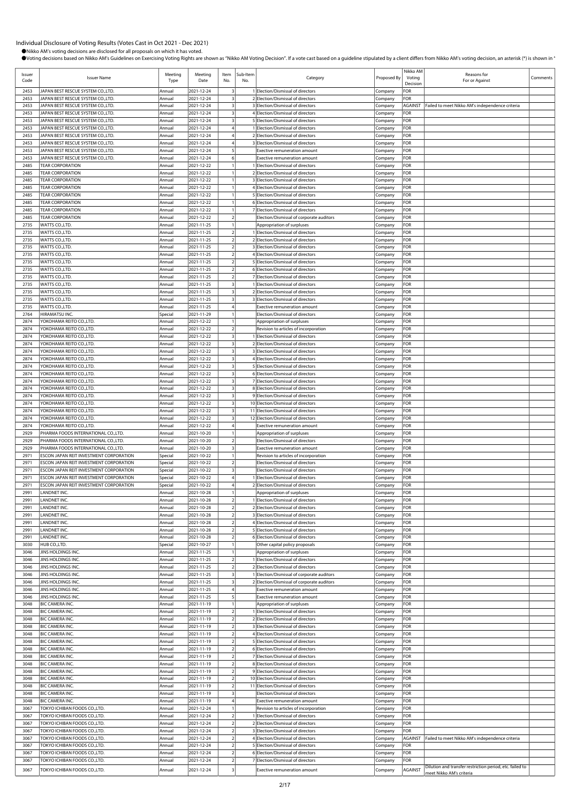| Issuer<br>Code | <b>Issuer Name</b>                                                                 | Meeting<br>Type    | Meeting<br>Date          | Item<br>No.                                        | Sub-Item<br>No. | Category                                                                        | Proposed By        | Nikko AM<br>Voting<br>Decision | Reasons for<br>For or Against                            | Comments |
|----------------|------------------------------------------------------------------------------------|--------------------|--------------------------|----------------------------------------------------|-----------------|---------------------------------------------------------------------------------|--------------------|--------------------------------|----------------------------------------------------------|----------|
| 2453           | JAPAN BEST RESCUE SYSTEM CO.,LTD.                                                  | Annual             | 2021-12-24               | 3                                                  |                 | 1 Election/Dismissal of directors                                               | Company            | FOR                            |                                                          |          |
| 2453           | JAPAN BEST RESCUE SYSTEM CO.,LTD.                                                  | Annual             | 2021-12-24               | $\overline{\mathbf{3}}$                            |                 | 2 Election/Dismissal of directors                                               | Company            | FOR                            |                                                          |          |
| 2453           | JAPAN BEST RESCUE SYSTEM CO.,LTD.                                                  | Annual             | 2021-12-24               | $\overline{\mathbf{3}}$                            |                 | 3 Election/Dismissal of directors                                               | Company            | AGAINST                        | Failed to meet Nikko AM's independence criteria          |          |
| 2453           | JAPAN BEST RESCUE SYSTEM CO.,LTD.                                                  | Annual             | 2021-12-24               | $\overline{\mathbf{3}}$                            |                 | 4 Election/Dismissal of directors                                               | Company            | FOR                            |                                                          |          |
| 2453           | JAPAN BEST RESCUE SYSTEM CO.,LTD.                                                  | Annual             | 2021-12-24               | $\overline{\mathbf{3}}$                            |                 | 5 Election/Dismissal of directors                                               | Company            | FOR                            |                                                          |          |
| 2453<br>2453   | JAPAN BEST RESCUE SYSTEM CO.,LTD.<br>JAPAN BEST RESCUE SYSTEM CO.,LTD.             | Annual<br>Annual   | 2021-12-24<br>2021-12-24 | $\overline{4}$                                     |                 | 1 Election/Dismissal of directors<br>2 Election/Dismissal of directors          | Company<br>Company | FOR<br>FOR                     |                                                          |          |
| 2453           | JAPAN BEST RESCUE SYSTEM CO.,LTD.                                                  | Annual             | 2021-12-24               | $\overline{4}$                                     |                 | 3 Election/Dismissal of directors                                               | Company            | FOR                            |                                                          |          |
| 2453           | JAPAN BEST RESCUE SYSTEM CO.,LTD.                                                  | Annual             | 2021-12-24               | 5                                                  |                 | Exective remuneration amount                                                    | Company            | FOR                            |                                                          |          |
| 2453           | JAPAN BEST RESCUE SYSTEM CO.,LTD.                                                  | Annual             | 2021-12-24               | 6                                                  |                 | Exective remuneration amount                                                    | Company            | FOR                            |                                                          |          |
| 2485           | <b>TEAR CORPORATION</b>                                                            | Annual             | 2021-12-22               |                                                    |                 | 1 Election/Dismissal of directors                                               | Company            | FOR                            |                                                          |          |
| 2485           | <b>TEAR CORPORATION</b>                                                            | Annual             | 2021-12-22               |                                                    |                 | 2 Election/Dismissal of directors                                               | Company            | FOR                            |                                                          |          |
| 2485           | <b>TEAR CORPORATION</b>                                                            | Annual             | 2021-12-22               |                                                    |                 | 3 Election/Dismissal of directors                                               | Company            | FOR                            |                                                          |          |
| 2485           | <b>TEAR CORPORATION</b>                                                            | Annual             | 2021-12-22               |                                                    |                 | 4 Election/Dismissal of directors                                               | Company            | FOR                            |                                                          |          |
| 2485<br>2485   | <b>TEAR CORPORATION</b><br><b>TEAR CORPORATION</b>                                 | Annual<br>Annual   | 2021-12-22<br>2021-12-22 |                                                    |                 | 5 Election/Dismissal of directors<br>6 Election/Dismissal of directors          | Company<br>Company | FOR<br>FOR                     |                                                          |          |
| 2485           | <b>TEAR CORPORATION</b>                                                            | Annual             | 2021-12-22               | $\mathbf{1}$                                       |                 | 7 Election/Dismissal of directors                                               | Company            | FOR                            |                                                          |          |
| 2485           | <b>TEAR CORPORATION</b>                                                            | Annual             | 2021-12-22               | $\overline{2}$                                     |                 | Election/Dismissal of corporate auditors                                        | Company            | FOR                            |                                                          |          |
| 2735           | WATTS CO.,LTD.                                                                     | Annual             | 2021-11-25               |                                                    |                 | Appropriation of surpluses                                                      | Company            | FOR                            |                                                          |          |
| 2735           | WATTS CO., LTD.                                                                    | Annual             | 2021-11-25               | $\overline{2}$                                     |                 | 1 Election/Dismissal of directors                                               | Company            | FOR                            |                                                          |          |
| 2735           | WATTS CO., LTD.                                                                    | Annual             | 2021-11-25               | $\overline{2}$                                     |                 | 2 Election/Dismissal of directors                                               | Company            | FOR                            |                                                          |          |
| 2735           | WATTS CO., LTD.                                                                    | Annual             | 2021-11-25               | $\overline{2}$                                     |                 | 3 Election/Dismissal of directors                                               | Company            | FOR                            |                                                          |          |
| 2735           | WATTS CO., LTD.                                                                    | Annual             | 2021-11-25               | $\overline{2}$<br>$\overline{2}$                   |                 | 4 Election/Dismissal of directors<br>5 Election/Dismissal of directors          | Company            | FOR                            |                                                          |          |
| 2735<br>2735   | WATTS CO., LTD.<br>WATTS CO., LTD.                                                 | Annual<br>Annual   | 2021-11-25<br>2021-11-25 | $\overline{2}$                                     |                 | 6 Election/Dismissal of directors                                               | Company<br>Company | FOR<br>FOR                     |                                                          |          |
| 2735           | WATTS CO., LTD.                                                                    | Annual             | 2021-11-25               | $\overline{2}$                                     |                 | 7 Election/Dismissal of directors                                               | Company            | FOR                            |                                                          |          |
| 2735           | WATTS CO.,LTD.                                                                     | Annual             | 2021-11-25               | $\overline{\mathbf{3}}$                            |                 | 1 Election/Dismissal of directors                                               | Company            | FOR                            |                                                          |          |
| 2735           | WATTS CO., LTD.                                                                    | Annual             | 2021-11-25               | $\overline{\mathbf{3}}$                            |                 | 2 Election/Dismissal of directors                                               | Company            | FOR                            |                                                          |          |
| 2735           | WATTS CO., LTD.                                                                    | Annual             | 2021-11-25               | $\overline{\mathbf{3}}$                            |                 | 3 Election/Dismissal of directors                                               | Company            | FOR                            |                                                          |          |
| 2735           | WATTS CO., LTD.                                                                    | Annual             | 2021-11-25               | 4                                                  |                 | Exective remuneration amount                                                    | Company            | FOR                            |                                                          |          |
| 2764<br>2874   | HIRAMATSU INC.                                                                     | Special<br>Annual  | 2021-11-29<br>2021-12-22 | $\mathbf{1}$                                       |                 | Election/Dismissal of directors                                                 | Company            | FOR<br>FOR                     |                                                          |          |
| 2874           | YOKOHAMA REITO CO.,LTD.<br>YOKOHAMA REITO CO.,LTD.                                 | Annual             | 2021-12-22               | $\overline{2}$                                     |                 | Appropriation of surpluses                                                      | Company            | FOR                            |                                                          |          |
| 2874           | YOKOHAMA REITO CO.,LTD.                                                            | Annual             | 2021-12-22               | $\overline{\mathbf{3}}$                            |                 | Revision to articles of incorporation<br>1 Election/Dismissal of directors      | Company<br>Company | FOR                            |                                                          |          |
| 2874           | YOKOHAMA REITO CO.,LTD.                                                            | Annual             | 2021-12-22               | $\overline{\mathbf{3}}$                            |                 | 2 Election/Dismissal of directors                                               | Company            | FOR                            |                                                          |          |
| 2874           | YOKOHAMA REITO CO.,LTD.                                                            | Annual             | 2021-12-22               | $\overline{\mathbf{3}}$                            |                 | 3 Election/Dismissal of directors                                               | Company            | FOR                            |                                                          |          |
| 2874           | YOKOHAMA REITO CO.,LTD                                                             | Annual             | 2021-12-22               | $\overline{\mathbf{3}}$                            |                 | 4 Election/Dismissal of directors                                               | Company            | FOR                            |                                                          |          |
| 2874           | YOKOHAMA REITO CO.,LTD.                                                            | Annual             | 2021-12-22               | $\overline{\mathbf{3}}$                            |                 | 5 Election/Dismissal of directors                                               | Company            | FOR                            |                                                          |          |
| 2874           | YOKOHAMA REITO CO.,LTD.                                                            | Annual             | 2021-12-22               | $\overline{\mathbf{3}}$                            |                 | 6 Election/Dismissal of directors                                               | Company            | FOR                            |                                                          |          |
| 2874           | YOKOHAMA REITO CO.,LTD.                                                            | Annual             | 2021-12-22               | $\overline{\mathbf{3}}$<br>$\overline{\mathbf{3}}$ |                 | 7 Election/Dismissal of directors                                               | Company            | FOR                            |                                                          |          |
| 2874<br>2874   | YOKOHAMA REITO CO.,LTD.<br>YOKOHAMA REITO CO.,LTD.                                 | Annual<br>Annual   | 2021-12-22<br>2021-12-22 | $\overline{\mathbf{3}}$                            |                 | 8 Election/Dismissal of directors<br>9 Election/Dismissal of directors          | Company<br>Company | FOR<br>FOR                     |                                                          |          |
| 2874           | YOKOHAMA REITO CO.,LTD.                                                            | Annual             | 2021-12-22               | $\overline{\mathbf{3}}$                            |                 | 10 Election/Dismissal of directors                                              | Company            | FOR                            |                                                          |          |
| 2874           | YOKOHAMA REITO CO.,LTD.                                                            | Annual             | 2021-12-22               | $\overline{\mathbf{3}}$                            |                 | 11 Election/Dismissal of directors                                              | Company            | FOR                            |                                                          |          |
| 2874           | YOKOHAMA REITO CO.,LTD.                                                            | Annual             | 2021-12-22               | $\overline{\mathbf{3}}$                            |                 | 12 Election/Dismissal of directors                                              | Company            | FOR                            |                                                          |          |
| 2874           | YOKOHAMA REITO CO.,LTD.                                                            | Annual             | 2021-12-22               | $\overline{4}$                                     |                 | Exective remuneration amount                                                    | Company            | FOR                            |                                                          |          |
| 2929           | PHARMA FOODS INTERNATIONAL CO.,LTD.                                                | Annual             | 2021-10-20               | $\mathbf{1}$                                       |                 | Appropriation of surpluses                                                      | Company            | FOR                            |                                                          |          |
| 2929           | PHARMA FOODS INTERNATIONAL CO.,LTD.                                                | Annual             | 2021-10-20               | $\overline{2}$                                     |                 | Election/Dismissal of directors                                                 | Company            | FOR                            |                                                          |          |
| 2929<br>2971   | PHARMA FOODS INTERNATIONAL CO.,LTD.                                                | Annual             | 2021-10-20               | $\overline{\mathbf{3}}$                            |                 | Exective remuneration amount<br>Revision to articles of incorporation           | Company            | FOR<br>FOR                     |                                                          |          |
| 2971           | ESCON JAPAN REIT INVESTMENT CORPORATION<br>ESCON JAPAN REIT INVESTMENT CORPORATION | Special<br>Special | 2021-10-22<br>2021-10-22 | $\overline{2}$                                     |                 | Election/Dismissal of directors                                                 | Company<br>Company | FOR                            |                                                          |          |
| 2971           | ESCON JAPAN REIT INVESTMENT CORPORATION                                            | Special            | 2021-10-22               | $\overline{\mathbf{3}}$                            |                 | Election/Dismissal of directors                                                 | Company            | FOR                            |                                                          |          |
| 2971           | ESCON JAPAN REIT INVESTMENT CORPORATION                                            | Special            | 2021-10-22               |                                                    |                 | 1 Election/Dismissal of directors                                               | Company            | FOR                            |                                                          |          |
| 2971           | ESCON JAPAN REIT INVESTMENT CORPORATION                                            | Special            | 2021-10-22               | $\overline{4}$                                     |                 | 2 Election/Dismissal of directors                                               | Company            | FOR                            |                                                          |          |
| 2991           | LANDNET INC.                                                                       | Annual             | 2021-10-28               |                                                    |                 | Appropriation of surpluses                                                      | Company            | FOR                            |                                                          |          |
| 2991           | LANDNET INC.<br>LANDNET INC.                                                       | Annual             | 2021-10-28               | $\overline{2}$                                     |                 | 1 Election/Dismissal of directors                                               | Company            | FOR                            |                                                          |          |
| 2991<br>2991   | LANDNET INC.                                                                       | Annual<br>Annual   | 2021-10-28<br>2021-10-28 | $\overline{2}$<br>$\overline{2}$                   |                 | 2 Election/Dismissal of directors<br>3 Election/Dismissal of directors          | Company<br>Company | FOR<br>FOR                     |                                                          |          |
| 2991           | LANDNET INC.                                                                       | Annual             | 2021-10-28               | $\overline{2}$                                     |                 | 4 Election/Dismissal of directors                                               | Company            | FOR                            |                                                          |          |
| 2991           | LANDNET INC.                                                                       | Annual             | 2021-10-28               | $\overline{2}$                                     |                 | 5 Election/Dismissal of directors                                               | Company            | FOR                            |                                                          |          |
| 2991           | LANDNET INC.                                                                       | Annual             | 2021-10-28               | $\overline{2}$                                     |                 | 6 Election/Dismissal of directors                                               | Company            | FOR                            |                                                          |          |
| 3030           | HUB CO., LTD.                                                                      | Special            | 2021-10-27               |                                                    |                 | Other capital policy proposals                                                  | Company            | FOR                            |                                                          |          |
| 3046           | JINS HOLDINGS INC.                                                                 | Annual             | 2021-11-25               |                                                    |                 | Appropriation of surpluses                                                      | Company            | FOR                            |                                                          |          |
| 3046           | JINS HOLDINGS INC                                                                  | Annual             | 2021-11-25               | $\overline{2}$                                     |                 | 1 Election/Dismissal of directors                                               | Company            | FOR                            |                                                          |          |
| 3046<br>3046   | JINS HOLDINGS INC<br><b>IINS HOLDINGS INC.</b>                                     | Annual<br>Annual   | 2021-11-25<br>2021-11-25 | $\overline{2}$<br>$\overline{\mathbf{3}}$          |                 | 2 Election/Dismissal of directors<br>1 Election/Dismissal of corporate auditors | Company<br>Company | FOR<br>FOR                     |                                                          |          |
| 3046           | JINS HOLDINGS INC                                                                  | Annual             | 2021-11-25               | $\overline{\mathbf{3}}$                            |                 | 2 Election/Dismissal of corporate auditors                                      | Company            | FOR                            |                                                          |          |
| 3046           | JINS HOLDINGS INC.                                                                 | Annual             | 2021-11-25               | $\overline{4}$                                     |                 | Exective remuneration amount                                                    | Company            | FOR                            |                                                          |          |
| 3046           | JINS HOLDINGS INC                                                                  | Annual             | 2021-11-25               | 5                                                  |                 | Exective remuneration amount                                                    | Company            | FOR                            |                                                          |          |
| 3048           | BIC CAMERA INC.                                                                    | Annual             | 2021-11-19               |                                                    |                 | Appropriation of surpluses                                                      | Company            | FOR                            |                                                          |          |
| 3048           | BIC CAMERA INC.                                                                    | Annual             | 2021-11-19               | $\overline{2}$                                     |                 | 1 Election/Dismissal of directors                                               | Company            | FOR                            |                                                          |          |
| 3048           | BIC CAMERA INC.                                                                    | Annual             | 2021-11-19               | $\overline{2}$                                     |                 | 2 Election/Dismissal of directors                                               | Company            | FOR                            |                                                          |          |
| 3048<br>3048   | BIC CAMERA INC.<br>BIC CAMERA INC.                                                 | Annual<br>Annual   | 2021-11-19<br>2021-11-19 | $\overline{2}$<br>$\sqrt{2}$                       |                 | 3 Election/Dismissal of directors<br>4 Election/Dismissal of directors          | Company            | FOR<br>FOR                     |                                                          |          |
| 3048           | BIC CAMERA INC.                                                                    | Annual             | 2021-11-19               | $\overline{2}$                                     |                 | 5 Election/Dismissal of directors                                               | Company<br>Company | FOR                            |                                                          |          |
| 3048           | BIC CAMERA INC.                                                                    | Annual             | 2021-11-19               | $\overline{2}$                                     |                 | 6 Election/Dismissal of directors                                               | Company            | FOR                            |                                                          |          |
| 3048           | BIC CAMERA INC.                                                                    | Annual             | 2021-11-19               | $\overline{2}$                                     |                 | 7 Election/Dismissal of directors                                               | Company            | FOR                            |                                                          |          |
| 3048           | BIC CAMERA INC.                                                                    | Annual             | 2021-11-19               | $\overline{2}$                                     |                 | 8 Election/Dismissal of directors                                               | Company            | FOR                            |                                                          |          |
| 3048           | BIC CAMERA INC.                                                                    | Annual             | 2021-11-19               | $\overline{2}$                                     |                 | 9 Election/Dismissal of directors                                               | Company            | FOR                            |                                                          |          |
| 3048           | BIC CAMERA INC.                                                                    | Annual             | 2021-11-19               | $\overline{2}$                                     |                 | 10 Election/Dismissal of directors                                              | Company            | FOR                            |                                                          |          |
| 3048           | BIC CAMERA INC.                                                                    | Annual             | 2021-11-19               | $\overline{2}$                                     |                 | 11 Election/Dismissal of directors                                              | Company            | FOR                            |                                                          |          |
| 3048<br>3048   | BIC CAMERA INC.<br>BIC CAMERA INC.                                                 | Annual<br>Annual   | 2021-11-19<br>2021-11-19 | $\overline{\mathbf{3}}$<br>$\overline{4}$          |                 | Election/Dismissal of directors<br>Exective remuneration amount                 | Company            | FOR<br>FOR                     |                                                          |          |
| 3067           | TOKYO ICHIBAN FOODS CO.,LTD.                                                       | Annual             | 2021-12-24               |                                                    |                 | Revision to articles of incorporation                                           | Company<br>Company | FOR                            |                                                          |          |
| 3067           | TOKYO ICHIBAN FOODS CO.,LTD.                                                       | Annual             | 2021-12-24               | $\overline{2}$                                     |                 | 1 Election/Dismissal of directors                                               | Company            | FOR                            |                                                          |          |
| 3067           | TOKYO ICHIBAN FOODS CO.,LTD.                                                       | Annual             | 2021-12-24               | $\overline{2}$                                     |                 | 2 Election/Dismissal of directors                                               | Company            | FOR                            |                                                          |          |
| 3067           | TOKYO ICHIBAN FOODS CO.,LTD.                                                       | Annual             | 2021-12-24               | $\overline{2}$                                     |                 | 3 Election/Dismissal of directors                                               | Company            | FOR                            |                                                          |          |
| 3067           | TOKYO ICHIBAN FOODS CO.,LTD.                                                       | Annual             | 2021-12-24               | $\overline{2}$                                     |                 | 4 Election/Dismissal of directors                                               | Company            | AGAINST                        | Failed to meet Nikko AM's independence criteria          |          |
| 3067           | TOKYO ICHIBAN FOODS CO.,LTD.                                                       | Annual             | 2021-12-24               | $\overline{2}$                                     |                 | 5 Election/Dismissal of directors                                               | Company            | FOR                            |                                                          |          |
| 3067           | TOKYO ICHIBAN FOODS CO.,LTD.                                                       | Annual             | 2021-12-24               | $\overline{2}$                                     |                 | 6 Election/Dismissal of directors                                               | Company            | FOR                            |                                                          |          |
| 3067           | TOKYO ICHIBAN FOODS CO.,LTD.                                                       | Annual             | 2021-12-24               | $\overline{2}$                                     |                 | 7 Election/Dismissal of directors                                               | Company            | FOR                            | Dilution and transfer restriction period, etc. failed to |          |
| 3067           | TOKYO ICHIBAN FOODS CO.,LTD.                                                       | Annual             | 2021-12-24               | $\overline{3}$                                     |                 | Exective remuneration amount                                                    | Company            | AGAINST                        | meet Nikko AM's criteria                                 |          |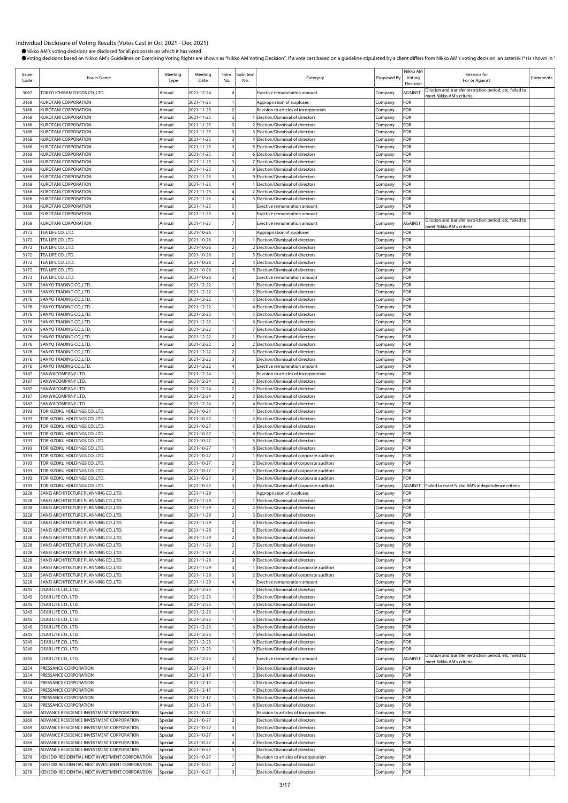| Issuer<br>Code | <b>Issuer Name</b>                                                                                 | Meeting<br>Type    | Meeting<br>Date          | Item<br>No.                      | Sub-Item<br>No. | Category                                                                                 | Proposed By        | Nikko AM<br>Voting<br>Decision | Reasons for<br>For or Against                                                        | Comments |
|----------------|----------------------------------------------------------------------------------------------------|--------------------|--------------------------|----------------------------------|-----------------|------------------------------------------------------------------------------------------|--------------------|--------------------------------|--------------------------------------------------------------------------------------|----------|
| 3067           | TOKYO ICHIBAN FOODS CO.,LTD.                                                                       | Annual             | 2021-12-24               |                                  |                 | <b>Exective remuneration amount</b>                                                      | Company            | <b>AGAINST</b>                 | Dilution and transfer restriction period, etc. failed to<br>meet Nikko AM's criteria |          |
| 3168           | <b>KUROTANI CORPORATION</b>                                                                        | Annual             | 2021-11-25               |                                  |                 | Appropriation of surpluses                                                               | Company            | FOR                            |                                                                                      |          |
| 3168           | <b>KUROTANI CORPORATION</b>                                                                        | Annual             | 2021-11-25               | $\overline{2}$                   |                 | Revision to articles of incorporation                                                    | Company            | FOR                            |                                                                                      |          |
| 3168<br>3168   | <b>KUROTANI CORPORATION</b><br><b>KUROTANI CORPORATION</b>                                         | Annual<br>Annual   | 2021-11-25<br>2021-11-25 | $\overline{\mathbf{3}}$<br>3     |                 | 1 Election/Dismissal of directors<br>2 Election/Dismissal of directors                   | Company<br>Company | FOR<br>FOR                     |                                                                                      |          |
| 3168           | <b>KUROTANI CORPORATION</b>                                                                        | Annual             | 2021-11-25               | $\overline{\mathbf{3}}$          |                 | 3 Election/Dismissal of directors                                                        | Company            | FOR                            |                                                                                      |          |
| 3168           | <b>KUROTANI CORPORATION</b>                                                                        | Annual             | 2021-11-25               | $\overline{\mathbf{3}}$          |                 | 4 Election/Dismissal of directors                                                        | Company            | FOR                            |                                                                                      |          |
| 3168           | <b>KUROTANI CORPORATION</b>                                                                        | Annual             | 2021-11-25               |                                  |                 | 5 Election/Dismissal of directors                                                        | Company            | FOR                            |                                                                                      |          |
| 3168<br>3168   | <b>KUROTANI CORPORATION</b><br><b>KUROTANI CORPORATION</b>                                         | Annual<br>Annual   | 2021-11-25<br>2021-11-25 | $\overline{\mathbf{3}}$          |                 | 6 Election/Dismissal of directors<br>7 Election/Dismissal of directors                   | Company<br>Company | FOR<br>FOR                     |                                                                                      |          |
| 3168           | <b>KUROTANI CORPORATION</b>                                                                        | Annual             | 2021-11-25               | 3                                |                 | 8 Election/Dismissal of directors                                                        | Company            | FOR                            |                                                                                      |          |
| 3168           | <b>KUROTANI CORPORATION</b>                                                                        | Annual             | 2021-11-25               | 3                                |                 | 9 Election/Dismissal of directors                                                        | Company            | FOR                            |                                                                                      |          |
| 3168           | <b>KUROTANI CORPORATION</b>                                                                        | Annual             | 2021-11-25               |                                  |                 | 1 Election/Dismissal of directors                                                        | Company            | FOR                            |                                                                                      |          |
| 3168<br>3168   | <b>KUROTANI CORPORATION</b><br><b>KUROTANI CORPORATION</b>                                         | Annual<br>Annual   | 2021-11-25<br>2021-11-25 |                                  |                 | 2 Election/Dismissal of directors<br>3 Election/Dismissal of directors                   | Company<br>Company | FOR<br>FOR                     |                                                                                      |          |
| 3168           | KUROTANI CORPORATION                                                                               | Annual             | 2021-11-25               | 5                                |                 | <b>Exective remuneration amount</b>                                                      | Company            | FOR                            |                                                                                      |          |
| 3168           | <b>KUROTANI CORPORATION</b>                                                                        | Annual             | 2021-11-25               | 6                                |                 | Exective remuneration amount                                                             | Company            | FOR                            |                                                                                      |          |
| 3168           | <b>KUROTANI CORPORATION</b>                                                                        | Annual             | 2021-11-25               | -7                               |                 | Exective remuneration amount                                                             | Company            | AGAINST                        | Dilution and transfer restriction period, etc. failed to<br>meet Nikko AM's criteria |          |
| 3172           | TEA LIFE CO., LTD.                                                                                 | Annual             | 2021-10-26               |                                  |                 | Appropriation of surpluses                                                               | Company            | FOR                            |                                                                                      |          |
| 3172           | TEA LIFE CO., LTD.                                                                                 | Annual             | 2021-10-26<br>2021-10-26 | $\overline{2}$<br>$\overline{2}$ |                 | 1 Election/Dismissal of directors                                                        | Company            | FOR                            |                                                                                      |          |
| 3172<br>3172   | TEA LIFE CO., LTD.<br>TEA LIFE CO., LTD.                                                           | Annual<br>Annual   | 2021-10-26               | $\overline{2}$                   |                 | 2 Election/Dismissal of directors<br>3 Election/Dismissal of directors                   | Company<br>Company | FOR<br>FOR                     |                                                                                      |          |
| 3172           | TEA LIFE CO.,LTD.                                                                                  | Annual             | 2021-10-26               | $\overline{2}$                   |                 | 4 Election/Dismissal of directors                                                        | Company            | FOR                            |                                                                                      |          |
| 3172           | TEA LIFE CO.,LTD.                                                                                  | Annual             | 2021-10-26               | $\overline{2}$                   |                 | 5 Election/Dismissal of directors                                                        | Company            | FOR                            |                                                                                      |          |
| 3172           | TEA LIFE CO.,LTD.                                                                                  | Annual             | 2021-10-26               | $\overline{\mathbf{3}}$          |                 | Exective remuneration amount<br>1 Election/Dismissal of directors                        | Company            | FOR                            |                                                                                      |          |
| 3176<br>3176   | SANYO TRADING CO.,LTD.<br>SANYO TRADING CO.,LTD                                                    | Annual<br>Annual   | 2021-12-22<br>2021-12-22 |                                  |                 | 2 Election/Dismissal of directors                                                        | Company<br>Company | FOR<br>FOR                     |                                                                                      |          |
| 3176           | SANYO TRADING CO., LTD.                                                                            | Annual             | 2021-12-22               |                                  |                 | 3 Election/Dismissal of directors                                                        | Company            | FOR                            |                                                                                      |          |
| 3176           | SANYO TRADING CO., LTD                                                                             | Annual             | 2021-12-22               |                                  |                 | 4 Election/Dismissal of directors                                                        | Company            | FOR                            |                                                                                      |          |
| 3176<br>3176   | SANYO TRADING CO., LTD.<br>SANYO TRADING CO.,LTD.                                                  | Annual<br>Annual   | 2021-12-22<br>2021-12-22 |                                  |                 | 5 Election/Dismissal of directors                                                        | Company            | FOR<br>FOR                     |                                                                                      |          |
| 3176           | SANYO TRADING CO.,LTD                                                                              | Annual             | 2021-12-22               |                                  |                 | 6 Election/Dismissal of directors<br>7 Election/Dismissal of directors                   | Company<br>Company | FOR                            |                                                                                      |          |
| 3176           | SANYO TRADING CO., LTD.                                                                            | Annual             | 2021-12-22               | $\overline{2}$                   |                 | 1 Election/Dismissal of directors                                                        | Company            | FOR                            |                                                                                      |          |
| 3176           | SANYO TRADING CO., LTD                                                                             | Annual             | 2021-12-22               | $\overline{2}$                   |                 | 2 Election/Dismissal of directors                                                        | Company            | FOR                            |                                                                                      |          |
| 3176<br>3176   | SANYO TRADING CO., LTD.                                                                            | Annual<br>Annual   | 2021-12-22               | $\overline{2}$                   |                 | 3 Election/Dismissal of directors                                                        | Company            | FOR<br>FOR                     |                                                                                      |          |
| 3176           | SANYO TRADING CO.,LTD<br>SANYO TRADING CO.,LTD                                                     | Annual             | 2021-12-22<br>2021-12-22 | 3<br>$\overline{4}$              |                 | Election/Dismissal of directors<br><b>Exective remuneration amount</b>                   | Company<br>Company | FOR                            |                                                                                      |          |
| 3187           | SANWACOMPANY LTD.                                                                                  | Annual             | 2021-12-24               | $\mathbf{1}$                     |                 | Revision to articles of incorporation                                                    | Company            | FOR                            |                                                                                      |          |
| 3187           | SANWACOMPANY LTD.                                                                                  | Annual             | 2021-12-24               | $\overline{2}$                   |                 | 1 Election/Dismissal of directors                                                        | Company            | FOR                            |                                                                                      |          |
| 3187<br>3187   | SANWACOMPANY LTD.                                                                                  | Annual             | 2021-12-24               | $\overline{2}$<br>$\overline{2}$ |                 | 2 Election/Dismissal of directors                                                        | Company            | FOR<br>FOR                     |                                                                                      |          |
| 3187           | SANWACOMPANY LTD.<br>SANWACOMPANY LTD.                                                             | Annual<br>Annual   | 2021-12-24<br>2021-12-24 | $\overline{2}$                   |                 | 3 Election/Dismissal of directors<br>4 Election/Dismissal of directors                   | Company<br>Company | FOR                            |                                                                                      |          |
| 3193           | TORIKIZOKU HOLDINGS CO.,LTD.                                                                       | Annual             | 2021-10-27               |                                  |                 | 1 Election/Dismissal of directors                                                        | Company            | FOR                            |                                                                                      |          |
| 3193           | TORIKIZOKU HOLDINGS CO.,LTD.                                                                       | Annual             | 2021-10-27               |                                  |                 | 2 Election/Dismissal of directors                                                        | Company            | FOR                            |                                                                                      |          |
| 3193<br>3193   | TORIKIZOKU HOLDINGS CO.,LTD.                                                                       | Annual<br>Annual   | 2021-10-27               |                                  |                 | 3 Election/Dismissal of directors<br>4 Election/Dismissal of directors                   | Company            | FOR<br>FOR                     |                                                                                      |          |
| 3193           | TORIKIZOKU HOLDINGS CO.,LTD.<br>TORIKIZOKU HOLDINGS CO.,LTD.                                       | Annual             | 2021-10-27<br>2021-10-27 |                                  |                 | 5 Election/Dismissal of directors                                                        | Company<br>Company | FOR                            |                                                                                      |          |
| 3193           | TORIKIZOKU HOLDINGS CO.,LTD.                                                                       | Annual             | 2021-10-27               |                                  |                 | 6 Election/Dismissal of directors                                                        | Company            | FOR                            |                                                                                      |          |
| 3193           | TORIKIZOKU HOLDINGS CO.,LTD.                                                                       | Annual             | 2021-10-27               | $\overline{2}$                   |                 | 1 Election/Dismissal of corporate auditors                                               | Company            | FOR                            |                                                                                      |          |
| 3193<br>3193   | TORIKIZOKU HOLDINGS CO.,LTD.<br>TORIKIZOKU HOLDINGS CO.,LTD.                                       | Annual<br>Annual   | 2021-10-27<br>2021-10-27 | $\overline{2}$<br>$\overline{2}$ |                 | 2 Election/Dismissal of corporate auditors<br>3 Election/Dismissal of corporate auditors | Company<br>Company | FOR<br>FOR                     |                                                                                      |          |
| 3193           | TORIKIZOKU HOLDINGS CO.,LTD.                                                                       | Annual             | 2021-10-27               | $\overline{3}$                   |                 | 1 Election/Dismissal of corporate auditors                                               | Company            | FOR                            |                                                                                      |          |
| 3193           | TORIKIZOKU HOLDINGS CO.,LTD.                                                                       | Annual             | 2021-10-27               | $\overline{\mathbf{3}}$          |                 | 2 Election/Dismissal of corporate auditors                                               | Company            | AGAINST                        | Failed to meet Nikko AM's independence criteria                                      |          |
| 3228           | SANEI ARCHITECTURE PLANNING CO.,LTD.                                                               | Annual             | 2021-11-29               |                                  |                 | Appropriation of surpluses                                                               | Company            | FOR                            |                                                                                      |          |
| 3228<br>3228   | SANEI ARCHITECTURE PLANNING CO.,LTD.<br>SANEI ARCHITECTURE PLANNING CO.,LTD.                       | Annual<br>Annual   | 2021-11-29<br>2021-11-29 | $\overline{2}$<br>$\overline{2}$ |                 | 1 Election/Dismissal of directors<br>2 Election/Dismissal of directors                   | Company<br>Company | FOR<br>FOR                     |                                                                                      |          |
| 3228           | SANEI ARCHITECTURE PLANNING CO.,LTD.                                                               | Annual             | 2021-11-29               | $\overline{2}$                   |                 | 3 Election/Dismissal of directors                                                        | Company            | FOR                            |                                                                                      |          |
| 3228           | SANEI ARCHITECTURE PLANNING CO.,LTD.                                                               | Annual             | 2021-11-29               | $\overline{2}$                   |                 | 4 Election/Dismissal of directors                                                        | Company            | FOR                            |                                                                                      |          |
| 3228           | SANEI ARCHITECTURE PLANNING CO.,LTD.                                                               | Annual             | 2021-11-29               | $\overline{2}$                   |                 | 5 Election/Dismissal of directors                                                        | Company            | FOR                            |                                                                                      |          |
| 3228<br>3228   | SANEI ARCHITECTURE PLANNING CO.,LTD.<br>SANEI ARCHITECTURE PLANNING CO.,LTD.                       | Annual<br>Annual   | 2021-11-29<br>2021-11-29 | $\overline{2}$<br>$\overline{2}$ |                 | 6 Election/Dismissal of directors<br>7 Election/Dismissal of directors                   | Company<br>Company | FOR<br>FOR                     |                                                                                      |          |
| 3228           | SANEI ARCHITECTURE PLANNING CO.,LTD.                                                               | Annual             | 2021-11-29               | $\overline{2}$                   |                 | 8 Election/Dismissal of directors                                                        | Company            | FOR                            |                                                                                      |          |
| 3228           | SANEI ARCHITECTURE PLANNING CO.,LTD.                                                               | Annual             | 2021-11-29               | $\overline{2}$                   |                 | 9 Election/Dismissal of directors                                                        | Company            | FOR                            |                                                                                      |          |
| 3228           | SANEI ARCHITECTURE PLANNING CO.,LTD.                                                               | Annual             | 2021-11-29               | $\overline{\mathbf{3}}$          |                 | 1 Election/Dismissal of corporate auditors                                               | Company            | FOR                            |                                                                                      |          |
| 3228<br>3228   | SANEI ARCHITECTURE PLANNING CO.,LTD.<br>SANEI ARCHITECTURE PLANNING CO.,LTD.                       | Annual<br>Annual   | 2021-11-29<br>2021-11-29 | $\overline{\mathbf{3}}$          |                 | 2 Election/Dismissal of corporate auditors<br><b>Exective remuneration amount</b>        | Company<br>Company | FOR<br>FOR                     |                                                                                      |          |
| 3245           | DEAR LIFE CO., LTD.                                                                                | Annual             | 2021-12-23               |                                  |                 | 1 Election/Dismissal of directors                                                        | Company            | FOR                            |                                                                                      |          |
| 3245           | DEAR LIFE CO., LTD.                                                                                | Annual             | 2021-12-23               |                                  |                 | 2 Election/Dismissal of directors                                                        | Company            | FOR                            |                                                                                      |          |
| 3245           | DEAR LIFE CO., LTD.                                                                                | Annual             | 2021-12-23               |                                  |                 | 3 Election/Dismissal of directors                                                        | Company            | FOR                            |                                                                                      |          |
| 3245<br>3245   | DEAR LIFE CO., LTD.<br>DEAR LIFE CO., LTD.                                                         | Annual<br>Annual   | 2021-12-23<br>2021-12-23 |                                  |                 | 4 Election/Dismissal of directors<br>5 Election/Dismissal of directors                   | Company<br>Company | FOR<br>FOR                     |                                                                                      |          |
| 3245           | DEAR LIFE CO., LTD.                                                                                | Annual             | 2021-12-23               |                                  |                 | 6 Election/Dismissal of directors                                                        | Company            | FOR                            |                                                                                      |          |
| 3245           | DEAR LIFE CO., LTD.                                                                                | Annual             | 2021-12-23               |                                  |                 | 7 Election/Dismissal of directors                                                        | Company            | FOR                            |                                                                                      |          |
| 3245           | DEAR LIFE CO., LTD.                                                                                | Annual             | 2021-12-23               |                                  |                 | 8 Election/Dismissal of directors                                                        | Company            | FOR                            |                                                                                      |          |
| 3245<br>3245   | DEAR LIFE CO., LTD.                                                                                | Annual             | 2021-12-23               | $\overline{2}$                   |                 | 9 Election/Dismissal of directors                                                        | Company            | FOR<br><b>AGAINST</b>          | Dilution and transfer restriction period, etc. failed to                             |          |
| 3254           | DEAR LIFE CO., LTD.<br>PRESSANCE CORPORATION                                                       | Annual<br>Annual   | 2021-12-23<br>2021-12-17 |                                  |                 | Exective remuneration amount<br>1 Election/Dismissal of directors                        | Company<br>Company | FOR                            | meet Nikko AM's criteria                                                             |          |
| 3254           | PRESSANCE CORPORATION                                                                              | Annual             | 2021-12-17               | $\mathbf{1}$                     |                 | 2 Election/Dismissal of directors                                                        | Company            | FOR                            |                                                                                      |          |
| 3254           | PRESSANCE CORPORATION                                                                              | Annual             | 2021-12-17               |                                  |                 | 3 Election/Dismissal of directors                                                        | Company            | FOR                            |                                                                                      |          |
| 3254           | PRESSANCE CORPORATION                                                                              | Annual             | 2021-12-17               |                                  |                 | 4 Election/Dismissal of directors                                                        | Company            | FOR                            |                                                                                      |          |
| 3254<br>3254   | PRESSANCE CORPORATION<br>PRESSANCE CORPORATION                                                     | Annual<br>Annual   | 2021-12-17<br>2021-12-17 |                                  |                 | 5 Election/Dismissal of directors<br>6 Election/Dismissal of directors                   | Company<br>Company | FOR<br>FOR                     |                                                                                      |          |
| 3269           | ADVANCE RESIDENCE INVESTMENT CORPORATION                                                           | Special            | 2021-10-27               |                                  |                 | Revision to articles of incorporation                                                    | Company            | FOR                            |                                                                                      |          |
| 3269           | ADVANCE RESIDENCE INVESTMENT CORPORATION                                                           | Special            | 2021-10-27               | $\overline{2}$                   |                 | Election/Dismissal of directors                                                          | Company            | FOR                            |                                                                                      |          |
| 3269           | ADVANCE RESIDENCE INVESTMENT CORPORATION                                                           | Special            | 2021-10-27               | $\overline{\mathbf{3}}$          |                 | Election/Dismissal of directors                                                          | Company            | FOR                            |                                                                                      |          |
| 3269<br>3269   | ADVANCE RESIDENCE INVESTMENT CORPORATION<br>ADVANCE RESIDENCE INVESTMENT CORPORATION               | Special<br>Special | 2021-10-27<br>2021-10-27 |                                  |                 | 1 Election/Dismissal of directors<br>2 Election/Dismissal of directors                   | Company<br>Company | FOR<br>FOR                     |                                                                                      |          |
| 3269           | ADVANCE RESIDENCE INVESTMENT CORPORATION                                                           | Special            | 2021-10-27               | 5                                |                 | Election/Dismissal of directors                                                          | Company            | FOR                            |                                                                                      |          |
| 3278           | KENEDIX RESIDENTIAL NEXT INVESTMENT CORPORATION                                                    | Special            | 2021-10-27               | $\mathbf{1}$                     |                 | Revision to articles of incorporation                                                    | Company            | FOR                            |                                                                                      |          |
| 3278<br>3278   | KENEDIX RESIDENTIAL NEXT INVESTMENT CORPORATION<br>KENEDIX RESIDENTIAL NEXT INVESTMENT CORPORATION | Special<br>Special | 2021-10-27<br>2021-10-27 | $\overline{2}$<br>3              |                 | Election/Dismissal of directors<br>Election/Dismissal of directors                       | Company<br>Company | FOR<br>FOR                     |                                                                                      |          |
|                |                                                                                                    |                    |                          |                                  |                 |                                                                                          |                    |                                |                                                                                      |          |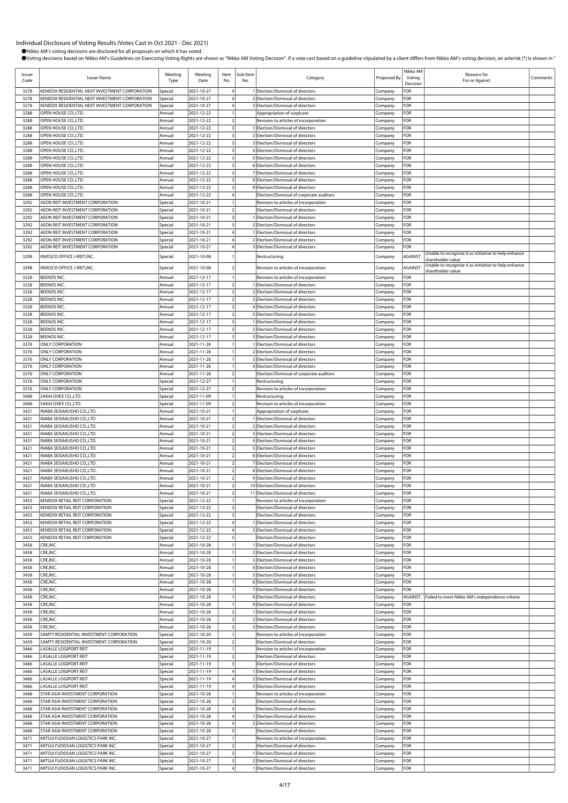| Issuer<br>Code | <b>Issuer Name</b>                                                       | Meeting<br>Type    | Meeting<br>Date          | Item<br>No.                               | Sub-Item<br>No. | Category                                                                      | Proposed By        | Nikko AM<br>Voting<br>Decision | Reasons for<br>For or Against                        | Comments |
|----------------|--------------------------------------------------------------------------|--------------------|--------------------------|-------------------------------------------|-----------------|-------------------------------------------------------------------------------|--------------------|--------------------------------|------------------------------------------------------|----------|
| 3278           | KENEDIX RESIDENTIAL NEXT INVESTMENT CORPORATION                          | special            | 2021-10-27               |                                           |                 | 1 Election/Dismissal of directors                                             | Company            | FOR                            |                                                      |          |
| 3278           | KENEDIX RESIDENTIAL NEXT INVESTMENT CORPORATION                          | Special            | 2021-10-27               |                                           |                 | 2 Election/Dismissal of directors                                             | Company            | FOR                            |                                                      |          |
| 3278           | KENEDIX RESIDENTIAL NEXT INVESTMENT CORPORATION                          | special            | 2021-10-27               |                                           |                 | 3 Election/Dismissal of directors                                             | Company            | FOR                            |                                                      |          |
| 3288<br>3288   | OPEN HOUSE CO., LTD.<br>OPEN HOUSE CO., LTD.                             | Annual             | 2021-12-22<br>2021-12-22 | $\overline{2}$                            |                 | Appropriation of surpluses                                                    | Company            | FOR<br>FOR                     |                                                      |          |
| 3288           | OPEN HOUSE CO., LTD.                                                     | Annual<br>Annual   | 2021-12-22               |                                           |                 | Revision to articles of incorporation<br>Election/Dismissal of directors      | Company<br>Company | FOR                            |                                                      |          |
| 3288           | OPEN HOUSE CO., LTD.                                                     | Annual             | 2021-12-22               | $\overline{\mathbf{3}}$                   |                 | 2 Election/Dismissal of directors                                             | Company            | FOR                            |                                                      |          |
| 3288           | OPEN HOUSE CO., LTD.                                                     | Annual             | 2021-12-22               | $\overline{\mathbf{3}}$                   |                 | 3 Election/Dismissal of directors                                             | Company            | FOR                            |                                                      |          |
| 3288           | OPEN HOUSE CO., LTD.                                                     | Annual             | 2021-12-22               | $\overline{\mathbf{3}}$                   |                 | 4 Election/Dismissal of directors                                             | Company            | FOR                            |                                                      |          |
| 3288           | OPEN HOUSE CO., LTD.                                                     | Annual             | 2021-12-22               | $\overline{\mathbf{3}}$                   |                 | 5 Election/Dismissal of directors                                             | Company            | FOR                            |                                                      |          |
| 3288           | OPEN HOUSE CO., LTD.                                                     | Annual             | 2021-12-22               | $\overline{\mathbf{3}}$                   |                 | 6 Election/Dismissal of directors                                             | Company            | FOR                            |                                                      |          |
| 3288           | OPEN HOUSE CO., LTD.                                                     | Annual             | 2021-12-22               | $\overline{\mathbf{3}}$                   |                 | 7 Election/Dismissal of directors                                             | Company            | FOR                            |                                                      |          |
| 3288           | OPEN HOUSE CO., LTD.                                                     | Annual             | 2021-12-22               | $\overline{\mathbf{3}}$                   |                 | 8 Election/Dismissal of directors                                             | Company            | FOR                            |                                                      |          |
| 3288<br>3288   | OPEN HOUSE CO., LTD.<br>OPEN HOUSE CO.,LTD.                              | Annual<br>Annual   | 2021-12-22<br>2021-12-22 |                                           |                 | 9 Election/Dismissal of directors<br>Election/Dismissal of corporate auditors | Company            | FOR<br>FOR                     |                                                      |          |
| 3292           | AEON REIT INVESTMENT CORPORATION                                         | Special            | 2021-10-21               |                                           |                 | Revision to articles of incorporation                                         | Company<br>Company | FOR                            |                                                      |          |
| 3292           | AEON REIT INVESTMENT CORPORATION                                         | Special            | 2021-10-21               | $\overline{2}$                            |                 | Election/Dismissal of directors                                               | Company            | FOR                            |                                                      |          |
| 3292           | AEON REIT INVESTMENT CORPORATION                                         | Special            | 2021-10-21               |                                           |                 | 1 Election/Dismissal of directors                                             | Company            | FOR                            |                                                      |          |
| 3292           | AEON REIT INVESTMENT CORPORATION                                         | Special            | 2021-10-21               | $\overline{\mathbf{3}}$                   |                 | 2 Election/Dismissal of directors                                             | Company            | FOR                            |                                                      |          |
| 3292           | AEON REIT INVESTMENT CORPORATION                                         | Special            | 2021-10-21               | 4                                         |                 | 1 Election/Dismissal of directors                                             | Company            | FOR                            |                                                      |          |
| 3292           | AEON REIT INVESTMENT CORPORATION                                         | Special            | 2021-10-21               |                                           |                 | 2 Election/Dismissal of directors                                             | Company            | FOR                            |                                                      |          |
| 3292           | AEON REIT INVESTMENT CORPORATION                                         | Special            | 2021-10-21               |                                           |                 | 3 Election/Dismissal of directors                                             | Company            | FOR                            | Unable to recognize it as initiative to help enhance |          |
| 3298           | INVESCO OFFICE J-REIT, INC.                                              | Special            | 2021-10-08               |                                           |                 | Restructuring                                                                 | Company            | AGAINST                        | shareholder value                                    |          |
| 3298           | INVESCO OFFICE J-REIT, INC.                                              | Special            | 2021-10-08               |                                           |                 | Revision to articles of incorporation                                         | Company            | AGAINST                        | Unable to recognize it as initiative to help enhance |          |
| 3328           | BEENOS INC.                                                              | Annual             | 2021-12-17               |                                           |                 | Revision to articles of incorporation                                         | Company            | FOR                            | shareholder value                                    |          |
| 3328           | <b>BEENOS INC.</b>                                                       | Annual             | 2021-12-17               | $\overline{a}$                            |                 | 1 Election/Dismissal of directors                                             | Company            | FOR                            |                                                      |          |
| 3328           | <b>BEENOS INC.</b>                                                       | Annual             | 2021-12-17               | $\overline{2}$                            |                 | 2 Election/Dismissal of directors                                             | Company            | FOR                            |                                                      |          |
| 3328           | BEENOS INC.                                                              | Annual             | 2021-12-17               | $\overline{\phantom{a}}$                  |                 | 3 Election/Dismissal of directors                                             | Company            | FOR                            |                                                      |          |
| 3328           | <b>BEENOS INC.</b>                                                       | Annual             | 2021-12-17               | $\overline{2}$                            |                 | 4 Election/Dismissal of directors                                             | Company            | FOR                            |                                                      |          |
| 3328           | BEENOS INC.                                                              | Annual             | 2021-12-17               | $\overline{a}$                            |                 | 5 Election/Dismissal of directors                                             | Company            | FOR                            |                                                      |          |
| 3328           | <b>BEENOS INC.</b>                                                       | Annual             | 2021-12-17               | $\overline{\mathbf{3}}$                   |                 | 1 Election/Dismissal of directors                                             | Company            | FOR                            |                                                      |          |
| 3328           | <b>BEENOS INC.</b>                                                       | Annual             | 2021-12-17               | $\overline{\mathbf{3}}$                   |                 | 2 Election/Dismissal of directors                                             | Company            | FOR                            |                                                      |          |
| 3328<br>3376   | BEENOS INC.<br><b>ONLY CORPORATION</b>                                   | Annual<br>Annual   | 2021-12-17<br>2021-11-26 | $\overline{\mathbf{3}}$                   |                 | 3 Election/Dismissal of directors<br>1 Election/Dismissal of directors        | Company<br>Company | FOR<br>FOR                     |                                                      |          |
| 3376           | <b>ONLY CORPORATION</b>                                                  | Annua              | 2021-11-26               |                                           |                 | 2 Election/Dismissal of directors                                             | Company            | FOR                            |                                                      |          |
| 3376           | <b>ONLY CORPORATION</b>                                                  | Annual             | 2021-11-26               |                                           |                 | 3 Election/Dismissal of directors                                             | Company            | FOR                            |                                                      |          |
| 3376           | <b>ONLY CORPORATION</b>                                                  | Annual             | 2021-11-26               |                                           |                 | 4 Election/Dismissal of directors                                             | Company            | FOR                            |                                                      |          |
| 3376           | <b>ONLY CORPORATION</b>                                                  | Annual             | 2021-11-26               | $\overline{2}$                            |                 | Election/Dismissal of corporate auditors                                      | Company            | FOR                            |                                                      |          |
| 3376           | <b>ONLY CORPORATION</b>                                                  | Special            | 2021-12-27               |                                           |                 | Restructuring                                                                 | Company            | FOR                            |                                                      |          |
| 3376           | <b>ONLY CORPORATION</b>                                                  | Special            | 2021-12-27               |                                           |                 | Revision to articles of incorporation                                         | Company            | FOR                            |                                                      |          |
| 3408           | SAKAI OVEX CO.,LTD.                                                      | Special            | 2021-11-09               |                                           |                 | Restructuring                                                                 | Company            | FOR                            |                                                      |          |
| 3408           | SAKAI OVEX CO.,LTD.                                                      | Special            | 2021-11-09               | $\mathcal{P}$                             |                 | Revision to articles of incorporation                                         | Company            | FOR                            |                                                      |          |
| 3421<br>3421   | INABA SEISAKUSHO CO.,LTD.<br>INABA SEISAKUSHO CO.,LTD.                   | Annual<br>Annual   | 2021-10-21<br>2021-10-21 | $\overline{a}$                            |                 | Appropriation of surpluses<br>Election/Dismissal of directors                 | Company<br>Company | FOR<br>FOR                     |                                                      |          |
| 3421           | INABA SEISAKUSHO CO.,LTD.                                                | Annual             | 2021-10-21               |                                           |                 | 2 Election/Dismissal of directors                                             | Company            | FOR                            |                                                      |          |
| 3421           | INABA SEISAKUSHO CO.,LTD.                                                | Annual             | 2021-10-21               | $\overline{2}$                            |                 | 3 Election/Dismissal of directors                                             | Company            | FOR                            |                                                      |          |
| 3421           | INABA SEISAKUSHO CO.,LTD.                                                | Annual             | 2021-10-21               | $\overline{2}$                            |                 | 4 Election/Dismissal of directors                                             | Company            | FOR                            |                                                      |          |
| 3421           | INABA SEISAKUSHO CO.,LTD.                                                | Annual             | 2021-10-21               |                                           |                 | 5 Election/Dismissal of directors                                             | Company            | FOR                            |                                                      |          |
| 3421           | INABA SEISAKUSHO CO.,LTD.                                                | Annual             | 2021-10-21               | $\overline{2}$                            |                 | 6 Election/Dismissal of directors                                             | Company            | FOR                            |                                                      |          |
| 3421           | INABA SEISAKUSHO CO.,LTD.                                                | Annual             | 2021-10-21               | $\overline{a}$                            |                 | 7 Election/Dismissal of directors                                             | Company            | FOR                            |                                                      |          |
| 3421           | INABA SEISAKUSHO CO.,LTD.                                                | Annual             | 2021-10-21               | $\overline{2}$                            |                 | 8 Election/Dismissal of directors                                             | Company            | FOR                            |                                                      |          |
| 3421<br>3421   | INABA SEISAKUSHO CO.,LTD.<br>INABA SEISAKUSHO CO.,LTD.                   | Annual<br>Annual   | 2021-10-21<br>2021-10-21 | $\overline{2}$<br>$\overline{2}$          |                 | 9 Election/Dismissal of directors<br>10 Election/Dismissal of directors       | Company<br>Company | FOR<br>FOR                     |                                                      |          |
| 3421           | INABA SEISAKUSHO CO.,LTD.                                                | Annual             | 2021-10-21               |                                           |                 | 11 Election/Dismissal of directors                                            | Company            | FOR                            |                                                      |          |
| 3453           | KENEDIX RETAIL REIT CORPORATION                                          | Special            | 2021-12-22               |                                           |                 | Revision to articles of incorporation                                         | Company            | FOR                            |                                                      |          |
| 3453           | KENEDIX RETAIL REIT CORPORATION                                          | Special            | 2021-12-22               | $\overline{2}$                            |                 | Election/Dismissal of directors                                               | Company            | FOR                            |                                                      |          |
| 3453           | KENEDIX RETAIL REIT CORPORATION                                          | Special            | 2021-12-22               | $\overline{\mathbf{3}}$                   |                 | Election/Dismissal of directors                                               | Company            | FOR                            |                                                      |          |
| 3453           | KENEDIX RETAIL REIT CORPORATION                                          | <b>Special</b>     | 2021-12-22               |                                           |                 | Election/Dismissal of directors                                               | Company            | FOR                            |                                                      |          |
| 3453           | KENEDIX RETAIL REIT CORPORATION                                          | Special            | 2021-12-22               | 4                                         |                 | 2 Election/Dismissal of directors                                             | Company            | FOR                            |                                                      |          |
| 3453           | KENEDIX RETAIL REIT CORPORATION                                          | Special            | 2021-12-22               | 5                                         |                 | Election/Dismissal of directors                                               | Company            | FOR                            |                                                      |          |
| 3458<br>3458   | CRE, INC.<br>CRE, INC.                                                   | Annual<br>Annual   | 2021-10-28<br>2021-10-28 |                                           |                 | 1 Election/Dismissal of directors<br>2 Election/Dismissal of directors        | Company            | FOR<br>FOR                     |                                                      |          |
| 3458           | CRE, INC.                                                                | Annual             | 2021-10-28               |                                           |                 | 3 Election/Dismissal of directors                                             | Company<br>Company | FOR                            |                                                      |          |
| 3458           | CRE,INC.                                                                 | Annual             | 2021-10-28               |                                           |                 | 4 Election/Dismissal of directors                                             | Company            | FOR                            |                                                      |          |
| 3458           | CRE,INC.                                                                 | Annual             | 2021-10-28               |                                           |                 | 5 Election/Dismissal of directors                                             | Company            | FOR                            |                                                      |          |
| 3458           | CRE, INC.                                                                | Annual             | 2021-10-28               |                                           |                 | 6 Election/Dismissal of directors                                             | Company            | FOR                            |                                                      |          |
| 3458           | CRE, INC.                                                                | Annual             | 2021-10-28               |                                           |                 | 7 Election/Dismissal of directors                                             | Company            | FOR                            |                                                      |          |
| 3458           | CRE, INC.                                                                | Annual             | 2021-10-28               |                                           |                 | 8 Election/Dismissal of directors                                             | Company            | <b>AGAINST</b>                 | Failed to meet Nikko AM's independence criteria      |          |
| 3458           | CRE, INC.                                                                | Annual             | 2021-10-28               |                                           |                 | 9 Election/Dismissal of directors                                             | Company            | FOR                            |                                                      |          |
| 3458           | CRE, INC.                                                                | Annual             | 2021-10-28               | $\overline{a}$<br>$\overline{2}$          |                 | 1 Election/Dismissal of directors                                             | Company            | FOR                            |                                                      |          |
| 3458<br>3458   | CRE, INC.<br>CRE, INC.                                                   | Annual<br>Annual   | 2021-10-28<br>2021-10-28 | $\overline{2}$                            |                 | 2 Election/Dismissal of directors<br>3 Election/Dismissal of directors        | Company<br>Company | FOR<br>FOR                     |                                                      |          |
| 3459           | SAMTY RESIDENTIAL INVESTMENT CORPORATION                                 | Special            | 2021-10-20               |                                           |                 | Revision to articles of incorporation                                         | Company            | FOR                            |                                                      |          |
| 3459           | SAMTY RESIDENTIAL INVESTMENT CORPORATION                                 | Special            | 2021-10-20               | $\overline{a}$                            |                 | Election/Dismissal of directors                                               | Company            | FOR                            |                                                      |          |
| 3466           | <b>LASALLE LOGIPORT REIT</b>                                             | Special            | 2021-11-19               |                                           |                 | Revision to articles of incorporation                                         | Company            | FOR                            |                                                      |          |
| 3466           | <b>LASALLE LOGIPORT REIT</b>                                             | Special            | 2021-11-19               | $\overline{2}$                            |                 | Election/Dismissal of directors                                               | Company            | FOR                            |                                                      |          |
| 3466           | <b>LASALLE LOGIPORT REIT</b>                                             | Special            | 2021-11-19               | $\overline{\mathbf{3}}$                   |                 | Election/Dismissal of directors                                               | Company            | FOR                            |                                                      |          |
| 3466           | <b>LASALLE LOGIPORT REIT</b>                                             | Special            | 2021-11-19               |                                           |                 | Election/Dismissal of directors                                               | Company            | FOR                            |                                                      |          |
| 3466           | <b>LASALLE LOGIPORT REIT</b>                                             | Special            | 2021-11-19               |                                           |                 | 2 Election/Dismissal of directors                                             | Company            | FOR                            |                                                      |          |
| 3466<br>3468   | <b>LASALLE LOGIPORT REIT</b><br>STAR ASIA INVESTMENT CORPORATION         | Special<br>Special | 2021-11-19<br>2021-10-28 |                                           |                 | 3 Election/Dismissal of directors<br>Revision to articles of incorporation    | Company            | FOR<br>FOR                     |                                                      |          |
| 3468           | STAR ASIA INVESTMENT CORPORATION                                         | Special            | 2021-10-28               | $\overline{2}$                            |                 | Election/Dismissal of directors                                               | Company<br>Company | FOR                            |                                                      |          |
| 3468           | STAR ASIA INVESTMENT CORPORATION                                         | Special            | 2021-10-28               | $\overline{\mathbf{3}}$                   |                 | Election/Dismissal of directors                                               | Company            | FOR                            |                                                      |          |
| 3468           | STAR ASIA INVESTMENT CORPORATION                                         | Special            | 2021-10-28               | 4                                         |                 | I Election/Dismissal of directors                                             | Company            | FOR                            |                                                      |          |
| 3468           | STAR ASIA INVESTMENT CORPORATION                                         | Special            | 2021-10-28               |                                           |                 | 2 Election/Dismissal of directors                                             | Company            | FOR                            |                                                      |          |
| 3468           | STAR ASIA INVESTMENT CORPORATION                                         | Special            | 2021-10-28               | 5                                         |                 | Election/Dismissal of directors                                               | Company            | FOR                            |                                                      |          |
| 3471           | MITSUI FUDOSAN LOGISTICS PARK INC.                                       | Special            | 2021-10-27               |                                           |                 | Revision to articles of incorporation                                         | Company            | FOR                            |                                                      |          |
| 3471           | MITSUI FUDOSAN LOGISTICS PARK INC.                                       | Special            | 2021-10-27               |                                           |                 | Election/Dismissal of directors                                               | Company            | FOR                            |                                                      |          |
| 3471           | MITSUI FUDOSAN LOGISTICS PARK INC.                                       | Special            | 2021-10-27               | $\overline{\mathbf{3}}$                   |                 | Election/Dismissal of directors                                               | Company            | FOR                            |                                                      |          |
| 3471<br>3471   | MITSUI FUDOSAN LOGISTICS PARK INC.<br>MITSUI FUDOSAN LOGISTICS PARK INC. | Special<br>Special | 2021-10-27<br>2021-10-27 | $\overline{\mathbf{3}}$<br>$\overline{4}$ |                 | 2 Election/Dismissal of directors<br>1 Election/Dismissal of directors        | Company<br>Company | FOR<br>FOR                     |                                                      |          |
|                |                                                                          |                    |                          |                                           |                 |                                                                               |                    |                                |                                                      |          |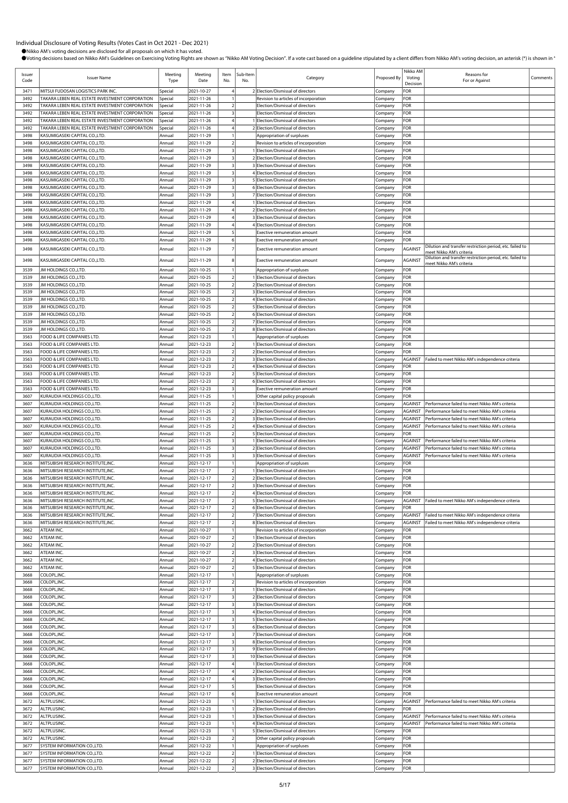| Issuer<br>Code | <b>Issuer Name</b>                                                                                 | Meeting<br>Type    | Meeting<br>Date          | Item<br>No.                                        | Sub-Item<br>No. | Category                                                                   | Proposed By        | Nikko AM<br>Voting<br>Decision   | Reasons for<br>For or Against                                                                    | Comments |
|----------------|----------------------------------------------------------------------------------------------------|--------------------|--------------------------|----------------------------------------------------|-----------------|----------------------------------------------------------------------------|--------------------|----------------------------------|--------------------------------------------------------------------------------------------------|----------|
| 3471           | MITSUI FUDOSAN LOGISTICS PARK INC.                                                                 | Special            | 2021-10-27               |                                                    |                 | 2 Election/Dismissal of directors                                          | Company            | FOR                              |                                                                                                  |          |
| 3492           | TAKARA LEBEN REAL ESTATE INVESTMENT CORPORATION                                                    | Special            | 2021-11-26               |                                                    |                 | Revision to articles of incorporation                                      | Company            | FOR                              |                                                                                                  |          |
| 3492           | TAKARA LEBEN REAL ESTATE INVESTMENT CORPORATION                                                    | Special            | 2021-11-26               | $\overline{2}$                                     |                 | Election/Dismissal of directors                                            | Company            | FOR                              |                                                                                                  |          |
| 3492           | TAKARA LEBEN REAL ESTATE INVESTMENT CORPORATION                                                    | Special            | 2021-11-26               | $\overline{\mathbf{3}}$                            |                 | Election/Dismissal of directors                                            | Company            | FOR                              |                                                                                                  |          |
| 3492<br>3492   | TAKARA LEBEN REAL ESTATE INVESTMENT CORPORATION<br>TAKARA LEBEN REAL ESTATE INVESTMENT CORPORATION | Special<br>Special | 2021-11-26<br>2021-11-26 |                                                    |                 | I Election/Dismissal of directors<br>2 Election/Dismissal of directors     | Company<br>Company | FOR<br>FOR                       |                                                                                                  |          |
| 3498           | KASUMIGASEKI CAPITAL CO.,LTD.                                                                      | Annual             | 2021-11-29               |                                                    |                 | Appropriation of surpluses                                                 | Company            | FOR                              |                                                                                                  |          |
| 3498           | KASUMIGASEKI CAPITAL CO.,LTD.                                                                      | Annual             | 2021-11-29               | $\overline{2}$                                     |                 | Revision to articles of incorporation                                      | Company            | FOR                              |                                                                                                  |          |
| 3498           | KASUMIGASEKI CAPITAL CO.,LTD.                                                                      | Annual             | 2021-11-29               | $\overline{\mathbf{3}}$                            |                 | 1 Election/Dismissal of directors                                          | Company            | FOR                              |                                                                                                  |          |
| 3498           | KASUMIGASEKI CAPITAL CO.,LTD.                                                                      | Annual             | 2021-11-29               | $\overline{\mathbf{3}}$                            |                 | 2 Election/Dismissal of directors                                          | Company            | FOR                              |                                                                                                  |          |
| 3498           | KASUMIGASEKI CAPITAL CO.,LTD.                                                                      | Annual             | 2021-11-29               | 3                                                  |                 | 3 Election/Dismissal of directors                                          | Company            | FOR                              |                                                                                                  |          |
| 3498           | KASUMIGASEKI CAPITAL CO.,LTD.                                                                      | Annual             | 2021-11-29               | $\overline{\mathbf{3}}$                            |                 | 4 Election/Dismissal of directors                                          | Company            | FOR                              |                                                                                                  |          |
| 3498           | KASUMIGASEKI CAPITAL CO.,LTD.                                                                      | Annual             | 2021-11-29               |                                                    |                 | 5 Election/Dismissal of directors                                          | Company            | FOR                              |                                                                                                  |          |
| 3498<br>3498   | KASUMIGASEKI CAPITAL CO.,LTD.                                                                      | Annual             | 2021-11-29               | $\overline{\mathbf{3}}$<br>$\overline{\mathbf{3}}$ |                 | 6 Election/Dismissal of directors                                          | Company            | FOR                              |                                                                                                  |          |
| 3498           | KASUMIGASEKI CAPITAL CO.,LTD.<br>KASUMIGASEKI CAPITAL CO.,LTD.                                     | Annual<br>Annual   | 2021-11-29<br>2021-11-29 |                                                    |                 | 7 Election/Dismissal of directors<br>1 Election/Dismissal of directors     | Company<br>Company | FOR<br>FOR                       |                                                                                                  |          |
| 3498           | KASUMIGASEKI CAPITAL CO.,LTD.                                                                      | Annual             | 2021-11-29               |                                                    |                 | 2 Election/Dismissal of directors                                          | Company            | FOR                              |                                                                                                  |          |
| 3498           | KASUMIGASEKI CAPITAL CO.,LTD.                                                                      | Annual             | 2021-11-29               |                                                    |                 | 3 Election/Dismissal of directors                                          | Company            | FOR                              |                                                                                                  |          |
| 3498           | KASUMIGASEKI CAPITAL CO.,LTD.                                                                      | Annual             | 2021-11-29               |                                                    |                 | 4 Election/Dismissal of directors                                          | Company            | FOR                              |                                                                                                  |          |
| 3498           | KASUMIGASEKI CAPITAL CO.,LTD.                                                                      | Annual             | 2021-11-29               | 5                                                  |                 | Exective remuneration amount                                               | Company            | FOR                              |                                                                                                  |          |
| 3498           | KASUMIGASEKI CAPITAL CO.,LTD.                                                                      | Annual             | 2021-11-29               | 6                                                  |                 | Exective remuneration amount                                               | Company            | FOR                              |                                                                                                  |          |
| 3498           | KASUMIGASEKI CAPITAL CO.,LTD.                                                                      | Annual             | 2021-11-29               |                                                    |                 | <b>Exective remuneration amount</b>                                        | Company            | <b>AGAINST</b>                   | Dilution and transfer restriction period, etc. failed to<br>meet Nikko AM's criteria             |          |
| 3498           | KASUMIGASEKI CAPITAL CO.,LTD.                                                                      | Annual             | 2021-11-29               |                                                    |                 | Exective remuneration amount                                               | Company            | <b>AGAINST</b>                   | Dilution and transfer restriction period, etc. failed to                                         |          |
|                |                                                                                                    |                    |                          |                                                    |                 |                                                                            |                    |                                  | meet Nikko AM's criteria                                                                         |          |
| 3539<br>3539   | JM HOLDINGS CO., LTD.<br>JM HOLDINGS CO., LTD.                                                     | Annual<br>Annual   | 2021-10-25<br>2021-10-25 | $\overline{2}$                                     |                 | Appropriation of surpluses<br>1 Election/Dismissal of directors            | Company<br>Company | FOR<br>FOR                       |                                                                                                  |          |
| 3539           | JM HOLDINGS CO., LTD.                                                                              | Annual             | 2021-10-25               | $\overline{2}$                                     |                 | 2 Election/Dismissal of directors                                          | Company            | FOR                              |                                                                                                  |          |
| 3539           | JM HOLDINGS CO., LTD.                                                                              | Annual             | 2021-10-25               | $\overline{2}$                                     |                 | 3 Election/Dismissal of directors                                          | Company            | FOR                              |                                                                                                  |          |
| 3539           | JM HOLDINGS CO., LTD.                                                                              | Annual             | 2021-10-25               | $\overline{z}$                                     |                 | 4 Election/Dismissal of directors                                          | Company            | FOR                              |                                                                                                  |          |
| 3539           | JM HOLDINGS CO., LTD.                                                                              | Annual             | 2021-10-25               | $\overline{2}$                                     |                 | 5 Election/Dismissal of directors                                          | Company            | FOR                              |                                                                                                  |          |
| 3539           | JM HOLDINGS CO., LTD.                                                                              | Annual             | 2021-10-25               | $\overline{2}$                                     |                 | 6 Election/Dismissal of directors                                          | Company            | FOR                              |                                                                                                  |          |
| 3539           | JM HOLDINGS CO., LTD.                                                                              | Annual             | 2021-10-25               | $\overline{2}$                                     |                 | 7 Election/Dismissal of directors                                          | Company            | FOR                              |                                                                                                  |          |
| 3539           | JM HOLDINGS CO., LTD.                                                                              | Annual             | 2021-10-25               | $\overline{2}$                                     |                 | 8 Election/Dismissal of directors                                          | Company            | FOR                              |                                                                                                  |          |
| 3563           | FOOD & LIFE COMPANIES LTD.                                                                         | Annual             | 2021-12-23               | $\mathbf{1}$                                       |                 | Appropriation of surpluses                                                 | Company            | FOR                              |                                                                                                  |          |
| 3563           | FOOD & LIFE COMPANIES LTD.                                                                         | Annual             | 2021-12-23               | $\overline{2}$                                     |                 | 1 Election/Dismissal of directors                                          | Company            | FOR                              |                                                                                                  |          |
| 3563           | FOOD & LIFE COMPANIES LTD                                                                          | Annual             | 2021-12-23               | $\overline{2}$                                     |                 | 2 Election/Dismissal of directors                                          | Company            | FOR                              |                                                                                                  |          |
| 3563<br>3563   | FOOD & LIFE COMPANIES LTD<br>FOOD & LIFE COMPANIES LTD.                                            | Annual<br>Annual   | 2021-12-23<br>2021-12-23 | $\overline{2}$<br>$\overline{2}$                   |                 | 3 Election/Dismissal of directors<br>4 Election/Dismissal of directors     | Company<br>Company | <b>AGAINST</b><br>FOR            | Failed to meet Nikko AM's independence criteria                                                  |          |
| 3563           | FOOD & LIFE COMPANIES LTD                                                                          | Annual             | 2021-12-23               | $\overline{2}$                                     |                 | 5 Election/Dismissal of directors                                          | Company            | FOR                              |                                                                                                  |          |
| 3563           | FOOD & LIFE COMPANIES LTD.                                                                         | Annual             | 2021-12-23               | $\overline{2}$                                     |                 | 6 Election/Dismissal of directors                                          | Company            | FOR                              |                                                                                                  |          |
| 3563           | FOOD & LIFE COMPANIES LTD.                                                                         | Annual             | 2021-12-23               |                                                    |                 | <b>Exective remuneration amount</b>                                        | Company            | FOR                              |                                                                                                  |          |
| 3607           | KURAUDIA HOLDINGS CO., LTD                                                                         | Annual             | 2021-11-25               |                                                    |                 | Other capital policy proposals                                             | Company            | FOR                              |                                                                                                  |          |
| 3607           | KURAUDIA HOLDINGS CO.,LTD.                                                                         | Annual             | 2021-11-25               | $\overline{2}$                                     |                 | Election/Dismissal of directors                                            | Company            | <b>AGAINST</b>                   | Performance failed to meet Nikko AM's criteria                                                   |          |
| 3607           | KURAUDIA HOLDINGS CO., LTD                                                                         | Annual             | 2021-11-25               |                                                    |                 | 2 Election/Dismissal of directors                                          | Company            | <b>AGAINST</b>                   | Performance failed to meet Nikko AM's criteria                                                   |          |
| 3607           | KURAUDIA HOLDINGS CO., LTD                                                                         | Annual             | 2021-11-25               | $\overline{2}$                                     |                 | 3 Election/Dismissal of directors                                          | Company            | <b>AGAINST</b>                   | Performance failed to meet Nikko AM's criteria                                                   |          |
| 3607           | KURAUDIA HOLDINGS CO., LTD                                                                         | Annual             | 2021-11-25               |                                                    |                 | 4 Election/Dismissal of directors                                          | Company            | <b>AGAINST</b>                   | Performance failed to meet Nikko AM's criteria                                                   |          |
| 3607           | KURAUDIA HOLDINGS CO.,LTD                                                                          | Annual             | 2021-11-25               | $\overline{2}$                                     |                 | 5 Election/Dismissal of directors                                          | Company            | FOR                              |                                                                                                  |          |
| 3607           | KURAUDIA HOLDINGS CO., LTD.                                                                        | Annual             | 2021-11-25               | $\overline{3}$<br>3                                |                 | 1 Election/Dismissal of directors<br>2 Election/Dismissal of directors     | Company            | <b>AGAINST</b>                   | Performance failed to meet Nikko AM's criteria<br>Performance failed to meet Nikko AM's criteria |          |
| 3607<br>3607   | KURAUDIA HOLDINGS CO., LTD<br>KURAUDIA HOLDINGS CO., LTD                                           | Annual<br>Annual   | 2021-11-25<br>2021-11-25 | $\overline{\mathbf{3}}$                            |                 | 3 Election/Dismissal of directors                                          | Company            | <b>AGAINST</b><br><b>AGAINST</b> | Performance failed to meet Nikko AM's criteria                                                   |          |
| 3636           | MITSUBISHI RESEARCH INSTITUTE,INC.                                                                 | Annual             | 2021-12-17               |                                                    |                 | Appropriation of surpluses                                                 | Company<br>Company | FOR                              |                                                                                                  |          |
| 3636           | MITSUBISHI RESEARCH INSTITUTE,INC.                                                                 | Annual             | 2021-12-17               | $\overline{2}$                                     |                 | 1 Election/Dismissal of directors                                          | Company            | FOR                              |                                                                                                  |          |
| 3636           | MITSUBISHI RESEARCH INSTITUTE,INC.                                                                 | Annual             | 2021-12-17               | $\overline{2}$                                     |                 | 2 Election/Dismissal of directors                                          | Company            | FOR                              |                                                                                                  |          |
| 3636           | MITSUBISHI RESEARCH INSTITUTE, INC.                                                                | Annual             | 2021-12-17               | $\overline{2}$                                     |                 | 3 Election/Dismissal of directors                                          | Company            | FOR                              |                                                                                                  |          |
| 3636           | MITSUBISHI RESEARCH INSTITUTE, INC.                                                                | Annual             | 2021-12-17               | $\mathfrak{p}$                                     |                 | 4 Election/Dismissal of directors                                          | Company            | FOR                              |                                                                                                  |          |
| 3636           | MITSUBISHI RESEARCH INSTITUTE,INC.                                                                 | Annual             | 2021-12-17               | $\overline{2}$                                     |                 | 5 Election/Dismissal of directors                                          | Company            | <b>AGAINST</b>                   | Failed to meet Nikko AM's independence criteria                                                  |          |
| 3636           | MITSUBISHI RESEARCH INSTITUTE,INC.                                                                 | Annual             | 2021-12-17               | $\overline{2}$                                     |                 | 6 Election/Dismissal of directors                                          | Company            | FOR                              |                                                                                                  |          |
| 3636           | MITSUBISHI RESEARCH INSTITUTE,INC.                                                                 | Annual             | 2021-12-17               | $\overline{2}$                                     |                 | 7 Election/Dismissal of directors                                          | Company            | <b>AGAINST</b>                   | Failed to meet Nikko AM's independence criteria                                                  |          |
| 3636<br>3662   | MITSUBISHI RESEARCH INSTITUTE,INC.<br>ATEAM INC.                                                   | Annual<br>Annual   | 2021-12-17<br>2021-10-27 |                                                    |                 | 8 Election/Dismissal of directors<br>Revision to articles of incorporation | Company<br>Company | <b>AGAINST</b><br>FOR            | Failed to meet Nikko AM's independence criteria                                                  |          |
| 3662           | ATEAM INC.                                                                                         | Annual             | 2021-10-27               | $\overline{2}$                                     |                 | 1 Election/Dismissal of directors                                          | Company            | FOR                              |                                                                                                  |          |
| 3662           | ATEAM INC.                                                                                         | Annual             | 2021-10-27               | $\overline{2}$                                     |                 | 2 Election/Dismissal of directors                                          | Company            | FOR                              |                                                                                                  |          |
| 3662           | ATEAM INC.                                                                                         | Annual             | 2021-10-27               | $\overline{2}$                                     |                 | 3 Election/Dismissal of directors                                          | Company            | FOR                              |                                                                                                  |          |
| 3662           | ATEAM INC.                                                                                         | Annual             | 2021-10-27               | $\mathcal{I}$                                      |                 | 4 Election/Dismissal of directors                                          | Company            | FOR                              |                                                                                                  |          |
| 3662           | ATEAM INC.                                                                                         | Annual             | 2021-10-27               | $\overline{2}$                                     |                 | 5 Election/Dismissal of directors                                          | Company            | FOR                              |                                                                                                  |          |
| 3668           | COLOPL, INC.                                                                                       | Annual             | 2021-12-17               |                                                    |                 | Appropriation of surpluses                                                 | Company            | FOR                              |                                                                                                  |          |
| 3668           | COLOPL, INC.                                                                                       | Annual             | 2021-12-17               | $\overline{2}$                                     |                 | Revision to articles of incorporation                                      | Company            | FOR                              |                                                                                                  |          |
| 3668<br>3668   | COLOPL, INC.<br>COLOPL, INC.                                                                       | Annual<br>Annual   | 2021-12-17<br>2021-12-17 | $\overline{3}$<br>3                                |                 | 1 Election/Dismissal of directors                                          | Company            | FOR<br>FOR                       |                                                                                                  |          |
| 3668           | COLOPL, INC.                                                                                       | Annual             | 2021-12-17               | $\overline{\mathbf{3}}$                            |                 | 2 Election/Dismissal of directors<br>3 Election/Dismissal of directors     | Company<br>Company | FOR                              |                                                                                                  |          |
| 3668           | COLOPL, INC.                                                                                       | Annual             | 2021-12-17               | $\overline{\mathbf{3}}$                            |                 | 4 Election/Dismissal of directors                                          | Company            | FOR                              |                                                                                                  |          |
| 3668           | COLOPL, INC.                                                                                       | Annual             | 2021-12-17               | $\overline{\mathbf{3}}$                            |                 | 5 Election/Dismissal of directors                                          | Company            | FOR                              |                                                                                                  |          |
| 3668           | COLOPL, INC.                                                                                       | Annual             | 2021-12-17               | $\overline{\mathbf{3}}$                            |                 | 6 Election/Dismissal of directors                                          | Company            | FOR                              |                                                                                                  |          |
| 3668           | COLOPL, INC.                                                                                       | Annual             | 2021-12-17               | $\overline{\mathbf{3}}$                            |                 | 7 Election/Dismissal of directors                                          | Company            | FOR                              |                                                                                                  |          |
| 3668           | COLOPL, INC.                                                                                       | Annual             | 2021-12-17               | $\overline{\mathbf{3}}$                            |                 | 8 Election/Dismissal of directors                                          | Company            | FOR                              |                                                                                                  |          |
| 3668           | COLOPL, INC.                                                                                       | Annual             | 2021-12-17               | $\overline{\mathbf{3}}$                            |                 | 9 Election/Dismissal of directors                                          | Company            | FOR                              |                                                                                                  |          |
| 3668           | COLOPL, INC.                                                                                       | Annual             | 2021-12-17               | $\overline{\mathbf{3}}$                            |                 | 10 Election/Dismissal of directors                                         | Company            | FOR                              |                                                                                                  |          |
| 3668           | COLOPL, INC.                                                                                       | Annual             | 2021-12-17               |                                                    |                 | 1 Election/Dismissal of directors                                          | Company            | FOR                              |                                                                                                  |          |
| 3668<br>3668   | COLOPL, INC.<br>COLOPL, INC.                                                                       | Annual<br>Annual   | 2021-12-17<br>2021-12-17 |                                                    |                 | 2 Election/Dismissal of directors<br>3 Election/Dismissal of directors     | Company            | FOR<br>FOR                       |                                                                                                  |          |
| 3668           | COLOPL, INC.                                                                                       | Annual             | 2021-12-17               | 5                                                  |                 | Election/Dismissal of directors                                            | Company<br>Company | FOR                              |                                                                                                  |          |
| 3668           | COLOPL, INC.                                                                                       | Annual             | 2021-12-17               | 6                                                  |                 | Exective remuneration amount                                               | Company            | FOR                              |                                                                                                  |          |
| 3672           | ALTPLUSINC.                                                                                        | Annual             | 2021-12-23               |                                                    |                 | 1 Election/Dismissal of directors                                          | Company            | <b>AGAINST</b>                   | Performance failed to meet Nikko AM's criteria                                                   |          |
| 3672           | ALTPLUSINC.                                                                                        | Annual             | 2021-12-23               |                                                    |                 | 2 Election/Dismissal of directors                                          | Company            | FOR                              |                                                                                                  |          |
| 3672           | ALTPLUSINC.                                                                                        | Annual             | 2021-12-23               |                                                    |                 | 3 Election/Dismissal of directors                                          | Company            | <b>AGAINST</b>                   | Performance failed to meet Nikko AM's criteria                                                   |          |
| 3672           | ALTPLUSINC.                                                                                        | Annual             | 2021-12-23               |                                                    |                 | 4 Election/Dismissal of directors                                          | Company            | <b>AGAINST</b>                   | Performance failed to meet Nikko AM's criteria                                                   |          |
| 3672           | ALTPLUSINC.                                                                                        | Annual             | 2021-12-23               |                                                    |                 | 5 Election/Dismissal of directors                                          | Company            | FOR                              |                                                                                                  |          |
| 3672<br>3677   | ALTPLUSINC.                                                                                        | Annual             | 2021-12-23               | $\overline{2}$                                     |                 | Other capital policy proposals                                             | Company            | FOR<br>FOR                       |                                                                                                  |          |
| 3677           | SYSTEM INFORMATION CO., LTD.<br>SYSTEM INFORMATION CO., LTD.                                       | Annual<br>Annual   | 2021-12-22<br>2021-12-22 | $\overline{2}$                                     |                 | Appropriation of surpluses<br>1 Election/Dismissal of directors            | Company<br>Company | FOR                              |                                                                                                  |          |
| 3677           | SYSTEM INFORMATION CO., LTD.                                                                       | Annual             | 2021-12-22               | $\sqrt{2}$                                         |                 | 2 Election/Dismissal of directors                                          | Company            | FOR                              |                                                                                                  |          |
| 3677           | SYSTEM INFORMATION CO., LTD.                                                                       | Annual             | 2021-12-22               | $\overline{2}$                                     |                 | 3 Election/Dismissal of directors                                          | Company            | FOR                              |                                                                                                  |          |
|                |                                                                                                    |                    |                          |                                                    |                 |                                                                            |                    |                                  |                                                                                                  |          |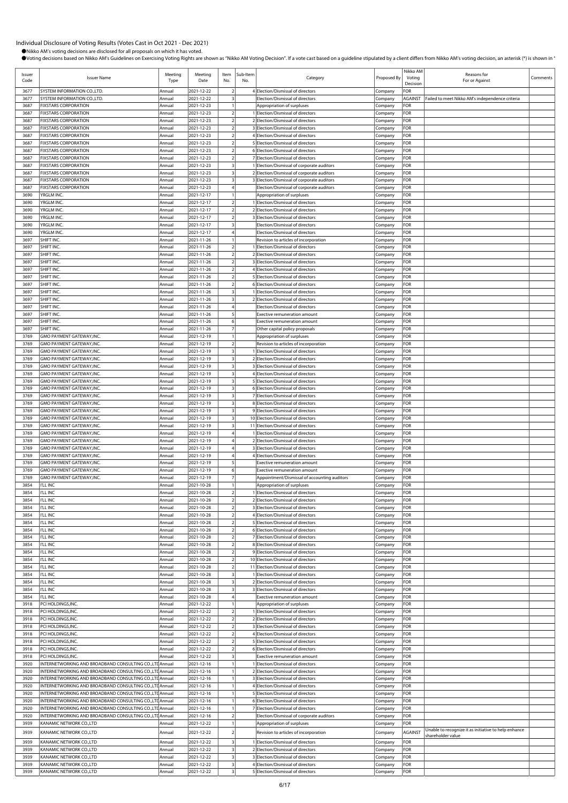| Issuer<br>Code | <b>Issuer Name</b>                                                                                                  | Meeting<br>Type  | Meeting<br>Date          | Item<br>No.                                        | Sub-Item<br>No. | Category                                                                                 | Proposed By        | Nikko AM<br>Voting<br>Decision | Reasons for<br>For or Against                        | Comments |
|----------------|---------------------------------------------------------------------------------------------------------------------|------------------|--------------------------|----------------------------------------------------|-----------------|------------------------------------------------------------------------------------------|--------------------|--------------------------------|------------------------------------------------------|----------|
| 3677           | SYSTEM INFORMATION CO., LTD.                                                                                        | Annual           | 2021-12-22               |                                                    |                 | 4 Election/Dismissal of directors                                                        | Company            | FOR                            |                                                      |          |
| 3677           | SYSTEM INFORMATION CO., LTD.                                                                                        | Annual           | 2021-12-22               | $\overline{\mathbf{3}}$                            |                 | Election/Dismissal of directors                                                          | Company            | AGAINST                        | Failed to meet Nikko AM's independence criteria      |          |
| 3687<br>3687   | <b>FIXSTARS CORPORATION</b><br><b>FIXSTARS CORPORATION</b>                                                          | Annual<br>Annual | 2021-12-23<br>2021-12-23 | $\overline{2}$                                     |                 | Appropriation of surpluses<br>1 Election/Dismissal of directors                          | Company<br>Company | FOR<br>FOR                     |                                                      |          |
| 3687           | <b>FIXSTARS CORPORATION</b>                                                                                         | Annual           | 2021-12-23               | $\overline{2}$                                     | $\overline{2}$  | Election/Dismissal of directors                                                          | Company            | FOR                            |                                                      |          |
| 3687           | <b>FIXSTARS CORPORATION</b>                                                                                         | Annual           | 2021-12-23               |                                                    |                 | 3 Election/Dismissal of directors                                                        | Company            | FOR                            |                                                      |          |
| 3687           | <b>FIXSTARS CORPORATION</b>                                                                                         | Annual           | 2021-12-23               | $\overline{2}$                                     |                 | 4 Election/Dismissal of directors                                                        | Company            | For                            |                                                      |          |
| 3687<br>3687   | <b>FIXSTARS CORPORATION</b><br><b>FIXSTARS CORPORATION</b>                                                          | Annual<br>Annual | 2021-12-23<br>2021-12-23 | $\mathcal{I}$                                      |                 | 5 Election/Dismissal of directors<br>6 Election/Dismissal of directors                   | Company<br>Company | FOR<br>FOR                     |                                                      |          |
| 3687           | <b>FIXSTARS CORPORATION</b>                                                                                         | Annual           | 2021-12-23               | $\overline{\mathbf{c}}$                            |                 | 7 Election/Dismissal of directors                                                        | Company            | FOR                            |                                                      |          |
| 3687           | <b>FIXSTARS CORPORATION</b>                                                                                         | Annual           | 2021-12-23               | $\overline{\mathbf{3}}$                            |                 | Election/Dismissal of corporate auditors                                                 | Company            | FOR                            |                                                      |          |
| 3687<br>3687   | <b>FIXSTARS CORPORATION</b><br><b>FIXSTARS CORPORATION</b>                                                          | Annual<br>Annual | 2021-12-23<br>2021-12-23 | $\overline{\mathbf{3}}$                            |                 | 2 Election/Dismissal of corporate auditors<br>3 Election/Dismissal of corporate auditors | Company            | For<br>FOR                     |                                                      |          |
| 3687           | <b>FIXSTARS CORPORATION</b>                                                                                         | Annual           | 2021-12-23               | $\overline{4}$                                     |                 | Election/Dismissal of corporate auditors                                                 | Company<br>Company | FOR                            |                                                      |          |
| 3690           | YRGLM INC.                                                                                                          | Annual           | 2021-12-17               |                                                    |                 | Appropriation of surpluses                                                               | Company            | FOR                            |                                                      |          |
| 3690           | YRGLM INC.                                                                                                          | Annual           | 2021-12-17               |                                                    |                 | Election/Dismissal of directors                                                          | Company            | FOR                            |                                                      |          |
| 3690<br>3690   | YRGLM INC.<br>YRGLM INC.                                                                                            | Annual<br>Annual | 2021-12-17<br>2021-12-17 | $\overline{2}$<br>$\overline{a}$                   |                 | 2 Election/Dismissal of directors<br>3 Election/Dismissal of directors                   | Company<br>Company | For<br>FOR                     |                                                      |          |
| 3690           | YRGLM INC.                                                                                                          | Annual           | 2021-12-17               | $\overline{\mathbf{3}}$                            |                 | Election/Dismissal of directors                                                          | Company            | FOR                            |                                                      |          |
| 3690           | YRGLM INC.                                                                                                          | Annual           | 2021-12-17               |                                                    |                 | Election/Dismissal of directors                                                          | Company            | FOR                            |                                                      |          |
| 3697           | SHIFT INC.                                                                                                          | Annual           | 2021-11-26               |                                                    |                 | Revision to articles of incorporation                                                    | Company            | FOR                            |                                                      |          |
| 3697<br>3697   | SHIFT INC.<br>SHIFT INC.                                                                                            | Annual<br>Annual | 2021-11-26<br>2021-11-26 |                                                    |                 | 1 Election/Dismissal of directors<br>2 Election/Dismissal of directors                   | Company<br>Company | For<br>FOR                     |                                                      |          |
| 3697           | SHIFT INC.                                                                                                          | Annual           | 2021-11-26               | $\overline{2}$                                     |                 | 3 Election/Dismissal of directors                                                        | Company            | FOR                            |                                                      |          |
| 3697           | SHIFT INC.                                                                                                          | Annual           | 2021-11-26               | $\overline{a}$                                     |                 | 4 Election/Dismissal of directors                                                        | Company            | FOR                            |                                                      |          |
| 3697           | SHIFT INC.                                                                                                          | Annual           | 2021-11-26               |                                                    |                 | 5 Election/Dismissal of directors                                                        | Company            | FOR                            |                                                      |          |
| 3697<br>3697   | SHIFT INC.<br>SHIFT INC.                                                                                            | Annual<br>Annual | 2021-11-26<br>2021-11-26 | $\overline{2}$<br>3                                |                 | 6 Election/Dismissal of directors<br>1 Election/Dismissal of directors                   | Company<br>Company | For<br>FOR                     |                                                      |          |
| 3697           | SHIFT INC.                                                                                                          | Annual           | 2021-11-26               | $\overline{\mathbf{3}}$                            |                 | 2 Election/Dismissal of directors                                                        | Company            | FOR                            |                                                      |          |
| 3697           | SHIFT INC.                                                                                                          | Annual           | 2021-11-26               |                                                    |                 | Election/Dismissal of directors                                                          | Company            | FOR                            |                                                      |          |
| 3697           | SHIFT INC.                                                                                                          | Annual           | 2021-11-26               | 5                                                  |                 | <b>Exective remuneration amount</b>                                                      | Company            | FOR                            |                                                      |          |
| 3697<br>3697   | SHIFT INC.<br>SHIFT INC.                                                                                            | Annual<br>Annual | 2021-11-26<br>2021-11-26 | 6                                                  |                 | Exective remuneration amount<br>Other capital policy proposals                           | Company<br>Company | FOR<br>FOR                     |                                                      |          |
| 3769           | GMO PAYMENT GATEWAY, INC.                                                                                           | Annual           | 2021-12-19               |                                                    |                 | Appropriation of surpluses                                                               | Company            | FOR                            |                                                      |          |
| 3769           | GMO PAYMENT GATEWAY, INC.                                                                                           | Annual           | 2021-12-19               | $\overline{2}$                                     |                 | Revision to articles of incorporation                                                    | Company            | FOR                            |                                                      |          |
| 3769           | GMO PAYMENT GATEWAY, INC.                                                                                           | Annual           | 2021-12-19               |                                                    |                 | Election/Dismissal of directors                                                          | Company            | FOR                            |                                                      |          |
| 3769<br>3769   | GMO PAYMENT GATEWAY, INC.<br>GMO PAYMENT GATEWAY, INC.                                                              | Annual<br>Annual | 2021-12-19<br>2021-12-19 | 3                                                  |                 | 2 Election/Dismissal of directors<br>3 Election/Dismissal of directors                   | Company<br>Company | For<br>FOR                     |                                                      |          |
| 3769           | GMO PAYMENT GATEWAY, INC.                                                                                           | Annual           | 2021-12-19               | $\overline{\mathbf{3}}$                            |                 | 4 Election/Dismissal of directors                                                        | Company            | FOR                            |                                                      |          |
| 3769           | GMO PAYMENT GATEWAY, INC.                                                                                           | Annual           | 2021-12-19               | $\overline{\mathbf{3}}$                            |                 | 5 Election/Dismissal of directors                                                        | Company            | FOR                            |                                                      |          |
| 3769           | GMO PAYMENT GATEWAY, INC.                                                                                           | Annual           | 2021-12-19               | $\overline{\mathbf{3}}$                            |                 | 6 Election/Dismissal of directors                                                        | Company            | FOR                            |                                                      |          |
| 3769<br>3769   | GMO PAYMENT GATEWAY, INC.<br>GMO PAYMENT GATEWAY, INC.                                                              | Annual<br>Annual | 2021-12-19<br>2021-12-19 | $\overline{\mathbf{3}}$<br>3                       |                 | 7 Election/Dismissal of directors<br>8 Election/Dismissal of directors                   | Company<br>Company | For<br>FOR                     |                                                      |          |
| 3769           | GMO PAYMENT GATEWAY, INC.                                                                                           | Annual           | 2021-12-19               | $\overline{\mathbf{3}}$                            |                 | 9 Election/Dismissal of directors                                                        | Company            | FOR                            |                                                      |          |
| 3769           | GMO PAYMENT GATEWAY, INC.                                                                                           | Annual           | 2021-12-19               | $\overline{\mathbf{3}}$                            |                 | 10 Election/Dismissal of directors                                                       | Company            | FOR                            |                                                      |          |
| 3769           | GMO PAYMENT GATEWAY, INC.                                                                                           | Annual           | 2021-12-19               | $\overline{\mathbf{3}}$                            |                 | 11 Election/Dismissal of directors                                                       | Company            | For                            |                                                      |          |
| 3769<br>3769   | GMO PAYMENT GATEWAY, INC.<br>GMO PAYMENT GATEWAY, INC.                                                              | Annual<br>Annual | 2021-12-19<br>2021-12-19 |                                                    |                 | 1 Election/Dismissal of directors<br>2 Election/Dismissal of directors                   | Company<br>Company | For<br>FOR                     |                                                      |          |
| 3769           | GMO PAYMENT GATEWAY, INC.                                                                                           | Annual           | 2021-12-19               |                                                    |                 | 3 Election/Dismissal of directors                                                        | Company            | FOR                            |                                                      |          |
| 3769           | GMO PAYMENT GATEWAY.INC.                                                                                            | Annual           | 2021-12-19               |                                                    |                 | 4 Election/Dismissal of directors                                                        | Company            | FOR                            |                                                      |          |
| 3769           | GMO PAYMENT GATEWAY, INC.                                                                                           | Annual           | 2021-12-19               | 6                                                  |                 | <b>Exective remuneration amount</b><br><b>Exective remuneration amount</b>               | Company            | FOR                            |                                                      |          |
| 3769<br>3769   | GMO PAYMENT GATEWAY, INC.<br>GMO PAYMENT GATEWAY, INC.                                                              | Annual<br>Annual | 2021-12-19<br>2021-12-19 |                                                    |                 | Appointment/Dismissal of accounting auditors                                             | Company<br>Company | For<br>FOR                     |                                                      |          |
| 3854           | I'LL INC                                                                                                            | Annual           | 2021-10-28               | $\mathbf{1}$                                       |                 | Appropriation of surpluses                                                               | Company            | FOR                            |                                                      |          |
| 3854           | <b>I'LL INC</b>                                                                                                     | Annual           | 2021-10-28               | $\overline{\phantom{a}}$                           |                 | Election/Dismissal of directors                                                          | Company            | FOR                            |                                                      |          |
| 3854<br>3854   | <b>I'LL INC</b><br><b>I'LL INC</b>                                                                                  | Annual<br>Annual | 2021-10-28<br>2021-10-28 | $\overline{2}$<br>$\overline{2}$                   |                 | 2 Election/Dismissal of directors<br>3 Election/Dismissal of directors                   | Company<br>Company | For<br>For                     |                                                      |          |
| 3854           | I'LL INC                                                                                                            | Annual           | 2021-10-28               | $\overline{2}$                                     |                 | 4 Election/Dismissal of directors                                                        | Company            | FOR                            |                                                      |          |
| 3854           | <b>I'LL INC</b>                                                                                                     | Annual           | 2021-10-28               | $\overline{2}$                                     |                 | 5 Election/Dismissal of directors                                                        | Company            | FOR                            |                                                      |          |
| 3854           | I'LL INC                                                                                                            | Annual           | 2021-10-28               | $\overline{2}$                                     |                 | 6 Election/Dismissal of directors                                                        | Company            | FOR                            |                                                      |          |
| 3854<br>3854   | <b>I'LL INC</b><br>I'LL INC                                                                                         | Annual<br>Annual | 2021-10-28<br>2021-10-28 | $\overline{2}$<br>$\overline{2}$                   |                 | 7 Election/Dismissal of directors<br>8 Election/Dismissal of directors                   | Company<br>Company | FOR<br>FOR                     |                                                      |          |
| 3854           | I'LL INC                                                                                                            | Annual           | 2021-10-28               | $\overline{2}$                                     |                 | 9 Election/Dismissal of directors                                                        | Company            | FOR                            |                                                      |          |
| 3854           | <b>I'LL INC</b>                                                                                                     | Annual           | 2021-10-28               | $\overline{2}$                                     |                 | 10 Election/Dismissal of directors                                                       | Company            | FOR                            |                                                      |          |
| 3854           | I'LL INC<br><b>I'LL INC</b>                                                                                         | Annual           | 2021-10-28<br>2021-10-28 | $\overline{2}$                                     |                 | 11 Election/Dismissal of directors                                                       | Company            | FOR<br>For                     |                                                      |          |
| 3854<br>3854   | I'LL INC                                                                                                            | Annual<br>Annual | 2021-10-28               | $\overline{\mathbf{3}}$                            |                 | Election/Dismissal of directors<br>2 Election/Dismissal of directors                     | Company<br>Company | FOR                            |                                                      |          |
| 3854           | I'LL INC                                                                                                            | Annual           | 2021-10-28               | $\overline{\mathbf{3}}$                            |                 | 3 Election/Dismissal of directors                                                        | Company            | FOR                            |                                                      |          |
| 3854           | I'LL INC                                                                                                            | Annual           | 2021-10-28               | 4                                                  |                 | Exective remuneration amount                                                             | Company            | FOR                            |                                                      |          |
| 3918<br>3918   | PCI HOLDINGS, INC.<br>PCI HOLDINGS, INC.                                                                            | Annual<br>Annual | 2021-12-22<br>2021-12-22 | $\overline{2}$                                     |                 | Appropriation of surpluses<br>1 Election/Dismissal of directors                          | Company<br>Company | FOR<br>FOR                     |                                                      |          |
| 3918           | PCI HOLDINGS, INC.                                                                                                  | Annual           | 2021-12-22               | $\overline{2}$                                     |                 | 2 Election/Dismissal of directors                                                        | Company            | FOR                            |                                                      |          |
| 3918           | PCI HOLDINGS, INC.                                                                                                  | Annual           | 2021-12-22               | $\overline{2}$                                     |                 | 3 Election/Dismissal of directors                                                        | Company            | FOR                            |                                                      |          |
| 3918           | PCI HOLDINGS, INC.                                                                                                  | Annual           | 2021-12-22               | $\overline{2}$                                     |                 | 4 Election/Dismissal of directors                                                        | Company            | FOR                            |                                                      |          |
| 3918<br>3918   | PCI HOLDINGS, INC.<br>PCI HOLDINGS, INC.                                                                            | Annual<br>Annual | 2021-12-22<br>2021-12-22 | $\overline{a}$<br>$\overline{2}$                   |                 | 5 Election/Dismissal of directors<br>6 Election/Dismissal of directors                   | Company            | FOR<br>For                     |                                                      |          |
| 3918           | PCI HOLDINGS, INC.                                                                                                  | Annual           | 2021-12-22               | $\overline{\mathbf{3}}$                            |                 | <b>Exective remuneration amount</b>                                                      | Company<br>Company | FOR                            |                                                      |          |
| 3920           | INTERNETWORKING AND BROADBAND CONSULTING CO., LTD Annual                                                            |                  | 2021-12-16               |                                                    |                 | 1 Election/Dismissal of directors                                                        | Company            | FOR                            |                                                      |          |
| 3920           | INTERNETWORKING AND BROADBAND CONSULTING CO., LTD Annual                                                            |                  | 2021-12-16               |                                                    |                 | 2 Election/Dismissal of directors                                                        | Company            | FOR                            |                                                      |          |
| 3920<br>3920   | INTERNETWORKING AND BROADBAND CONSULTING CO.,LTD Annual<br>INTERNETWORKING AND BROADBAND CONSULTING CO., LTL Annual |                  | 2021-12-16<br>2021-12-16 |                                                    |                 | Election/Dismissal of directors<br>Election/Dismissal of directors                       | Company<br>Company | FOR<br>For                     |                                                      |          |
| 3920           | INTERNETWORKING AND BROADBAND CONSULTING CO., LTD Annual                                                            |                  | 2021-12-16               |                                                    |                 | 5 Election/Dismissal of directors                                                        | Company            | FOR                            |                                                      |          |
| 3920           | INTERNETWORKING AND BROADBAND CONSULTING CO., LTD Annual                                                            |                  | 2021-12-16               |                                                    |                 | 6 Election/Dismissal of directors                                                        | Company            | FOR                            |                                                      |          |
| 3920           | INTERNETWORKING AND BROADBAND CONSULTING CO.,LTD Annual                                                             |                  | 2021-12-16               |                                                    |                 | 7 Election/Dismissal of directors                                                        | Company            | FOR                            |                                                      |          |
| 3920<br>3939   | INTERNETWORKING AND BROADBAND CONSULTING CO.,LTD Annual<br>KANAMIC NETWORK CO.,LTD                                  | Annual           | 2021-12-16<br>2021-12-22 | $\mathcal{P}$                                      |                 | Election/Dismissal of corporate auditors<br>Appropriation of surpluses                   | Company<br>Company | FOR<br>FOR                     |                                                      |          |
| 3939           | KANAMIC NETWORK CO.,LTD                                                                                             | Annual           | 2021-12-22               | $\overline{2}$                                     |                 | Revision to articles of incorporation                                                    | Company            | AGAINST                        | Unable to recognize it as initiative to help enhance |          |
| 3939           | KANAMIC NETWORK CO.,LTD                                                                                             | Annual           | 2021-12-22               | $\overline{\mathbf{3}}$                            |                 | 1 Election/Dismissal of directors                                                        | Company            | FOR                            | shareholder value                                    |          |
| 3939           | KANAMIC NETWORK CO.,LTD                                                                                             | Annual           | 2021-12-22               | $\overline{\mathbf{3}}$                            |                 | 2 Election/Dismissal of directors                                                        | Company            | FOR                            |                                                      |          |
| 3939           | KANAMIC NETWORK CO.,LTD                                                                                             | Annual           | 2021-12-22               | $\overline{\mathbf{3}}$                            |                 | 3 Election/Dismissal of directors                                                        | Company            | FOR                            |                                                      |          |
| 3939<br>3939   | KANAMIC NETWORK CO., LTD<br>KANAMIC NETWORK CO.,LTD                                                                 | Annual<br>Annual | 2021-12-22<br>2021-12-22 | $\overline{\mathbf{3}}$<br>$\overline{\mathbf{3}}$ |                 | 4 Election/Dismissal of directors<br>5 Election/Dismissal of directors                   | Company<br>Company | FOR<br>For                     |                                                      |          |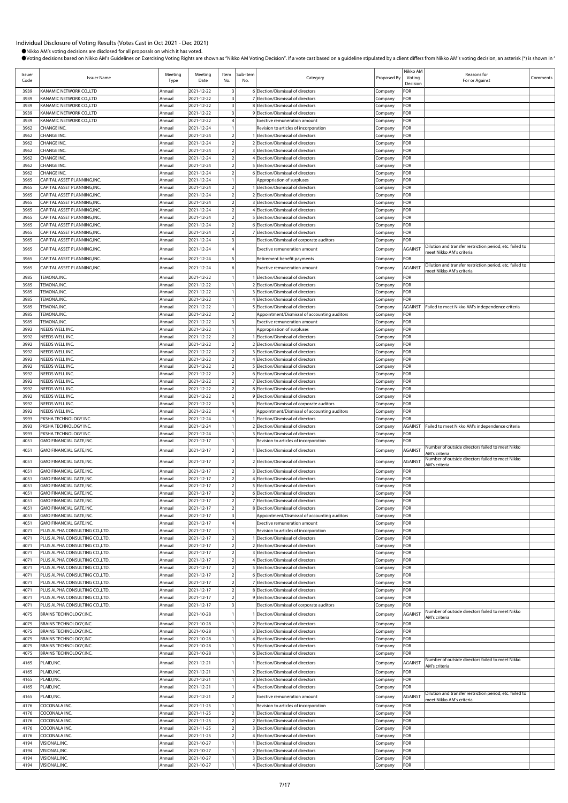| Issuer<br>Code | <b>Issuer Name</b>                                                 | Meeting<br>Type  | Meeting<br>Date          | Item<br>No.                                        | Sub-Item<br>No. | Category                                                                                 | Proposed By        | Nikko AM<br>Voting<br>Decision | Reasons for<br>For or Against                                                        | Comments |
|----------------|--------------------------------------------------------------------|------------------|--------------------------|----------------------------------------------------|-----------------|------------------------------------------------------------------------------------------|--------------------|--------------------------------|--------------------------------------------------------------------------------------|----------|
| 3939           | KANAMIC NETWORK CO.,LTD                                            | Annual           | 2021-12-22               | $\overline{\mathbf{3}}$                            |                 | 6 Election/Dismissal of directors                                                        | Company            | FOR                            |                                                                                      |          |
| 3939           | KANAMIC NETWORK CO.,LTD                                            | Annual           | 2021-12-22               | $\overline{\mathbf{3}}$                            |                 | 7 Election/Dismissal of directors                                                        | Company            | FOR                            |                                                                                      |          |
| 3939<br>3939   | KANAMIC NETWORK CO.,LTD<br>KANAMIC NETWORK CO., LTD                | Annual<br>Annual | 2021-12-22<br>2021-12-22 | $\overline{\mathbf{3}}$<br>$\overline{\mathbf{3}}$ |                 | 8 Election/Dismissal of directors<br>9 Election/Dismissal of directors                   | Company<br>Company | FOR<br>FOR                     |                                                                                      |          |
| 3939           | KANAMIC NETWORK CO.,LTD                                            | Annual           | 2021-12-22               | $\overline{4}$                                     |                 | <b>Exective remuneration amount</b>                                                      | Company            | FOR                            |                                                                                      |          |
| 3962           | CHANGE INC.                                                        | Annual           | 2021-12-24               | $\mathbf{1}$                                       |                 | Revision to articles of incorporation                                                    | Company            | FOR                            |                                                                                      |          |
| 3962           | CHANGE INC.                                                        | Annual           | 2021-12-24               | $\overline{\mathbf{2}}$                            |                 | 1 Election/Dismissal of directors                                                        | Company            | FOR                            |                                                                                      |          |
| 3962<br>3962   | CHANGE INC.<br>CHANGE INC.                                         | Annual<br>Annual | 2021-12-24<br>2021-12-24 | $\overline{2}$<br>$\overline{2}$                   |                 | 2 Election/Dismissal of directors<br>3 Election/Dismissal of directors                   | Company<br>Company | FOR<br>FOR                     |                                                                                      |          |
| 3962           | CHANGE INC.                                                        | Annual           | 2021-12-24               | $\overline{2}$                                     |                 | 4 Election/Dismissal of directors                                                        | Company            | FOR                            |                                                                                      |          |
| 3962           | CHANGE INC.                                                        | Annual           | 2021-12-24               | $\overline{2}$                                     |                 | 5 Election/Dismissal of directors                                                        | Company            | FOR                            |                                                                                      |          |
| 3962           | CHANGE INC.                                                        | Annual           | 2021-12-24               | $\overline{2}$                                     |                 | 6 Election/Dismissal of directors                                                        | Company            | FOR                            |                                                                                      |          |
| 3965<br>3965   | CAPITAL ASSET PLANNING, INC.<br>CAPITAL ASSET PLANNING, INC.       | Annual<br>Annual | 2021-12-24<br>2021-12-24 | $\overline{2}$                                     |                 | Appropriation of surpluses<br>1 Election/Dismissal of directors                          | Company<br>Company | FOR<br>FOR                     |                                                                                      |          |
| 3965           | CAPITAL ASSET PLANNING.INC.                                        | Annual           | 2021-12-24               | $\overline{2}$                                     |                 | 2 Election/Dismissal of directors                                                        | Company            | FOR                            |                                                                                      |          |
| 3965           | CAPITAL ASSET PLANNING, INC.                                       | Annual           | 2021-12-24               | $\overline{2}$                                     |                 | 3 Election/Dismissal of directors                                                        | Company            | FOR                            |                                                                                      |          |
| 3965           | CAPITAL ASSET PLANNING, INC.                                       | Annual           | 2021-12-24               | $\overline{2}$                                     |                 | 4 Election/Dismissal of directors                                                        | Company            | FOR                            |                                                                                      |          |
| 3965<br>3965   | CAPITAL ASSET PLANNING, INC.<br>CAPITAL ASSET PLANNING, INC.       | Annual<br>Annual | 2021-12-24<br>2021-12-24 | $\overline{2}$<br>$\overline{2}$                   |                 | 5 Election/Dismissal of directors<br>6 Election/Dismissal of directors                   | Company<br>Company | FOR<br>FOR                     |                                                                                      |          |
| 3965           | CAPITAL ASSET PLANNING, INC.                                       | Annual           | 2021-12-24               | $\overline{2}$                                     |                 | 7 Election/Dismissal of directors                                                        | Company            | FOR                            |                                                                                      |          |
| 3965           | CAPITAL ASSET PLANNING, INC.                                       | Annual           | 2021-12-24               | $\overline{\mathbf{3}}$                            |                 | Election/Dismissal of corporate auditors                                                 | Company            | FOR                            |                                                                                      |          |
| 3965           | CAPITAL ASSET PLANNING, INC.                                       | Annual           | 2021-12-24               |                                                    |                 | Exective remuneration amount                                                             | Company            | AGAINST                        | Dilution and transfer restriction period, etc. failed to<br>meet Nikko AM's criteria |          |
| 3965           | CAPITAL ASSET PLANNING, INC.                                       | Annual           | 2021-12-24               | 5                                                  |                 | Retirement benefit payments                                                              | Company            | FOR                            |                                                                                      |          |
| 3965           | CAPITAL ASSET PLANNING, INC.                                       | Annual           | 2021-12-24               | 6                                                  |                 | Exective remuneration amount                                                             | Company            | AGAINST                        | Dilution and transfer restriction period, etc. failed to<br>meet Nikko AM's criteria |          |
| 3985           | TEMONA.INC.                                                        | Annual           | 2021-12-22               |                                                    |                 | 1 Election/Dismissal of directors                                                        | Company            | FOR                            |                                                                                      |          |
| 3985           | TEMONA.INC.                                                        | Annual           | 2021-12-22               | 1                                                  |                 | 2 Election/Dismissal of directors                                                        | Company            | FOR                            |                                                                                      |          |
| 3985<br>3985   | TEMONA.INC.<br>TEMONA.INC.                                         | Annual<br>Annual | 2021-12-22<br>2021-12-22 | $\mathbf{1}$                                       |                 | 3 Election/Dismissal of directors<br>4 Election/Dismissal of directors                   | Company<br>Company | FOR<br>FOR                     |                                                                                      |          |
| 3985           | TEMONA.INC.                                                        | Annual           | 2021-12-22               | $\mathbf{1}$                                       |                 | 5 Election/Dismissal of directors                                                        | Company            | AGAINST                        | Failed to meet Nikko AM's independence criteria                                      |          |
| 3985           | TEMONA.INC.                                                        | Annual           | 2021-12-22               | $\overline{2}$                                     |                 | Appointment/Dismissal of accounting auditors                                             | Company            | FOR                            |                                                                                      |          |
| 3985           | TEMONA.INC.                                                        | Annual           | 2021-12-22               | $\overline{\mathbf{3}}$                            |                 | Exective remuneration amount                                                             | Company            | FOR                            |                                                                                      |          |
| 3992<br>3992   | NEEDS WELL INC.<br>NEEDS WELL INC.                                 | Annual<br>Annual | 2021-12-22<br>2021-12-22 | $\overline{2}$                                     |                 | Appropriation of surpluses<br>1 Election/Dismissal of directors                          | Company<br>Company | FOR<br>FOR                     |                                                                                      |          |
| 3992           | NEEDS WELL INC.                                                    | Annual           | 2021-12-22               | $\overline{2}$                                     |                 | 2 Election/Dismissal of directors                                                        | Company            | FOR                            |                                                                                      |          |
| 3992           | NEEDS WELL INC.                                                    | Annual           | 2021-12-22               | $\overline{2}$                                     |                 | 3 Election/Dismissal of directors                                                        | Company            | FOR                            |                                                                                      |          |
| 3992           | NEEDS WELL INC.                                                    | Annual           | 2021-12-22               | $\overline{2}$                                     |                 | 4 Election/Dismissal of directors                                                        | Company            | FOR                            |                                                                                      |          |
| 3992<br>3992   | NEEDS WELL INC.<br>NEEDS WELL INC.                                 | Annual<br>Annual | 2021-12-22<br>2021-12-22 | $\overline{2}$<br>$\overline{2}$                   |                 | 5 Election/Dismissal of directors<br>6 Election/Dismissal of directors                   | Company<br>Company | FOR<br>FOR                     |                                                                                      |          |
| 3992           | NEEDS WELL INC.                                                    | Annual           | 2021-12-22               | $\overline{2}$                                     |                 | 7 Election/Dismissal of directors                                                        | Company            | FOR                            |                                                                                      |          |
| 3992           | NEEDS WELL INC.                                                    | Annual           | 2021-12-22               | $\overline{2}$                                     |                 | 8 Election/Dismissal of directors                                                        | Company            | FOR                            |                                                                                      |          |
| 3992           | NEEDS WELL INC.                                                    | Annual           | 2021-12-22               | $\overline{2}$                                     |                 | 9 Election/Dismissal of directors                                                        | Company            | FOR                            |                                                                                      |          |
| 3992<br>3992   | NEEDS WELL INC.<br>NEEDS WELL INC.                                 | Annual<br>Annual | 2021-12-22<br>2021-12-22 | $\overline{\mathbf{3}}$<br>$\overline{4}$          |                 | Election/Dismissal of corporate auditors<br>Appointment/Dismissal of accounting auditors | Company<br>Company | FOR<br>FOR                     |                                                                                      |          |
| 3993           | PKSHA TECHNOLOGY INC.                                              | Annual           | 2021-12-24               | $\mathbf{1}$                                       |                 | 1 Election/Dismissal of directors                                                        | Company            | FOR                            |                                                                                      |          |
| 3993           | PKSHA TECHNOLOGY INC.                                              | Annual           | 2021-12-24               | $\overline{1}$                                     |                 | 2 Election/Dismissal of directors                                                        | Company            | AGAINST                        | Failed to meet Nikko AM's independence criteria                                      |          |
| 3993           | PKSHA TECHNOLOGY INC.                                              | Annual           | 2021-12-24               | $\mathbf{1}$                                       |                 | 3 Election/Dismissal of directors                                                        | Company            | FOR                            |                                                                                      |          |
| 4051           | GMO FINANCIAL GATE, INC.                                           | Annual           | 2021-12-17               |                                                    |                 | Revision to articles of incorporation                                                    | Company            | FOR                            | Number of outside directors failed to meet Nikko                                     |          |
| 4051           | GMO FINANCIAL GATE, INC.                                           | Annual           | 2021-12-17               | $\overline{2}$                                     |                 | 1 Election/Dismissal of directors                                                        | Company            | AGAINST                        | AM's criteria                                                                        |          |
| 4051           | GMO FINANCIAL GATE, INC.                                           | Annual           | 2021-12-17               | $\mathcal{P}$                                      |                 | 2 Election/Dismissal of directors                                                        | Company            | AGAINST                        | Number of outside directors failed to meet Nikko<br>AM's criteria                    |          |
| 4051           | GMO FINANCIAL GATE, INC.                                           | Annual           | 2021-12-17               | $\overline{2}$                                     |                 | 3 Election/Dismissal of directors                                                        | Company            | FOR                            |                                                                                      |          |
| 4051<br>4051   | GMO FINANCIAL GATE, INC.<br>GMO FINANCIAL GATE, INC.               | Annual<br>Annual | 2021-12-17<br>2021-12-17 | $\overline{2}$<br>$\overline{2}$                   |                 | 4 Election/Dismissal of directors<br>5 Election/Dismissal of directors                   | Company<br>Company | FOR<br>FOR                     |                                                                                      |          |
| 4051           | <b>GMO FINANCIAL GATE, INC.</b>                                    | Annual           | 2021-12-17               | $\overline{2}$                                     |                 | 6 Election/Dismissal of directors                                                        | Company            | FOR                            |                                                                                      |          |
| 4051           | GMO FINANCIAL GATE, INC.                                           | Annual           | 2021-12-17               | $\overline{2}$                                     |                 | 7 Election/Dismissal of directors                                                        | Company            | FOR                            |                                                                                      |          |
| 4051           | GMO FINANCIAL GATE, INC.                                           | Annual           | 2021-12-17               | $\overline{\mathbf{2}}$                            |                 | 8 Election/Dismissal of directors                                                        | Company            | FOR                            |                                                                                      |          |
| 4051<br>4051   | GMO FINANCIAL GATE, INC.<br>GMO FINANCIAL GATE, INC.               | Annual<br>Annual | 2021-12-17<br>2021-12-17 | $\overline{\mathbf{3}}$<br>$\overline{4}$          |                 | Appointment/Dismissal of accounting auditors<br>Exective remuneration amount             | Company<br>Company | FOR<br>FOR                     |                                                                                      |          |
| 4071           | PLUS ALPHA CONSULTING CO.,LTD.                                     | Annual           | 2021-12-17               | $\mathbf{1}$                                       |                 | Revision to articles of incorporation                                                    | Company            | FOR                            |                                                                                      |          |
| 4071           | PLUS ALPHA CONSULTING CO., LTD.                                    | Annual           | 2021-12-17               | $\overline{2}$                                     |                 | 1 Election/Dismissal of directors                                                        | Company            | FOR                            |                                                                                      |          |
| 4071           | PLUS ALPHA CONSULTING CO., LTD.<br>PLUS ALPHA CONSULTING CO., LTD. | Annual           | 2021-12-17               | $\overline{2}$                                     |                 | 2 Election/Dismissal of directors<br>3 Election/Dismissal of directors                   | Company            | FOR<br>FOR                     |                                                                                      |          |
| 4071<br>4071   | PLUS ALPHA CONSULTING CO.,LTD.                                     | Annual<br>Annual | 2021-12-17<br>2021-12-17 | $\overline{2}$<br>$\overline{2}$                   |                 | 4 Election/Dismissal of directors                                                        | Company<br>Company | FOR                            |                                                                                      |          |
| 4071           | PLUS ALPHA CONSULTING CO.,LTD.                                     | Annual           | 2021-12-17               | $\overline{2}$                                     |                 | 5 Election/Dismissal of directors                                                        | Company            | FOR                            |                                                                                      |          |
| 4071           | PLUS ALPHA CONSULTING CO.,LTD.                                     | Annual           | 2021-12-17               | $\overline{2}$                                     |                 | 6 Election/Dismissal of directors                                                        | Company            | FOR                            |                                                                                      |          |
| 4071<br>4071   | PLUS ALPHA CONSULTING CO., LTD.<br>PLUS ALPHA CONSULTING CO., LTD. | Annual<br>Annual | 2021-12-17<br>2021-12-17 | $\overline{2}$<br>$\overline{2}$                   |                 | 7 Election/Dismissal of directors<br>8 Election/Dismissal of directors                   | Company            | FOR<br>FOR                     |                                                                                      |          |
| 4071           | PLUS ALPHA CONSULTING CO.,LTD.                                     | Annual           | 2021-12-17               | $\overline{2}$                                     |                 | 9 Election/Dismissal of directors                                                        | Company<br>Company | FOR                            |                                                                                      |          |
| 4071           | PLUS ALPHA CONSULTING CO., LTD.                                    | Annual           | 2021-12-17               | $\overline{\mathbf{3}}$                            |                 | Election/Dismissal of corporate auditors                                                 | Company            | FOR                            |                                                                                      |          |
| 4075           | BRAINS TECHNOLOGY, INC.                                            | Annual           | 2021-10-28               |                                                    |                 | 1 Election/Dismissal of directors                                                        | Company            | AGAINST                        | Number of outside directors failed to meet Nikko<br>AM's criteria                    |          |
| 4075           | BRAINS TECHNOLOGY, INC.                                            | Annual           | 2021-10-28               | $\mathbf{1}$                                       |                 | 2 Election/Dismissal of directors                                                        | Company            | FOR                            |                                                                                      |          |
| 4075           | BRAINS TECHNOLOGY, INC.                                            | Annual           | 2021-10-28               | $\mathbf{1}$                                       |                 | 3 Election/Dismissal of directors                                                        | Company            | FOR                            |                                                                                      |          |
| 4075<br>4075   | BRAINS TECHNOLOGY, INC.<br>BRAINS TECHNOLOGY, INC.                 | Annual<br>Annual | 2021-10-28<br>2021-10-28 | $\overline{1}$<br>$\overline{1}$                   |                 | 4 Election/Dismissal of directors<br>5 Election/Dismissal of directors                   | Company            | FOR<br>FOR                     |                                                                                      |          |
| 4075           | BRAINS TECHNOLOGY, INC.                                            | Annual           | 2021-10-28               | $\mathbf{1}$                                       |                 | 6 Election/Dismissal of directors                                                        | Company<br>Company | FOR                            |                                                                                      |          |
| 4165           | PLAID, INC.                                                        | Annual           | 2021-12-21               |                                                    |                 | 1 Election/Dismissal of directors                                                        | Company            | AGAINST                        | Number of outside directors failed to meet Nikko                                     |          |
| 4165           | PLAID, INC.                                                        | Annual           | 2021-12-21               | $\mathbf{1}$                                       |                 | 2 Election/Dismissal of directors                                                        | Company            | FOR                            | AM's criteria                                                                        |          |
| 4165           | PLAID, INC.                                                        | Annual           | 2021-12-21               | $\mathbf{1}$                                       |                 | 3 Election/Dismissal of directors                                                        | Company            | FOR                            |                                                                                      |          |
| 4165           | PLAID, INC.                                                        | Annual           | 2021-12-21               | $\mathbf{1}$                                       |                 | 4 Election/Dismissal of directors                                                        | Company            | FOR                            |                                                                                      |          |
| 4165           | PLAID, INC.                                                        | Annual           | 2021-12-21               | $\overline{2}$                                     |                 | Exective remuneration amount                                                             | Company            | AGAINST                        | Dilution and transfer restriction period, etc. failed to<br>meet Nikko AM's criteria |          |
| 4176           | COCONALA INC.                                                      | Annual           | 2021-11-25               | $\mathbf{1}$                                       |                 | Revision to articles of incorporation                                                    | Company            | FOR                            |                                                                                      |          |
| 4176           | COCONALA INC.                                                      | Annual           | 2021-11-25               | $\overline{2}$                                     |                 | 1 Election/Dismissal of directors<br>2 Election/Dismissal of directors                   | Company            | FOR<br>FOR                     |                                                                                      |          |
| 4176<br>4176   | COCONALA INC.<br>COCONALA INC.                                     | Annual<br>Annual | 2021-11-25<br>2021-11-25 | $\sqrt{2}$<br>$\overline{2}$                       |                 | 3 Election/Dismissal of directors                                                        | Company<br>Company | FOR                            |                                                                                      |          |
| 4176           | COCONALA INC.                                                      | Annual           | 2021-11-25               | $\sqrt{2}$                                         |                 | 4 Election/Dismissal of directors                                                        | Company            | FOR                            |                                                                                      |          |
| 4194           | VISIONAL, INC.                                                     | Annual           | 2021-10-27               | $\overline{1}$                                     |                 | 1 Election/Dismissal of directors                                                        | Company            | FOR                            |                                                                                      |          |
| 4194<br>4194   | VISIONAL, INC.<br>VISIONAL, INC.                                   | Annual<br>Annual | 2021-10-27<br>2021-10-27 | $\mathbf{1}$<br>$\mathbf{1}$                       |                 | 2 Election/Dismissal of directors<br>3 Election/Dismissal of directors                   | Company<br>Company | FOR<br>FOR                     |                                                                                      |          |
| 4194           | VISIONAL, INC.                                                     | Annual           | 2021-10-27               | $\mathbf{1}$                                       |                 | 4 Election/Dismissal of directors                                                        | Company            | FOR                            |                                                                                      |          |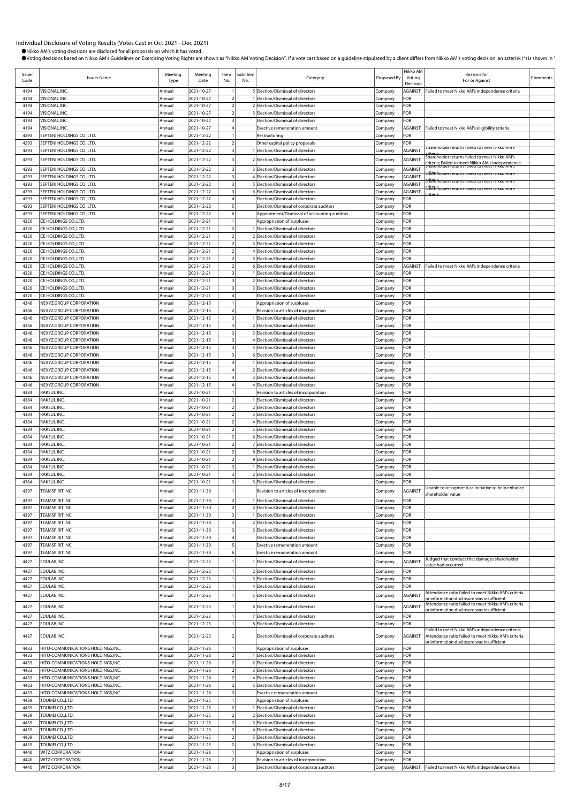| Issuer<br>Code | <b>Issuer Name</b>                                                      | Meeting<br>Type  | Meeting<br>Date          | Item<br>No.                          | Sub-Item<br>No. | Category                                                                    | Proposed By        | Nikko AM<br>Voting<br>Decision | Reasons for<br>For or Against                                                                                          | Comments |
|----------------|-------------------------------------------------------------------------|------------------|--------------------------|--------------------------------------|-----------------|-----------------------------------------------------------------------------|--------------------|--------------------------------|------------------------------------------------------------------------------------------------------------------------|----------|
| 4194           | VISIONAL, INC.                                                          | Annual           | 2021-10-27               | $\mathbf{1}$                         |                 | 5 Election/Dismissal of directors                                           | Company            | <b>AGAINST</b>                 | Failed to meet Nikko AM's independence criteria                                                                        |          |
| 4194<br>4194   | VISIONAL, INC.<br>VISIONAL, INC.                                        | Annual<br>Annual | 2021-10-27<br>2021-10-27 | 2<br>2                               |                 | 1 Election/Dismissal of directors<br>2 Election/Dismissal of directors      | Company<br>Company | FOR<br>FOR                     |                                                                                                                        |          |
| 4194           | VISIONAL, INC.                                                          | Annual           | 2021-10-27               | 2                                    |                 | 3 Election/Dismissal of directors                                           | Company            | FOR                            |                                                                                                                        |          |
| 4194           | VISIONAL, INC.                                                          | Annual           | 2021-10-27               | $\overline{3}$                       |                 | Election/Dismissal of directors                                             | Company            | FOR                            |                                                                                                                        |          |
| 4194           | VISIONAL.INC.                                                           | Annual           | 2021-10-27               | 4                                    |                 | Exective remuneration amount                                                | Company            |                                | AGAINST Failed to meet Nikko AM's eligibility criteria                                                                 |          |
| 4293<br>4293   | SEPTENI HOLDINGS CO.,LTD.<br>SEPTENI HOLDINGS CO., LTD.                 | Annual<br>Annual | 2021-12-22<br>2021-12-22 | $\mathbf{1}$<br>$\mathbf 2$          |                 | Restructuring<br>Other capital policy proposals                             | Company<br>Company | FOR<br>FOR                     |                                                                                                                        |          |
| 4293           | SEPTENI HOLDINGS CO.,LTD.                                               | Annual           | 2021-12-22               | $\frac{3}{2}$                        |                 | 1 Election/Dismissal of directors                                           | Company            | <b>AGAINST</b>                 | returns failed to meet inikko Aivi !                                                                                   |          |
| 4293           | SEPTENI HOLDINGS CO.,LTD.                                               | Annual           | 2021-12-22               | 3                                    |                 | 2 Election/Dismissal of directors                                           | Company            | <b>AGAINST</b>                 | Shareholder returns failed to meet Nikko AM's                                                                          |          |
| 4293           | SEPTENI HOLDINGS CO.,LTD.                                               | Annual           | 2021-12-22               | $\overline{\mathbf{3}}$              |                 | 3 Election/Dismissal of directors                                           | Company            | <b>AGAINST</b>                 | criteria; Failed to meet Nikko AM's independence<br>Snarenoider returns railed to meet Nikko AM s                      |          |
| 4293           | SEPTENI HOLDINGS CO.,LTD.                                               | Annual           | 2021-12-22               | $\vert$ 3                            |                 | 4 Election/Dismissal of directors                                           | Company            | <b>AGAINST</b>                 |                                                                                                                        |          |
| 4293           | SEPTENI HOLDINGS CO.,LTD.                                               | Annual           | 2021-12-22               | $\vert$                              |                 | 5 Election/Dismissal of directors                                           | Company            | <b>AGAINST</b>                 | <del>ที่ล้ใย่ก</del> ้อเตer returns failed to meet Nikko AM ร<br><u>Titari nomer returns raned to meet inikko Aims</u> |          |
| 4293           | SEPTENI HOLDINGS CO.,LTD.                                               | Annual           | 2021-12-22               | 3                                    |                 | 6 Election/Dismissal of directors                                           | Company            | <b>AGAINST</b>                 |                                                                                                                        |          |
| 4293<br>4293   | SEPTENI HOLDINGS CO., LTD.<br>SEPTENI HOLDINGS CO.,LTD.                 | Annual<br>Annual | 2021-12-22<br>2021-12-22 | $\overline{4}$<br>5                  |                 | Election/Dismissal of directors<br>Election/Dismissal of corporate auditors | Company<br>Company | FOR<br>FOR                     |                                                                                                                        |          |
| 4293           | SEPTENI HOLDINGS CO.,LTD.                                               | Annual           | 2021-12-22               | 6                                    |                 | Appointment/Dismissal of accounting auditors                                | Company            | FOR                            |                                                                                                                        |          |
| 4320           | CE HOLDINGS CO.,LTD.                                                    | Annual           | 2021-12-21               | $\mathbf{1}$                         |                 | Appropriation of surpluses                                                  | Company            | FOR                            |                                                                                                                        |          |
| 4320           | CE HOLDINGS CO.,LTD.                                                    | Annual           | 2021-12-21               | $\overline{2}$                       |                 | 1 Election/Dismissal of directors                                           | Company            | FOR                            |                                                                                                                        |          |
| 4320<br>4320   | CE HOLDINGS CO., LTD.<br>CE HOLDINGS CO.,LTD.                           | Annual<br>Annual | 2021-12-21<br>2021-12-21 | 2<br>$\overline{2}$                  |                 | 2 Election/Dismissal of directors<br>3 Election/Dismissal of directors      | Company<br>Company | FOR<br>FOR                     |                                                                                                                        |          |
| 4320           | CE HOLDINGS CO., LTD.                                                   | Annual           | 2021-12-21               | $\overline{2}$                       |                 | 4 Election/Dismissal of directors                                           | Company            | FOR                            |                                                                                                                        |          |
| 4320           | CE HOLDINGS CO., LTD.                                                   | Annual           | 2021-12-21               | $\overline{2}$                       |                 | 5 Election/Dismissal of directors                                           | Company            | FOR                            |                                                                                                                        |          |
| 4320           | CE HOLDINGS CO.,LTD.                                                    | Annual           | 2021-12-21               | 2                                    |                 | 6 Election/Dismissal of directors                                           | Company            | AGAINST                        | Failed to meet Nikko AM's independence criteria                                                                        |          |
| 4320           | CE HOLDINGS CO.,LTD.                                                    | Annual<br>Annual | 2021-12-21               | $\frac{3}{2}$<br>3                   |                 | 1 Election/Dismissal of directors<br>2 Election/Dismissal of directors      | Company            | FOR                            |                                                                                                                        |          |
| 4320<br>4320   | CE HOLDINGS CO.,LTD.<br>CE HOLDINGS CO., LTD.                           | Annual           | 2021-12-21<br>2021-12-21 | $\vert$ 3                            |                 | 3 Election/Dismissal of directors                                           | Company<br>Company | FOR<br>FOR                     |                                                                                                                        |          |
| 4320           | CE HOLDINGS CO.,LTD.                                                    | Annual           | 2021-12-21               | $\overline{4}$                       |                 | Election/Dismissal of directors                                             | Company            | FOR                            |                                                                                                                        |          |
| 4346           | NEXYZ.GROUP CORPORATION                                                 | Annual           | 2021-12-15               | $\mathbf{1}$                         |                 | Appropriation of surpluses                                                  | Company            | FOR                            |                                                                                                                        |          |
| 4346           | NEXYZ.GROUP CORPORATION<br>NEXYZ.GROUP CORPORATION                      | Annual           | 2021-12-15               | $\overline{2}$                       |                 | Revision to articles of incorporation                                       | Company            | FOR                            |                                                                                                                        |          |
| 4346<br>4346   | NEXYZ.GROUP CORPORATION                                                 | Annual<br>Annual | 2021-12-15<br>2021-12-15 | $\overline{\mathbf{3}}$<br>$\vert$ 3 |                 | 1 Election/Dismissal of directors<br>2 Election/Dismissal of directors      | Company<br>Company | FOR<br>FOR                     |                                                                                                                        |          |
| 4346           | NEXYZ.GROUP CORPORATION                                                 | Annual           | 2021-12-15               | $\overline{\mathbf{3}}$              |                 | 3 Election/Dismissal of directors                                           | Company            | FOR                            |                                                                                                                        |          |
| 4346           | NEXYZ.GROUP CORPORATION                                                 | Annual           | 2021-12-15               | $\frac{3}{2}$                        |                 | 4 Election/Dismissal of directors                                           | Company            | FOR                            |                                                                                                                        |          |
| 4346           | NEXYZ.GROUP CORPORATION                                                 | Annual           | 2021-12-15               | $\frac{3}{2}$                        |                 | 5 Election/Dismissal of directors                                           | Company            | FOR                            |                                                                                                                        |          |
| 4346<br>4346   | NEXYZ.GROUP CORPORATION<br>NEXYZ.GROUP CORPORATION                      | Annual<br>Annual | 2021-12-15<br>2021-12-15 | 3<br>$\overline{4}$                  |                 | 6 Election/Dismissal of directors<br>1 Election/Dismissal of directors      | Company            | FOR<br>FOR                     |                                                                                                                        |          |
| 4346           | NEXYZ.GROUP CORPORATION                                                 | Annual           | 2021-12-15               | $\overline{4}$                       |                 | 2 Election/Dismissal of directors                                           | Company<br>Company | FOR                            |                                                                                                                        |          |
| 4346           | NEXYZ.GROUP CORPORATION                                                 | Annual           | 2021-12-15               | $\overline{4}$                       |                 | 3 Election/Dismissal of directors                                           | Company            | FOR                            |                                                                                                                        |          |
| 4346           | NEXYZ.GROUP CORPORATION                                                 | Annual           | 2021-12-15               | $\overline{4}$                       |                 | 4 Election/Dismissal of directors                                           | Company            | FOR                            |                                                                                                                        |          |
| 4384           | RAKSUL INC.                                                             | Annual           | 2021-10-21               | $\mathbf{1}$                         |                 | Revision to articles of incorporation                                       | Company            | FOR                            |                                                                                                                        |          |
| 4384<br>4384   | RAKSUL INC.<br>RAKSUL INC.                                              | Annual<br>Annual | 2021-10-21<br>2021-10-21 | $\overline{2}$<br>2                  |                 | 1 Election/Dismissal of directors<br>2 Election/Dismissal of directors      | Company            | FOR<br>FOR                     |                                                                                                                        |          |
| 4384           | RAKSUL INC.                                                             | Annual           | 2021-10-21               | 2                                    |                 | 3 Election/Dismissal of directors                                           | Company<br>Company | FOR                            |                                                                                                                        |          |
| 4384           | RAKSUL INC.                                                             | Annual           | 2021-10-21               | $\overline{2}$                       |                 | 4 Election/Dismissal of directors                                           | Company            | FOR                            |                                                                                                                        |          |
| 4384           | raksul inc.                                                             | Annual           | 2021-10-21               | $\overline{2}$                       |                 | 5 Election/Dismissal of directors                                           | Company            | FOR                            |                                                                                                                        |          |
| 4384<br>4384   | RAKSUL INC.                                                             | Annual           | 2021-10-21               | $\overline{2}$                       |                 | 6 Election/Dismissal of directors<br>7 Election/Dismissal of directors      | Company            | FOR                            |                                                                                                                        |          |
| 4384           | RAKSUL INC.<br>RAKSUL INC.                                              | Annual<br>Annual | 2021-10-21<br>2021-10-21 | $\overline{2}$<br>2                  |                 | 8 Election/Dismissal of directors                                           | Company<br>Company | FOR<br>FOR                     |                                                                                                                        |          |
| 4384           | RAKSUL INC.                                                             | Annual           | 2021-10-21               | $\overline{2}$                       |                 | 9 Election/Dismissal of directors                                           | Company            | FOR                            |                                                                                                                        |          |
| 4384           | RAKSUL INC.                                                             | Annual           | 2021-10-21               | $\overline{\mathbf{3}}$              |                 | 1 Election/Dismissal of directors                                           | Company            | FOR                            |                                                                                                                        |          |
| 4384           | RAKSUL INC.                                                             | Annual           | 2021-10-21               | $\vert$ 3                            |                 | 2 Election/Dismissal of directors                                           | Company            | FOR                            |                                                                                                                        |          |
| 4384           | RAKSUL INC.                                                             | Annual           | 2021-10-21               | 3                                    |                 | 3 Election/Dismissal of directors                                           | Company            | FOR                            | Unable to recognize it as initiative to help enhance                                                                   |          |
| 4397           | TEAMSPIRIT INC.                                                         | Annual           | 2021-11-30               |                                      |                 | Revision to articles of incorporation                                       | Company            | <b>AGAINST</b>                 | hareholder value                                                                                                       |          |
| 4397<br>4397   | TEAMSPIRIT INC.                                                         | Annual           | 2021-11-30               | 2                                    |                 | 1 Election/Dismissal of directors                                           | Company            | FOR                            |                                                                                                                        |          |
| 4397           | TEAMSPIRIT INC.<br>TEAMSPIRIT INC.                                      | Annual<br>Annual | 2021-11-30<br>2021-11-30 | 2<br>$\frac{3}{2}$                   |                 | 2 Election/Dismissal of directors<br>1 Election/Dismissal of directors      | Company<br>Company | FOR<br>FOR                     |                                                                                                                        |          |
| 4397           | TEAMSPIRIT INC.                                                         | Annual           | 2021-11-30               | $\vert$ 3                            |                 | 2 Election/Dismissal of directors                                           | Company            | FOR                            |                                                                                                                        |          |
| 4397           | TEAMSPIRIT INC.                                                         | Annual           | 2021-11-30               | $\frac{3}{2}$                        |                 | 3 Election/Dismissal of directors                                           | Company            | FOR                            |                                                                                                                        |          |
| 4397           | TEAMSPIRIT INC.                                                         | Annual           | 2021-11-30               | 4                                    |                 | Election/Dismissal of directors                                             | Company            | FOR                            |                                                                                                                        |          |
| 4397<br>4397   | TEAMSPIRIT INC.<br>TEAMSPIRIT INC.                                      | Annual<br>Annual | 2021-11-30<br>2021-11-30 | $\mathbf{5}$<br>6                    |                 | Exective remuneration amount<br>Exective remuneration amount                | Company<br>Company | FOR<br>FOR                     |                                                                                                                        |          |
| 4427           | EDULAB, INC.                                                            | Annual           | 2021-12-23               |                                      |                 | 1 Election/Dismissal of directors                                           | Company            | <b>AGAINST</b>                 | Judged that conduct that damages shareholder                                                                           |          |
| 4427           | EDULAB, INC.                                                            | Annual           | 2021-12-23               | 1                                    |                 | 2 Election/Dismissal of directors                                           | Company            | FOR                            | value had occurred                                                                                                     |          |
| 4427           | EDULAB, INC.                                                            | Annual           | 2021-12-23               | $\mathbf{1}$                         |                 | 3 Election/Dismissal of directors                                           | Company            | FOR                            |                                                                                                                        |          |
| 4427           | EDULAB, INC.                                                            | Annual           | 2021-12-23               | $\mathbf{1}$                         |                 | 4 Election/Dismissal of directors                                           | Company            | FOR                            |                                                                                                                        |          |
| 4427           | EDULAB, INC.                                                            | Annual           | 2021-12-23               |                                      |                 | 5 Election/Dismissal of directors                                           | Company            | <b>AGAINST</b>                 | Attendance ratio failed to meet Nikko AM's criteria<br>or information disclosure was insufficient                      |          |
| 4427           | EDULAB, INC.                                                            | Annual           | 2021-12-23               |                                      |                 | 6 Election/Dismissal of directors                                           | Company            | <b>AGAINST</b>                 | Attendance ratio failed to meet Nikko AM's criteria                                                                    |          |
| 4427           | EDULAB, INC.                                                            |                  | 2021-12-23               | $\mathbf{1}$                         |                 | 7 Election/Dismissal of directors                                           |                    | FOR                            | or information disclosure was insufficient                                                                             |          |
| 4427           | EDULAB, INC.                                                            | Annual<br>Annual | 2021-12-23               | $\mathbf{1}$                         |                 | 8 Election/Dismissal of directors                                           | Company<br>Company | FOR                            |                                                                                                                        |          |
| 4427           | EDULAB, INC.                                                            | Annual           | 2021-12-23               | 2                                    |                 | Election/Dismissal of corporate auditors                                    | Company            | AGAINST                        | Failed to meet Nikko AM's independence criteria;<br>Attendance ratio failed to meet Nikko AM's criteria                |          |
| 4433           | HITO-COMMUNICATIONS HOLDINGS, INC.                                      | Annual           | 2021-11-26               | 1                                    |                 | Appropriation of surpluses                                                  | Company            | FOR                            | or information disclosure was insufficient                                                                             |          |
| 4433           | HITO-COMMUNICATIONS HOLDINGS, INC.                                      | Annual           | 2021-11-26               | $\overline{2}$                       |                 | 1 Election/Dismissal of directors                                           | Company            | FOR                            |                                                                                                                        |          |
| 4433           | HITO-COMMUNICATIONS HOLDINGS, INC.                                      | Annual           | 2021-11-26               | $\overline{2}$                       |                 | 2 Election/Dismissal of directors                                           | Company            | FOR                            |                                                                                                                        |          |
| 4433<br>4433   | HITO-COMMUNICATIONS HOLDINGS, INC.<br>HITO-COMMUNICATIONS HOLDINGS,INC. | Annual           | 2021-11-26<br>2021-11-26 | 2<br>2                               |                 | 3 Election/Dismissal of directors                                           | Company            | FOR<br>FOR                     |                                                                                                                        |          |
| 4433           | HITO-COMMUNICATIONS HOLDINGS, INC.                                      | Annual<br>Annual | 2021-11-26               | 2                                    |                 | 4 Election/Dismissal of directors<br>5 Election/Dismissal of directors      | Company<br>Company | FOR                            |                                                                                                                        |          |
| 4433           | HITO-COMMUNICATIONS HOLDINGS, INC.                                      | Annual           | 2021-11-26               | $\vert$                              |                 | Exective remuneration amount                                                | Company            | FOR                            |                                                                                                                        |          |
| 4439           | TOUMEI CO.,LTD.                                                         | Annual           | 2021-11-25               | $\frac{1}{2}$                        |                 | Appropriation of surpluses                                                  | Company            | FOR                            |                                                                                                                        |          |
| 4439           | TOUMEI CO.,LTD.                                                         | Annual           | 2021-11-25               | $\overline{2}$                       |                 | 1 Election/Dismissal of directors                                           | Company            | FOR                            |                                                                                                                        |          |
| 4439<br>4439   | TOUMEI CO.,LTD.<br>TOUMEI CO.,LTD.                                      | Annual<br>Annual | 2021-11-25<br>2021-11-25 | $\overline{2}$<br>2                  |                 | 2 Election/Dismissal of directors<br>3 Election/Dismissal of directors      | Company<br>Company | FOR<br>FOR                     |                                                                                                                        |          |
| 4439           | TOUMEI CO.,LTD.                                                         | Annual           | 2021-11-25               | $\overline{2}$                       |                 | 4 Election/Dismissal of directors                                           | Company            | FOR                            |                                                                                                                        |          |
| 4439           | TOUMEI CO.,LTD.                                                         | Annual           | 2021-11-25               | $\overline{2}$                       |                 | 5 Election/Dismissal of directors                                           | Company            | FOR                            |                                                                                                                        |          |
| 4439           | TOUMEI CO.,LTD.                                                         | Annual           | 2021-11-25               | $\mathbf 2$                          |                 | 6 Election/Dismissal of directors                                           | Company            | FOR                            |                                                                                                                        |          |
| 4440<br>4440   | WITZ CORPORATION<br><b>WITZ CORPORATION</b>                             | Annual<br>Annual | 2021-11-26<br>2021-11-26 | $\mathbf{1}$<br>2                    |                 | Appropriation of surpluses<br>Revision to articles of incorporation         | Company<br>Company | FOR<br>FOR                     |                                                                                                                        |          |
| 4440           | WITZ CORPORATION                                                        | Annual           | 2021-11-26               | $\overline{\mathbf{3}}$              |                 | Election/Dismissal of corporate auditors                                    | Company            |                                | AGAINST Failed to meet Nikko AM's independence criteria                                                                |          |
|                |                                                                         |                  |                          |                                      |                 |                                                                             |                    |                                |                                                                                                                        |          |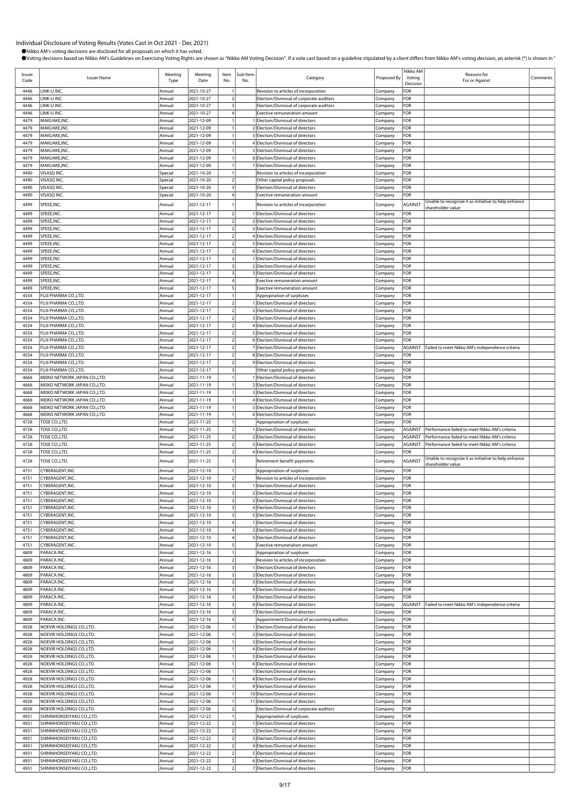| Issuer<br>Code | <b>Issuer Name</b>                                           | Meeting<br>Type    | Meeting<br>Date          | Item<br>No.                                        | Sub-Item<br>No. | Category                                                                          | Proposed By        | Nikko AM<br>Voting<br>Decision | Reasons for<br>For or Against                        | Comments |
|----------------|--------------------------------------------------------------|--------------------|--------------------------|----------------------------------------------------|-----------------|-----------------------------------------------------------------------------------|--------------------|--------------------------------|------------------------------------------------------|----------|
| 4446           | LINK-U INC.                                                  | Annual             | 2021-10-27               |                                                    |                 | Revision to articles of incorporation                                             | Company            | FOR                            |                                                      |          |
| 4446           | LINK-U INC.                                                  | Annual             | 2021-10-27               | $\overline{2}$                                     |                 | Election/Dismissal of corporate auditors                                          | Company            | FOR                            |                                                      |          |
| 4446<br>4446   | LINK-U INC.<br>LINK-U INC.                                   | Annual<br>Annual   | 2021-10-27<br>2021-10-27 | $\overline{4}$                                     |                 | Election/Dismissal of corporate auditors                                          | Company            | FOR<br>FOR                     |                                                      |          |
| 4479           | MAKUAKE, INC.                                                | Annual             | 2021-12-09               |                                                    |                 | <b>Exective remuneration amount</b><br>1 Election/Dismissal of directors          | Company<br>Company | FOR                            |                                                      |          |
| 4479           | MAKUAKE, INC.                                                | Annual             | 2021-12-09               |                                                    |                 | 2 Election/Dismissal of directors                                                 | Company            | FOR                            |                                                      |          |
| 4479           | MAKUAKE, INC.                                                | Annual             | 2021-12-09               |                                                    |                 | 3 Election/Dismissal of directors                                                 | Company            | FOR                            |                                                      |          |
| 4479           | MAKUAKE, INC.<br>MAKUAKE, INC.                               | Annual             | 2021-12-09<br>2021-12-09 |                                                    |                 | 4 Election/Dismissal of directors                                                 | Company            | FOR                            |                                                      |          |
| 4479<br>4479   | MAKUAKE, INC.                                                | Annual<br>Annual   | 2021-12-09               |                                                    |                 | 5 Election/Dismissal of directors<br>6 Election/Dismissal of directors            | Company<br>Company | FOR<br>FOR                     |                                                      |          |
| 4479           | MAKUAKE, INC.                                                | Annual             | 2021-12-09               |                                                    |                 | 7 Election/Dismissal of directors                                                 | Company            | FOR                            |                                                      |          |
| 4490           | VISASQ INC.                                                  | Special            | 2021-10-20               |                                                    |                 | Revision to articles of incorporation                                             | Company            | FOR                            |                                                      |          |
| 4490           | VISASQ INC.                                                  | Special            | 2021-10-20               |                                                    |                 | Other capital policy proposals                                                    | Company            | FOR                            |                                                      |          |
| 4490<br>4490   | VISASQ INC.<br>VISASQ INC.                                   | Special<br>Special | 2021-10-20<br>2021-10-20 | $\overline{\mathbf{3}}$                            |                 | Election/Dismissal of directors<br><b>Exective remuneration amount</b>            | Company<br>Company | FOR<br>FOR                     |                                                      |          |
| 4499           | SPEEE, INC.                                                  | Annual             | 2021-12-17               |                                                    |                 | Revision to articles of incorporation                                             | Company            | AGAINST                        | Unable to recognize it as initiative to help enhance |          |
| 4499           | SPEEE, INC.                                                  | Annual             | 2021-12-17               |                                                    |                 | 1 Election/Dismissal of directors                                                 |                    | FOR                            | shareholder value                                    |          |
| 4499           | SPEEE, INC.                                                  | Annual             | 2021-12-17               | $\overline{2}$                                     |                 | 2 Election/Dismissal of directors                                                 | Company<br>Company | FOR                            |                                                      |          |
| 4499           | SPEEE, INC.                                                  | Annual             | 2021-12-17               | $\overline{2}$                                     |                 | 3 Election/Dismissal of directors                                                 | Company            | FOR                            |                                                      |          |
| 4499           | SPEEE, INC.                                                  | Annual             | 2021-12-17               | $\overline{2}$                                     |                 | 4 Election/Dismissal of directors                                                 | Company            | FOR                            |                                                      |          |
| 4499<br>4499   | SPEEE, INC.                                                  | Annual             | 2021-12-17               | $\overline{2}$<br>2                                |                 | 5 Election/Dismissal of directors<br>6 Election/Dismissal of directors            | Company            | FOR<br>FOR                     |                                                      |          |
| 4499           | SPEEE, INC.<br>SPEEE, INC.                                   | Annual<br>Annual   | 2021-12-17<br>2021-12-17 | 3                                                  |                 | 1 Election/Dismissal of directors                                                 | Company<br>Company | FOR                            |                                                      |          |
| 4499           | SPEEE, INC.                                                  | Annual             | 2021-12-17               |                                                    |                 | 2 Election/Dismissal of directors                                                 | Company            | FOR                            |                                                      |          |
| 4499           | SPEEE, INC.                                                  | Annual             | 2021-12-17               | $\overline{\mathbf{3}}$                            |                 | 3 Election/Dismissal of directors                                                 | Company            | FOR                            |                                                      |          |
| 4499           | SPEEE, INC.                                                  | Annual             | 2021-12-17               |                                                    |                 | <b>Exective remuneration amount</b>                                               | Company            | FOR                            |                                                      |          |
| 4499<br>4554   | SPEEE, INC.<br>FUJI PHARMA CO.,LTD.                          | Annual<br>Annual   | 2021-12-17<br>2021-12-17 |                                                    |                 | <b>Exective remuneration amount</b><br>Appropriation of surpluses                 | Company<br>Company | FOR<br>FOR                     |                                                      |          |
| 4554           | FUJI PHARMA CO.,LTD.                                         | Annual             | 2021-12-17               | $\overline{\mathbf{c}}$                            |                 | 1 Election/Dismissal of directors                                                 | Company            | FOR                            |                                                      |          |
| 4554           | FUJI PHARMA CO.,LTD.                                         | Annual             | 2021-12-17               | $\overline{2}$                                     |                 | 2 Election/Dismissal of directors                                                 | Company            | FOR                            |                                                      |          |
| 4554           | FUJI PHARMA CO.,LTD.                                         | Annual             | 2021-12-17               | $\overline{2}$                                     |                 | 3 Election/Dismissal of directors                                                 | Company            | FOR                            |                                                      |          |
| 4554<br>4554   | FUJI PHARMA CO.,LTD.<br>FUJI PHARMA CO.,LTD.                 | Annual             | 2021-12-17<br>2021-12-17 | $\overline{2}$<br>$\overline{2}$                   |                 | 4 Election/Dismissal of directors<br>5 Election/Dismissal of directors            | Company            | FOR<br>FOR                     |                                                      |          |
| 4554           | FUJI PHARMA CO.,LTD.                                         | Annual<br>Annual   | 2021-12-17               | $\overline{2}$                                     |                 | 6 Election/Dismissal of directors                                                 | Company<br>Company | FOR                            |                                                      |          |
| 4554           | FUJI PHARMA CO.,LTD.                                         | Annual             | 2021-12-17               | $\overline{2}$                                     |                 | 7 Election/Dismissal of directors                                                 | Company            | <b>AGAINST</b>                 | Failed to meet Nikko AM's independence criteria      |          |
| 4554           | FUJI PHARMA CO.,LTD.                                         | Annual             | 2021-12-17               | $\overline{2}$                                     |                 | 8 Election/Dismissal of directors                                                 | Company            | FOR                            |                                                      |          |
| 4554           | FUJI PHARMA CO.,LTD.                                         | Annual             | 2021-12-17               | $\overline{2}$                                     |                 | 9 Election/Dismissal of directors                                                 | Company            | FOR                            |                                                      |          |
| 4554<br>4668   | FUJI PHARMA CO.,LTD.<br>MEIKO NETWORK JAPAN CO.,LTD.         | Annual<br>Annual   | 2021-12-17<br>2021-11-19 | $\overline{\mathbf{3}}$                            |                 | Other capital policy proposals<br>1 Election/Dismissal of directors               | Company<br>Company | FOR<br>FOR                     |                                                      |          |
| 4668           | MEIKO NETWORK JAPAN CO.,LTD.                                 | Annual             | 2021-11-19               |                                                    |                 | 2 Election/Dismissal of directors                                                 | Company            | FOR                            |                                                      |          |
| 4668           | MEIKO NETWORK JAPAN CO.,LTD.                                 | Annual             | 2021-11-19               |                                                    |                 | 3 Election/Dismissal of directors                                                 | Company            | FOR                            |                                                      |          |
| 4668           | MEIKO NETWORK JAPAN CO.,LTD                                  | Annual             | 2021-11-19               |                                                    |                 | 4 Election/Dismissal of directors                                                 | Company            | FOR                            |                                                      |          |
| 4668<br>4668   | MEIKO NETWORK JAPAN CO.,LTD.<br>MEIKO NETWORK JAPAN CO.,LTD. | Annual<br>Annual   | 2021-11-19<br>2021-11-19 |                                                    |                 | 5 Election/Dismissal of directors<br>6 Election/Dismissal of directors            | Company<br>Company | FOR<br>FOR                     |                                                      |          |
| 4728           | TOSE CO., LTD.                                               | Annual             | 2021-11-25               |                                                    |                 | Appropriation of surpluses                                                        | Company            | FOR                            |                                                      |          |
| 4728           | TOSE CO., LTD.                                               | Annual             | 2021-11-25               | $\overline{2}$                                     |                 | 1 Election/Dismissal of directors                                                 | Company            | <b>AGAINST</b>                 | Performance failed to meet Nikko AM's criteria       |          |
| 4728           | TOSE CO.,LTD.                                                | Annual             | $2021 - 11 - 25$         |                                                    |                 | 2 Election/Dismissal of directors                                                 | Company            | <b>AGAINST</b>                 | Performance failed to meet Nikko AM's criteria       |          |
| 4728           | TOSE CO.,LTD.                                                | Annual             | 2021-11-25               | $\overline{2}$                                     |                 | 3 Election/Dismissal of directors                                                 | Company            | <b>AGAINST</b>                 | Performance failed to meet Nikko AM's criteria       |          |
| 4728           | TOSE CO.,LTD.                                                | Annual             | 2021-11-25               | $\overline{a}$                                     |                 | 4 Election/Dismissal of directors                                                 | Company            | FOR                            | Unable to recognize it as initiative to help enhance |          |
| 4728           | TOSE CO.,LTD.                                                | Annual             | 2021-11-25               | 3                                                  |                 | Retirement benefit payments                                                       | Company            | <b>AGAINST</b>                 | shareholder value                                    |          |
| 4751<br>4751   | CYBERAGENT, INC<br>CYBERAGENT.INC                            | Annual<br>Annual   | 2021-12-10<br>2021-12-10 | $\overline{2}$                                     |                 | Appropriation of surpluses<br>Revision to articles of incorporation               | Company<br>Company | FOR<br>FOR                     |                                                      |          |
| 4751           | CYBERAGENT, INC                                              | Annual             | 2021-12-10               | $\overline{\mathbf{3}}$                            |                 | Election/Dismissal of directors                                                   | Company            | FOR                            |                                                      |          |
| 4751           | CYBERAGENT, INC                                              | Annual             | 2021-12-10               | $\overline{\mathbf{3}}$                            |                 | 2 Election/Dismissal of directors                                                 | Company            | FOR                            |                                                      |          |
| 4751           | CYBERAGENT, INC.                                             | Annual             | 2021-12-10               | $\overline{\mathbf{3}}$                            |                 | 3 Election/Dismissal of directors                                                 | Company            | FOR                            |                                                      |          |
| 4751<br>4751   | CYBERAGENT, INC.<br>CYBERAGENT, INC.                         | Annual<br>Annual   | 2021-12-10<br>2021-12-10 | $\overline{\mathbf{3}}$<br>$\overline{\mathbf{3}}$ |                 | 4 Election/Dismissal of directors<br>5 Election/Dismissal of directors            | Company<br>Company | FOR<br>FOR                     |                                                      |          |
| 4751           | CYBERAGENT, INC.                                             | Annual             | 2021-12-10               |                                                    |                 | 1 Election/Dismissal of directors                                                 | Company            | FOR                            |                                                      |          |
| 4751           | CYBERAGENT, INC.                                             | Annual             | 2021-12-10               |                                                    |                 | 2 Election/Dismissal of directors                                                 | Company            | FOR                            |                                                      |          |
| 4751           | CYBERAGENT, INC.                                             | Annual             | 2021-12-10               |                                                    |                 | 3 Election/Dismissal of directors                                                 | Company            | FOR                            |                                                      |          |
| 4751<br>4809   | CYBERAGENT, INC.<br>PARACA INC.                              | Annual<br>Annual   | 2021-12-10<br>2021-12-16 | 5                                                  |                 | <b>Exective remuneration amount</b><br>Appropriation of surpluses                 | Company<br>Company | FOR<br>FOR                     |                                                      |          |
| 4809           | PARACA INC.                                                  | Annual             | 2021-12-16               | $\overline{\phantom{a}}$                           |                 | Revision to articles of incorporation                                             | Company            | FOR                            |                                                      |          |
| 4809           | PARACA INC.                                                  | Annual             | 2021-12-16               | $\overline{\mathbf{3}}$                            |                 | 1 Election/Dismissal of directors                                                 | Company            | FOR                            |                                                      |          |
| 4809           | PARACA INC.                                                  | Annual             | 2021-12-16               |                                                    |                 | 2 Election/Dismissal of directors                                                 | Company            | FOR                            |                                                      |          |
| 4809<br>4809   | PARACA INC.<br>PARACA INC.                                   | Annual<br>Annual   | 2021-12-16<br>2021-12-16 | $\overline{\mathbf{3}}$<br>$\overline{\mathbf{3}}$ |                 | 3 Election/Dismissal of directors<br>4 Election/Dismissal of directors            | Company<br>Company | FOR<br>FOR                     |                                                      |          |
| 4809           | PARACA INC.                                                  | Annual             | 2021-12-16               | 3                                                  |                 | 5 Election/Dismissal of directors                                                 | Company            | FOR                            |                                                      |          |
| 4809           | PARACA INC.                                                  | Annual             | 2021-12-16               | $\overline{\mathbf{3}}$                            |                 | 6 Election/Dismissal of directors                                                 | Company            | AGAINST                        | Failed to meet Nikko AM's independence criteria      |          |
| 4809           | PARACA INC.                                                  | Annual             | 2021-12-16               | $\overline{\mathbf{3}}$                            |                 | 7 Election/Dismissal of directors                                                 | Company            | FOR                            |                                                      |          |
| 4809<br>4928   | PARACA INC.<br>NOEVIR HOLDINGS CO., LTD.                     | Annual<br>Annual   | 2021-12-16<br>2021-12-06 | $\overline{4}$                                     |                 | Appointment/Dismissal of accounting auditors<br>1 Election/Dismissal of directors | Company            | FOR<br>FOR                     |                                                      |          |
| 4928           | NOEVIR HOLDINGS CO., LTD.                                    | Annual             | 2021-12-06               |                                                    |                 | 2 Election/Dismissal of directors                                                 | Company<br>Company | FOR                            |                                                      |          |
| 4928           | NOEVIR HOLDINGS CO., LTD.                                    | Annual             | 2021-12-06               |                                                    |                 | 3 Election/Dismissal of directors                                                 | Company            | FOR                            |                                                      |          |
| 4928           | NOEVIR HOLDINGS CO., LTD.                                    | Annual             | 2021-12-06               |                                                    |                 | 4 Election/Dismissal of directors                                                 | Company            | FOR                            |                                                      |          |
| 4928           | NOEVIR HOLDINGS CO., LTD.                                    | Annual             | 2021-12-06               |                                                    |                 | 5 Election/Dismissal of directors                                                 | Company            | FOR                            |                                                      |          |
| 4928<br>4928   | NOEVIR HOLDINGS CO., LTD.<br>NOEVIR HOLDINGS CO., LTD.       | Annual<br>Annual   | 2021-12-06<br>2021-12-06 |                                                    |                 | 6 Election/Dismissal of directors<br>7 Election/Dismissal of directors            | Company<br>Company | FOR<br>FOR                     |                                                      |          |
| 4928           | NOEVIR HOLDINGS CO., LTD.                                    | Annual             | 2021-12-06               |                                                    |                 | 8 Election/Dismissal of directors                                                 | Company            | FOR                            |                                                      |          |
| 4928           | NOEVIR HOLDINGS CO., LTD.                                    | Annual             | 2021-12-06               |                                                    |                 | 9 Election/Dismissal of directors                                                 | Company            | FOR                            |                                                      |          |
| 4928           | NOEVIR HOLDINGS CO., LTD.                                    | Annual             | 2021-12-06               |                                                    |                 | 10 Election/Dismissal of directors                                                | Company            | FOR                            |                                                      |          |
| 4928           | NOEVIR HOLDINGS CO., LTD.                                    | Annual             | 2021-12-06               |                                                    |                 | 11 Election/Dismissal of directors                                                | Company            | FOR                            |                                                      |          |
| 4928<br>4931   | NOEVIR HOLDINGS CO., LTD.<br>SHINNIHONSEIYAKU CO.,LTD.       | Annual<br>Annual   | 2021-12-06<br>2021-12-22 | $\mathcal{I}$                                      |                 | Election/Dismissal of corporate auditors<br>Appropriation of surpluses            | Company<br>Company | FOR<br>FOR                     |                                                      |          |
| 4931           | SHINNIHONSEIYAKU CO.,LTD.                                    | Annual             | 2021-12-22               | $\overline{2}$                                     |                 | 1 Election/Dismissal of directors                                                 | Company            | FOR                            |                                                      |          |
| 4931           | SHINNIHONSEIYAKU CO.,LTD                                     | Annual             | 2021-12-22               | $\overline{2}$                                     |                 | 2 Election/Dismissal of directors                                                 | Company            | FOR                            |                                                      |          |
| 4931           | SHINNIHONSEIYAKU CO.,LTD.                                    | Annual             | 2021-12-22               | $\overline{2}$                                     |                 | 3 Election/Dismissal of directors                                                 | Company            | FOR                            |                                                      |          |
| 4931<br>4931   | SHINNIHONSEIYAKU CO.,LTD<br>SHINNIHONSEIYAKU CO.,LTD         | Annual<br>Annual   | 2021-12-22<br>2021-12-22 | $\overline{2}$<br>$\overline{2}$                   |                 | 4 Election/Dismissal of directors<br>5 Election/Dismissal of directors            | Company            | FOR<br>FOR                     |                                                      |          |
| 4931           | SHINNIHONSEIYAKU CO.,LTD.                                    | Annual             | 2021-12-22               | $\sqrt{2}$                                         |                 | 6 Election/Dismissal of directors                                                 | Company<br>Company | FOR                            |                                                      |          |
| 4931           | SHINNIHONSEIYAKU CO.,LTD                                     | Annual             | 2021-12-22               | $\overline{2}$                                     |                 | 7 Election/Dismissal of directors                                                 | Company            | FOR                            |                                                      |          |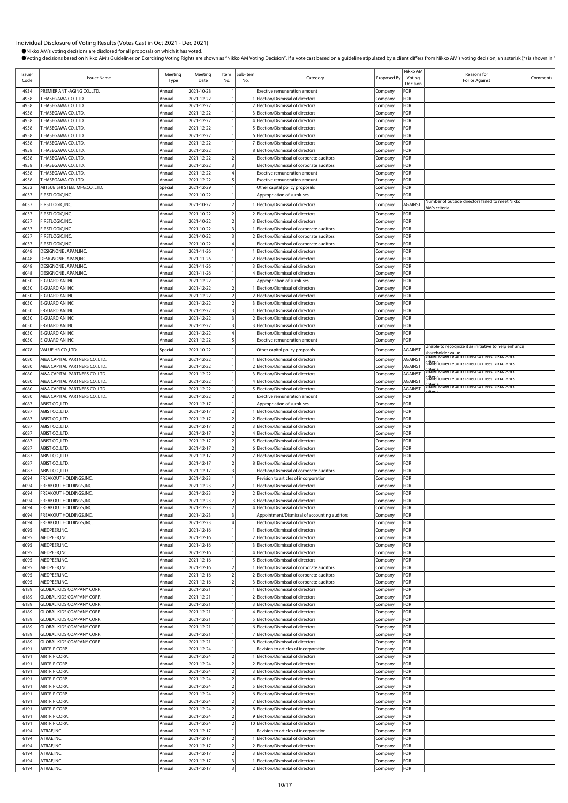| Issuer<br>Code | <b>Issuer Name</b>                                           | Meeting<br>Type   | Meeting<br>Date          | Item<br>No.                                        | Sub-Item<br>No. | Category                                                                          | Proposed By        | Nikko AM<br>Voting<br>Decision | Reasons for<br>For or Against                                                                            | Comments |
|----------------|--------------------------------------------------------------|-------------------|--------------------------|----------------------------------------------------|-----------------|-----------------------------------------------------------------------------------|--------------------|--------------------------------|----------------------------------------------------------------------------------------------------------|----------|
| 4934           | PREMIER ANTI-AGING CO.,LTD.                                  | Annual            | 2021-10-28               |                                                    |                 | <b>Exective remuneration amount</b>                                               | Company            | FOR                            |                                                                                                          |          |
| 4958           | T.HASEGAWA CO.,LTD.                                          | Annual            | 2021-12-22               |                                                    |                 | Election/Dismissal of directors                                                   | Company            | FOR                            |                                                                                                          |          |
| 4958           | T.HASEGAWA CO.,LTD.                                          | Annual            | 2021-12-22               |                                                    |                 | Election/Dismissal of directors                                                   | Company            | FOR                            |                                                                                                          |          |
| 4958<br>4958   | T.HASEGAWA CO.,LTD.<br>T.HASEGAWA CO.,LTD.                   | Annual<br>Annual  | 2021-12-22<br>2021-12-22 |                                                    |                 | 3 Election/Dismissal of directors<br>4 Election/Dismissal of directors            | Company<br>Company | FOR<br>FOR                     |                                                                                                          |          |
| 4958           | T.HASEGAWA CO.,LTD.                                          | Annual            | 2021-12-22               |                                                    |                 | 5 Election/Dismissal of directors                                                 | Company            | FOR                            |                                                                                                          |          |
| 4958           | T.HASEGAWA CO.,LTD.                                          | Annual            | 2021-12-22               |                                                    |                 | 6 Election/Dismissal of directors                                                 | Company            | FOR                            |                                                                                                          |          |
| 4958           | T.HASEGAWA CO.,LTD.                                          | Annual            | 2021-12-22               |                                                    |                 | 7 Election/Dismissal of directors                                                 | Company            | FOR                            |                                                                                                          |          |
| 4958           | T.HASEGAWA CO.,LTD.                                          | Annual            | 2021-12-22               |                                                    |                 | 8 Election/Dismissal of directors                                                 | Company            | FOR                            |                                                                                                          |          |
| 4958           | T.HASEGAWA CO.,LTD.                                          | Annual            | 2021-12-22               |                                                    |                 | Election/Dismissal of corporate auditors                                          | Company            | FOR                            |                                                                                                          |          |
| 4958           | T.HASEGAWA CO.,LTD.                                          | Annual            | 2021-12-22               | $\overline{\mathbf{3}}$                            |                 | Election/Dismissal of corporate auditors                                          | Company            | FOR                            |                                                                                                          |          |
| 4958           | T.HASEGAWA CO.,LTD.                                          | Annual            | 2021-12-22               |                                                    |                 | <b>Exective remuneration amount</b>                                               | Company            | FOR                            |                                                                                                          |          |
| 4958<br>5632   | T.HASEGAWA CO.,LTD.<br>MITSUBISHI STEEL MFG.CO.,LTD.         | Annual<br>Special | 2021-12-22<br>2021-12-29 |                                                    |                 | <b>Exective remuneration amount</b>                                               | Company            | FOR<br>FOR                     |                                                                                                          |          |
| 6037           | FIRSTLOGIC, INC.                                             | Annual            | 2021-10-22               |                                                    |                 | Other capital policy proposals<br>Appropriation of surpluses                      | Company<br>Company | FOR                            |                                                                                                          |          |
|                | FIRSTLOGIC, INC.                                             |                   | 2021-10-22               |                                                    |                 |                                                                                   |                    | AGAINST                        | Number of outside directors failed to meet Nikko                                                         |          |
| 6037           |                                                              | Annual            |                          |                                                    |                 | Election/Dismissal of directors                                                   | Company            |                                | AM's criteria                                                                                            |          |
| 6037           | FIRSTLOGIC, INC.<br>FIRSTLOGIC, INC.                         | Annual            | 2021-10-22<br>2021-10-22 | $\overline{\mathbf{c}}$<br>$\overline{2}$          |                 | 2 Election/Dismissal of directors<br>3 Election/Dismissal of directors            | Company            | FOR                            |                                                                                                          |          |
| 6037<br>6037   | FIRSTLOGIC, INC.                                             | Annual<br>Annual  | 2021-10-22               | $\overline{\mathbf{3}}$                            |                 | 1 Election/Dismissal of corporate auditors                                        | Company<br>Company | FOR<br>FOR                     |                                                                                                          |          |
| 6037           | FIRSTLOGIC, INC.                                             | Annual            | 2021-10-22               | $\overline{\mathbf{3}}$                            |                 | 2 Election/Dismissal of corporate auditors                                        | Company            | FOR                            |                                                                                                          |          |
| 6037           | FIRSTLOGIC, INC.                                             | Annual            | 2021-10-22               |                                                    |                 | Election/Dismissal of corporate auditors                                          | Company            | FOR                            |                                                                                                          |          |
| 6048           | DESIGNONE JAPAN, INC                                         | Annual            | 2021-11-26               |                                                    |                 | 1 Election/Dismissal of directors                                                 | Company            | FOR                            |                                                                                                          |          |
| 6048           | DESIGNONE JAPAN, INC                                         | Annual            | 2021-11-26               |                                                    |                 | 2 Election/Dismissal of directors                                                 | Company            | FOR                            |                                                                                                          |          |
| 6048           | DESIGNONE JAPAN, INC                                         | Annual            | 2021-11-26               |                                                    |                 | 3 Election/Dismissal of directors                                                 | Company            | FOR                            |                                                                                                          |          |
| 6048           | DESIGNONE JAPAN, INC.                                        | Annual            | 2021-11-26               |                                                    |                 | 4 Election/Dismissal of directors                                                 | Company            | FOR                            |                                                                                                          |          |
| 6050           | E-GUARDIAN INC.                                              | Annual            | 2021-12-22               |                                                    |                 | Appropriation of surpluses                                                        | Company            | FOR                            |                                                                                                          |          |
| 6050           | E-GUARDIAN INC.                                              | Annual            | 2021-12-22               | $\overline{2}$<br>$\overline{2}$                   |                 | 1 Election/Dismissal of directors                                                 | Company            | FOR                            |                                                                                                          |          |
| 6050<br>6050   | E-GUARDIAN INC.<br>E-GUARDIAN INC.                           | Annual<br>Annual  | 2021-12-22<br>2021-12-22 | $\overline{2}$                                     |                 | 2 Election/Dismissal of directors<br>3 Election/Dismissal of directors            | Company<br>Company | FOR<br>FOR                     |                                                                                                          |          |
| 6050           | E-GUARDIAN INC.                                              | Annual            | 2021-12-22               | $\overline{\mathbf{3}}$                            |                 | 1 Election/Dismissal of directors                                                 | Company            | FOR                            |                                                                                                          |          |
| 6050           | E-GUARDIAN INC.                                              | Annua             | 2021-12-22               | 3                                                  |                 | 2 Election/Dismissal of directors                                                 | Company            | FOR                            |                                                                                                          |          |
| 6050           | E-GUARDIAN INC.                                              | Annual            | 2021-12-22               | $\overline{\mathbf{3}}$                            |                 | 3 Election/Dismissal of directors                                                 | Company            | FOR                            |                                                                                                          |          |
| 6050           | E-GUARDIAN INC.                                              | Annual            | 2021-12-22               | $\overline{4}$                                     |                 | Election/Dismissal of directors                                                   | Company            | FOR                            |                                                                                                          |          |
| 6050           | E-GUARDIAN INC.                                              | Annual            | 2021-12-22               |                                                    |                 | <b>Exective remuneration amount</b>                                               | Company            | FOR                            |                                                                                                          |          |
| 6078           | VALUE HR CO.,LTD                                             | Special           | 2021-10-22               |                                                    |                 | Other capital policy proposals                                                    | Company            | AGAINST                        | Unable to recognize it as initiative to help enhance                                                     |          |
| 6080           | M&A CAPITAL PARTNERS CO.,LTD.                                | Annual            | 2021-12-22               |                                                    |                 | Election/Dismissal of directors                                                   | Company            | <b>AGAINST</b>                 | shareholder value<br>המופחסומפר ופנעות דמוופס נס וחפפר ושוג <mark>ו</mark> ס אוש                         |          |
| 6080           | M&A CAPITAL PARTNERS CO.,LTD.                                | Annual            | 2021-12-22               |                                                    |                 | 2 Election/Dismissal of directors                                                 | Company            | AGAINST                        | <mark>. האזורו הודים ה</mark> האזורו האדורו האלולו הודים ה                                               |          |
| 6080           | M&A CAPITAL PARTNERS CO.,LTD.                                | Annual            | 2021-12-22               |                                                    |                 | 3 Election/Dismissal of directors                                                 | Company            | <b>AGAINST</b>                 | <del>ก็ได้ใช่ท</del> ้อเ <del>ดer returns failed to meet Nikko AM's</del>                                |          |
| 6080           | M&A CAPITAL PARTNERS CO.,LTD.                                | Annual            | 2021-12-22               |                                                    |                 | 4 Election/Dismissal of directors                                                 | Company            | AGAINST                        | <del>Martin</del> older returns falled to meet Nikko AM s<br><u>. הוא האזורו האזורו האזורו האזורו הא</u> |          |
| 6080           | M&A CAPITAL PARTNERS CO.,LTD.                                | Annual            | 2021-12-22               |                                                    |                 | 5 Election/Dismissal of directors                                                 | Company            | <b>AGAINST</b>                 |                                                                                                          |          |
| 6080           | M&A CAPITAL PARTNERS CO.,LTD.                                | Annual            | 2021-12-22               | $\overline{a}$                                     |                 | <b>Exective remuneration amount</b>                                               | Company            | FOR                            |                                                                                                          |          |
| 6087<br>6087   | ABIST CO., LTD.<br>ABIST CO.,LTD                             | Annua<br>Annual   | 2021-12-17<br>2021-12-17 | $\overline{\mathbf{c}}$                            |                 | Appropriation of surpluses<br>1 Election/Dismissal of directors                   | Company            | FOR<br>FOR                     |                                                                                                          |          |
| 6087           | ABIST CO.,LTD.                                               | Annual            | 2021-12-17               | $\overline{2}$                                     |                 | 2 Election/Dismissal of directors                                                 | Company<br>Company | FOR                            |                                                                                                          |          |
| 6087           | ABIST CO.,LTD                                                | Annual            | 2021-12-17               | $\mathcal{P}$                                      |                 | 3 Election/Dismissal of directors                                                 | Company            | FOR                            |                                                                                                          |          |
| 6087           | ABIST CO., LTD.                                              | Annual            | 2021-12-17               | $\overline{a}$                                     |                 | 4 Election/Dismissal of directors                                                 | Company            | FOR                            |                                                                                                          |          |
| 6087           | ABIST CO.,LTD                                                | Annual            | 2021-12-17               | $\overline{a}$                                     |                 | 5 Election/Dismissal of directors                                                 | Company            | FOR                            |                                                                                                          |          |
| 6087           | ABIST CO., LTD.                                              | Annual            | 2021-12-17               | $\overline{a}$                                     |                 | 6 Election/Dismissal of directors                                                 | Company            | FOR                            |                                                                                                          |          |
| 6087           | ABIST CO.,LTD.                                               | Annual            | 2021-12-17               | $\overline{2}$                                     |                 | 7 Election/Dismissal of directors                                                 | Company            | FOR                            |                                                                                                          |          |
| 6087           | ABIST CO.,LTD                                                | Annual            | 2021-12-17               | $\overline{2}$                                     |                 | 8 Election/Dismissal of directors                                                 | Company            | FOR                            |                                                                                                          |          |
| 6087<br>6094   | ABIST CO.,LTD.<br>FREAKOUT HOLDINGS, INC.                    | Annual<br>Annua   | 2021-12-17<br>2021-12-23 | 3                                                  |                 | Election/Dismissal of corporate auditors<br>Revision to articles of incorporation | Company<br>Company | FOR<br>FOR                     |                                                                                                          |          |
| 6094           | FREAKOUT HOLDINGS, INC.                                      | Annual            | 2021-12-23               | $\overline{2}$                                     |                 | 1 Election/Dismissal of directors                                                 | Company            | FOR                            |                                                                                                          |          |
| 6094           | <b>FREAKOUT HOLDINGS.INC.</b>                                | Annual            | 2021-12-23               | $\overline{2}$                                     |                 | 2 Election/Dismissal of directors                                                 | Company            | FOR                            |                                                                                                          |          |
| 6094           | FREAKOUT HOLDINGS, INC.                                      | Annual            | 2021-12-23               | $\overline{2}$                                     |                 | 3 Election/Dismissal of directors                                                 | Company            | FOR                            |                                                                                                          |          |
| 6094           | FREAKOUT HOLDINGS, INC.                                      | Annual            | 2021-12-23               | $\overline{2}$                                     |                 | Election/Dismissal of directors                                                   | Company            | FOR                            |                                                                                                          |          |
| 6094           | FREAKOUT HOLDINGS, INC.                                      | Annual            | 2021-12-23               | 3                                                  |                 | Appointment/Dismissal of accounting auditors                                      | Company            | FOR                            |                                                                                                          |          |
| 6094           | FREAKOUT HOLDINGS, INC.                                      | Annual            | 2021-12-23               |                                                    |                 | Election/Dismissal of directors                                                   | Company            | FOR                            |                                                                                                          |          |
| 6095           | MEDPEER, INC.                                                | Annual            | 2021-12-16               |                                                    |                 | Election/Dismissal of directors                                                   | Company            | FOR                            |                                                                                                          |          |
| 6095<br>6095   | MEDPEER, INC.<br>MEDPEER, INC.                               | Annual            | 2021-12-16               |                                                    |                 | 2 Election/Dismissal of directors<br>3 Election/Dismissal of directors            | Company            | FOR<br>FOR                     |                                                                                                          |          |
| 6095           | MEDPEER, INC.                                                | Annual<br>Annual  | 2021-12-16<br>2021-12-16 |                                                    |                 | 4 Election/Dismissal of directors                                                 | Company<br>Company | FOR                            |                                                                                                          |          |
| 6095           | MEDPEER, INC.                                                | Annual            | 2021-12-16               |                                                    |                 | 5 Election/Dismissal of directors                                                 | Company            | FOR                            |                                                                                                          |          |
| 6095           | MEDPEER, INC.                                                | Annual            | 2021-12-16               | $\overline{2}$                                     |                 | 1 Election/Dismissal of corporate auditors                                        | Company            | FOR                            |                                                                                                          |          |
| 6095           | MEDPEER, INC.                                                | Annual            | 2021-12-16               | $\mathcal{I}$                                      |                 | 2 Election/Dismissal of corporate auditors                                        | Company            | FOR                            |                                                                                                          |          |
| 6095           | MEDPEER, INC.                                                | Annual            | 2021-12-16               | $\overline{a}$                                     |                 | 3 Election/Dismissal of corporate auditors                                        | Company            | FOR                            |                                                                                                          |          |
| 6189           | <b>GLOBAL KIDS COMPANY CORP</b>                              | Annual            | 2021-12-21               |                                                    |                 | 1 Election/Dismissal of directors                                                 | Company            | FOR                            |                                                                                                          |          |
| 6189           | GLOBAL KIDS COMPANY CORP.                                    | Annual            | 2021-12-21               |                                                    |                 | 2 Election/Dismissal of directors                                                 | Company            | FOR                            |                                                                                                          |          |
| 6189           | GLOBAL KIDS COMPANY CORP.                                    | Annual            | 2021-12-21               |                                                    |                 | 3 Election/Dismissal of directors                                                 | Company            | FOR                            |                                                                                                          |          |
| 6189<br>6189   | <b>GLOBAL KIDS COMPANY CORP</b><br>GLOBAL KIDS COMPANY CORP. | Annual<br>Annual  | 2021-12-21<br>2021-12-21 |                                                    |                 | 4 Election/Dismissal of directors<br>5 Election/Dismissal of directors            | Company            | FOR<br>FOR                     |                                                                                                          |          |
| 6189           | <b>GLOBAL KIDS COMPANY CORP</b>                              | Annual            | 2021-12-21               |                                                    |                 | 6 Election/Dismissal of directors                                                 | Company<br>Company | FOR                            |                                                                                                          |          |
| 6189           | <b>GLOBAL KIDS COMPANY CORP</b>                              | Annual            | 2021-12-21               |                                                    |                 | 7 Election/Dismissal of directors                                                 | Company            | FOR                            |                                                                                                          |          |
| 6189           | GLOBAL KIDS COMPANY CORP.                                    | Annual            | 2021-12-21               |                                                    |                 | 8 Election/Dismissal of directors                                                 | Company            | FOR                            |                                                                                                          |          |
| 6191           | AIRTRIP CORP.                                                | Annual            | 2021-12-24               |                                                    |                 | Revision to articles of incorporation                                             | Company            | FOR                            |                                                                                                          |          |
| 6191           | AIRTRIP CORP.                                                | Annual            | 2021-12-24               | $\overline{2}$                                     |                 | Election/Dismissal of directors                                                   | Company            | FOR                            |                                                                                                          |          |
| 6191           | AIRTRIP CORP.                                                | Annual            | 2021-12-24               | $\overline{2}$                                     |                 | 2 Election/Dismissal of directors                                                 | Company            | FOR                            |                                                                                                          |          |
| 6191           | AIRTRIP CORP.                                                | Annual            | 2021-12-24               | $\overline{2}$                                     |                 | 3 Election/Dismissal of directors                                                 | Company            | FOR                            |                                                                                                          |          |
| 6191           | AIRTRIP CORP.                                                | Annual            | 2021-12-24               | $\overline{2}$                                     |                 | 4 Election/Dismissal of directors                                                 | Company            | FOR                            |                                                                                                          |          |
| 6191<br>6191   | AIRTRIP CORP.<br>AIRTRIP CORP.                               | Annual<br>Annual  | 2021-12-24<br>2021-12-24 | $\overline{2}$<br>$\overline{2}$                   |                 | 5 Election/Dismissal of directors<br>6 Election/Dismissal of directors            | Company<br>Company | FOR<br>FOR                     |                                                                                                          |          |
| 6191           | AIRTRIP CORP.                                                | Annual            | 2021-12-24               | $\overline{\mathbf{c}}$                            |                 | 7 Election/Dismissal of directors                                                 | Company            | FOR                            |                                                                                                          |          |
| 6191           | AIRTRIP CORP.                                                | Annual            | 2021-12-24               | $\overline{2}$                                     |                 | 8 Election/Dismissal of directors                                                 | Company            | FOR                            |                                                                                                          |          |
| 6191           | AIRTRIP CORP.                                                | Annual            | 2021-12-24               | $\overline{2}$                                     |                 | 9 Election/Dismissal of directors                                                 | Company            | FOR                            |                                                                                                          |          |
| 6191           | AIRTRIP CORP.                                                | Annual            | 2021-12-24               | $\overline{2}$                                     |                 | 10 Election/Dismissal of directors                                                | Company            | FOR                            |                                                                                                          |          |
| 6194           | ATRAE, INC.                                                  | Annual            | 2021-12-17               |                                                    |                 | Revision to articles of incorporation                                             | Company            | FOR                            |                                                                                                          |          |
| 6194           | ATRAE, INC.                                                  | Annual            | 2021-12-17               | $\overline{2}$                                     |                 | 1 Election/Dismissal of directors                                                 | Company            | FOR                            |                                                                                                          |          |
| 6194           | ATRAE, INC.                                                  | Annual            | 2021-12-17               | $\overline{2}$                                     |                 | 2 Election/Dismissal of directors                                                 | Company            | FOR                            |                                                                                                          |          |
| 6194           | ATRAE, INC.                                                  | Annual            | 2021-12-17               | $\overline{2}$                                     |                 | 3 Election/Dismissal of directors                                                 | Company            | FOR                            |                                                                                                          |          |
| 6194<br>6194   | ATRAE, INC.<br>ATRAE, INC.                                   | Annual<br>Annual  | 2021-12-17<br>2021-12-17 | $\overline{\mathbf{3}}$<br>$\overline{\mathbf{3}}$ |                 | 1 Election/Dismissal of directors<br>2 Election/Dismissal of directors            | Company            | FOR<br>FOR                     |                                                                                                          |          |
|                |                                                              |                   |                          |                                                    |                 |                                                                                   | Company            |                                |                                                                                                          |          |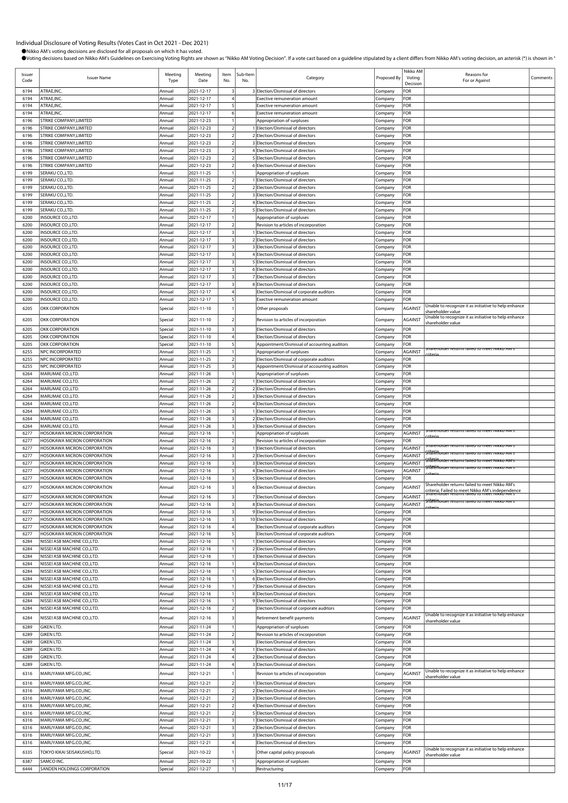|                |                                                              |                  |                          |                                           |                 |                                                                            |                    | Nikko AM       |                                                                                                  |          |
|----------------|--------------------------------------------------------------|------------------|--------------------------|-------------------------------------------|-----------------|----------------------------------------------------------------------------|--------------------|----------------|--------------------------------------------------------------------------------------------------|----------|
| Issuer<br>Code | <b>Issuer Name</b>                                           | Meeting<br>Type  | Meeting<br>Date          | Item<br>No.                               | Sub-Item<br>No. | Category                                                                   | Proposed By        | Voting         | Reasons for<br>For or Against                                                                    | Comments |
|                |                                                              |                  |                          |                                           |                 |                                                                            |                    | Decision       |                                                                                                  |          |
| 6194           | ATRAE, INC.                                                  | Annual           | 2021-12-17               | -3                                        |                 | 3 Election/Dismissal of directors                                          | Company            | FOR            |                                                                                                  |          |
| 6194           | ATRAE, INC.                                                  | Annual           | 2021-12-17               |                                           |                 | Exective remuneration amount                                               | Company            | FOR            |                                                                                                  |          |
| 6194           | ATRAE, INC.                                                  | Annual           | 2021-12-17               | 5                                         |                 | <b>Exective remuneration amount</b>                                        | Company            | FOR            |                                                                                                  |          |
| 6194           | ATRAE.INC.<br>STRIKE COMPANY.LIMITED                         | Annual           | 2021-12-17<br>2021-12-23 | 6                                         |                 | <b>Exective remuneration amount</b>                                        | Company            | FOR<br>FOR     |                                                                                                  |          |
| 6196<br>6196   | STRIKE COMPANY, LIMITED                                      | Annual<br>Annual | 2021-12-23               | $\overline{2}$                            |                 | Appropriation of surpluses<br>1 Election/Dismissal of directors            | Company<br>Company | FOR            |                                                                                                  |          |
| 6196           | STRIKE COMPANY, LIMITED                                      | Annual           | 2021-12-23               | $\overline{2}$                            |                 | 2 Election/Dismissal of directors                                          | Company            | FOR            |                                                                                                  |          |
| 6196           | STRIKE COMPANY, LIMITED                                      | Annual           | 2021-12-23               |                                           |                 | 3 Election/Dismissal of directors                                          | Company            | FOR            |                                                                                                  |          |
| 6196           | STRIKE COMPANY, LIMITED                                      | Annual           | 2021-12-23               | $\overline{2}$                            |                 | 4 Election/Dismissal of directors                                          | Company            | FOR            |                                                                                                  |          |
| 6196           | STRIKE COMPANY, LIMITED                                      | Annual           | 2021-12-23               | $\overline{a}$                            |                 | 5 Election/Dismissal of directors                                          | Company            | FOR            |                                                                                                  |          |
| 6196           | STRIKE COMPANY, LIMITED                                      | Annual           | 2021-12-23               |                                           |                 | 6 Election/Dismissal of directors                                          | Company            | FOR            |                                                                                                  |          |
| 6199           | SERAKU CO.,LTD.                                              | Annual           | 2021-11-25               |                                           |                 | Appropriation of surpluses                                                 | Company            | FOR            |                                                                                                  |          |
| 6199           | SERAKU CO.,LTD.                                              | Annual           | 2021-11-25               | $\overline{\mathbf{c}}$                   |                 | 1 Election/Dismissal of directors                                          | Company            | FOR            |                                                                                                  |          |
| 6199           | SERAKU CO.,LTD.                                              | Annual           | 2021-11-25               | $\overline{2}$                            |                 | 2 Election/Dismissal of directors                                          | Company            | FOR            |                                                                                                  |          |
| 6199           | SERAKU CO.,LTD.                                              | Annual           | 2021-11-25               | $\overline{2}$                            |                 | 3 Election/Dismissal of directors                                          | Company            | FOR            |                                                                                                  |          |
| 6199           | SERAKU CO.,LTD.                                              | Annual           | 2021-11-25               | $\overline{2}$                            |                 | 4 Election/Dismissal of directors                                          | Company            | FOR            |                                                                                                  |          |
| 6199           | SERAKU CO.,LTD.                                              | Annual           | 2021-11-25               | $\overline{2}$                            |                 | 5 Election/Dismissal of directors                                          | Company            | FOR            |                                                                                                  |          |
| 6200           | INSOURCE CO., LTD.                                           | Annual           | 2021-12-17               |                                           |                 | Appropriation of surpluses                                                 | Company            | FOR            |                                                                                                  |          |
| 6200           | INSOURCE CO., LTD.<br>INSOURCE CO., LTD.                     | Annual<br>Annual | 2021-12-17<br>2021-12-17 | $\overline{2}$<br>$\overline{\mathbf{3}}$ |                 | Revision to articles of incorporation<br>1 Election/Dismissal of directors | Company            | FOR<br>FOR     |                                                                                                  |          |
| 6200<br>6200   | INSOURCE CO., LTD.                                           | Annual           | 2021-12-17               |                                           |                 | 2 Election/Dismissal of directors                                          | Company<br>Company | FOR            |                                                                                                  |          |
| 6200           | INSOURCE CO., LTD.                                           | Annual           | 2021-12-17               | 3                                         |                 | 3 Election/Dismissal of directors                                          | Company            | FOR            |                                                                                                  |          |
| 6200           | INSOURCE CO., LTD.                                           | Annual           | 2021-12-17               |                                           |                 | 4 Election/Dismissal of directors                                          | Company            | FOR            |                                                                                                  |          |
| 6200           | INSOURCE CO.,LTD.                                            | Annual           | 2021-12-17               | $\overline{\mathbf{3}}$                   |                 | 5 Election/Dismissal of directors                                          | Company            | FOR            |                                                                                                  |          |
| 6200           | <b>INSOURCE CO.,LTD.</b>                                     | Annual           | 2021-12-17               | $\overline{\mathbf{3}}$                   |                 | 6 Election/Dismissal of directors                                          | Company            | FOR            |                                                                                                  |          |
| 6200           | INSOURCE CO., LTD.                                           | Annual           | 2021-12-17               | 3                                         |                 | 7 Election/Dismissal of directors                                          | Company            | FOR            |                                                                                                  |          |
| 6200           | INSOURCE CO., LTD.                                           | Annual           | 2021-12-17               | 3                                         |                 | 8 Election/Dismissal of directors                                          | Company            | FOR            |                                                                                                  |          |
| 6200           | INSOURCE CO., LTD.                                           | Annual           | 2021-12-17               |                                           |                 | Election/Dismissal of corporate auditors                                   | Company            | FOR            |                                                                                                  |          |
| 6200           | INSOURCE CO., LTD.                                           | Annual           | 2021-12-17               | 5                                         |                 | <b>Exective remuneration amount</b>                                        | Company            | FOR            |                                                                                                  |          |
| 6205           | OKK CORPORATION                                              | Special          | 2021-11-10               |                                           |                 | Other proposals                                                            | Company            | AGAINST        | Unable to recognize it as initiative to help enhance                                             |          |
|                |                                                              |                  |                          |                                           |                 |                                                                            |                    |                | shareholder value<br>Unable to recognize it as initiative to help enhance                        |          |
| 6205           | OKK CORPORATION                                              | Special          | 2021-11-10               | $\mathcal{D}$                             |                 | Revision to articles of incorporation                                      | Company            | <b>AGAINST</b> | shareholder value                                                                                |          |
| 6205           | <b>OKK CORPORATION</b>                                       | Special          | 2021-11-10               | $\overline{\mathbf{3}}$                   |                 | Election/Dismissal of directors                                            | Company            | FOR            |                                                                                                  |          |
| 6205           | <b>OKK CORPORATION</b>                                       | Special          | 2021-11-10               |                                           |                 | Election/Dismissal of directors                                            | Company            | FOR            |                                                                                                  |          |
| 6205           | <b>OKK CORPORATION</b>                                       | Special          | 2021-11-10               | 5                                         |                 | Appointment/Dismissal of accounting auditors                               | Company            | FOR            | narenoider returns failed to meet inikko AM                                                      |          |
| 6255           | NPC INCORPORATED                                             | Annual           | 2021-11-25               |                                           |                 | Appropriation of surpluses                                                 | Company            | <b>AGAINST</b> |                                                                                                  |          |
| 6255           | NPC INCORPORATED                                             | Annual           | 2021-11-25               | $\overline{2}$                            |                 | Election/Dismissal of corporate auditors                                   | Company            | FOR            |                                                                                                  |          |
| 6255           | NPC INCORPORATED                                             | Annual           | 2021-11-25               | $\overline{\mathbf{3}}$                   |                 | Appointment/Dismissal of accounting auditors                               | Company            | FOR            |                                                                                                  |          |
| 6264           | MARUMAE CO.,LTD.                                             | Annual           | 2021-11-26               |                                           |                 | Appropriation of surpluses                                                 | Company            | FOR            |                                                                                                  |          |
| 6264<br>6264   | MARUMAE CO., LTD.<br>MARUMAE CO., LTD.                       | Annual<br>Annual | 2021-11-26<br>2021-11-26 | $\overline{2}$<br>$\overline{2}$          |                 | Election/Dismissal of directors<br>2 Election/Dismissal of directors       | Company            | FOR<br>FOR     |                                                                                                  |          |
| 6264           | MARUMAE CO., LTD.                                            | Annual           | 2021-11-26               | $\overline{2}$                            |                 | 3 Election/Dismissal of directors                                          | Company<br>Company | FOR            |                                                                                                  |          |
| 6264           | MARUMAE CO.,LTD.                                             | Annual           | 2021-11-26               | $\overline{2}$                            |                 | 4 Election/Dismissal of directors                                          | Company            | FOR            |                                                                                                  |          |
| 6264           | MARUMAE CO.,LTD.                                             | Annual           | 2021-11-26               | 3                                         |                 | 1 Election/Dismissal of directors                                          | Company            | FOR            |                                                                                                  |          |
| 6264           | MARUMAE CO.,LTD.                                             | Annual           | 2021-11-26               | $\overline{\mathbf{3}}$                   |                 | 2 Election/Dismissal of directors                                          | Company            | FOR            |                                                                                                  |          |
| 6264           | MARUMAE CO., LTD.                                            | Annual           | 2021-11-26               | $\overline{\mathbf{3}}$                   |                 | 3 Election/Dismissal of directors                                          | Company            | FOR            |                                                                                                  |          |
| 6277           | HOSOKAWA MICRON CORPORATION                                  | Annual           | 2021-12-16               |                                           |                 | Appropriation of surpluses                                                 | Company            | <b>AGAINST</b> | Shareholder returns failed to meet ivikko AM s                                                   |          |
| 6277           | <b>HOSOKAWA MICRON CORPORATION</b>                           | Annual           | 2021-12-16               | $\overline{2}$                            |                 | Revision to articles of incorporation                                      | Company            | FOR            |                                                                                                  |          |
|                | HOSOKAWA MICRON CORPORATION                                  |                  |                          |                                           |                 |                                                                            |                    |                | narenoider returns failed to meet Nikko Alvi                                                     |          |
| 6277           |                                                              | Annual           | 2021-12-16               | $\overline{\mathbf{3}}$                   |                 | Election/Dismissal of directors                                            | Company            | AGAINST        |                                                                                                  |          |
| 6277           | HOSOKAWA MICRON CORPORATION                                  | Annual           | 2021-12-16               | $\overline{\mathbf{3}}$                   |                 | 2 Election/Dismissal of directors                                          | Company            | <b>AGAINST</b> | ה <del>לוֹלוֹל (Almest de Treturns railed to meet או</del> גאס <del>A</del>                      |          |
| 6277           | HOSOKAWA MICRON CORPORATION                                  | Annual           | 2021-12-16               |                                           |                 | 3 Election/Dismissal of directors                                          | Company            | <b>AGAINST</b> | : הוא האזורו האדודה זהופס לס חיפור ואו הא                                                        |          |
| 6277           | HOSOKAWA MICRON CORPORATION                                  | Annual           | 2021-12-16               | 3                                         |                 | 4 Election/Dismissal of directors                                          | Company            | AGAINST        | <del>šliaren de returns ralled to meet lvikko Alvi s</del>                                       |          |
| 6277           | HOSOKAWA MICRON CORPORATION                                  | Annual           | 2021-12-16               | $\overline{\mathbf{3}}$                   |                 | 5 Election/Dismissal of directors                                          | Company            | FOR            |                                                                                                  |          |
| 6277           | HOSOKAWA MICRON CORPORATION                                  | Annual           | 2021-12-16               | 3                                         |                 | 6 Election/Dismissal of directors                                          | Company            | <b>AGAINST</b> | Shareholder returns failed to meet Nikko AM's<br>riteria; Failed to meet Nikko AM's independence |          |
| 6277           | HOSOKAWA MICRON CORPORATION                                  | Annual           | 2021-12-16               | 3                                         |                 | 7 Election/Dismissal of directors                                          | Company            | <b>AGAINST</b> | Sharenoider returns failed to meet ivikko AM s                                                   |          |
| 6277           | HOSOKAWA MICRON CORPORATION                                  | Annual           | 2021-12-16               | $\overline{\mathbf{3}}$                   |                 | 8 Election/Dismissal of directors                                          | Company            | <b>AGAINST</b> | Shafënoider returns ralled to meet ivikko Alvi s                                                 |          |
| 6277           | HOSOKAWA MICRON CORPORATION                                  | Annual           | 2021-12-16               | $\overline{\mathbf{3}}$                   |                 | 9 Election/Dismissal of directors                                          | Company            | FOR            |                                                                                                  |          |
| 6277           | HOSOKAWA MICRON CORPORATION                                  | Annual           | 2021-12-16               | $\overline{\mathbf{3}}$                   |                 | 10 Election/Dismissal of directors                                         | Company            | FOR            |                                                                                                  |          |
| 6277           | HOSOKAWA MICRON CORPORATION                                  | Annual           | 2021-12-16               |                                           |                 | Election/Dismissal of corporate auditors                                   | Company            | FOR            |                                                                                                  |          |
| 6277           | HOSOKAWA MICRON CORPORATION                                  | Annual           | 2021-12-16               | 5                                         |                 | Election/Dismissal of corporate auditors                                   | Company            | FOR            |                                                                                                  |          |
| 6284           | NISSEI ASB MACHINE CO., LTD.                                 | Annual           | 2021-12-16               |                                           |                 | I Election/Dismissal of directors                                          | Company            | FOR            |                                                                                                  |          |
| 6284           | NISSEI ASB MACHINE CO., LTD.                                 | Annual           | 2021-12-16               |                                           |                 | 2 Election/Dismissal of directors                                          | Company            | FOR            |                                                                                                  |          |
| 6284           | NISSEI ASB MACHINE CO., LTD.                                 | Annual           | 2021-12-16               |                                           |                 | 3 Election/Dismissal of directors                                          | Company            | FOR            |                                                                                                  |          |
| 6284           | NISSEI ASB MACHINE CO.,LTD.                                  | Annual           | 2021-12-16               |                                           |                 | 4 Election/Dismissal of directors                                          | Company            | FOR            |                                                                                                  |          |
| 6284<br>6284   | NISSEI ASB MACHINE CO., LTD.<br>NISSEI ASB MACHINE CO., LTD. | Annual<br>Annual | 2021-12-16<br>2021-12-16 |                                           |                 | 5 Election/Dismissal of directors<br>6 Election/Dismissal of directors     | Company            | FOR<br>FOR     |                                                                                                  |          |
| 6284           | NISSEI ASB MACHINE CO., LTD.                                 | Annual           | 2021-12-16               |                                           |                 | 7 Election/Dismissal of directors                                          | Company<br>Company | FOR            |                                                                                                  |          |
| 6284           | NISSEI ASB MACHINE CO., LTD.                                 | Annual           | 2021-12-16               |                                           |                 | 8 Election/Dismissal of directors                                          | Company            | FOR            |                                                                                                  |          |
| 6284           | NISSEI ASB MACHINE CO.,LTD.                                  | Annual           | 2021-12-16               |                                           |                 | 9 Election/Dismissal of directors                                          | Company            | FOR            |                                                                                                  |          |
| 6284           | NISSEI ASB MACHINE CO., LTD.                                 | Annual           | 2021-12-16               | $\overline{2}$                            |                 | Election/Dismissal of corporate auditors                                   | Company            | FOR            |                                                                                                  |          |
|                |                                                              |                  |                          |                                           |                 |                                                                            |                    |                | Unable to recognize it as initiative to help enhance                                             |          |
| 6284           | NISSEI ASB MACHINE CO., LTD.                                 | Annual           | 2021-12-16               |                                           |                 | Retirement benefit payments                                                | Company            | <b>AGAINST</b> | shareholder value                                                                                |          |
| 6289           | <b>GIKEN LTD.</b>                                            | Annual           | 2021-11-24               |                                           |                 | Appropriation of surpluses                                                 | Company            | FOR            |                                                                                                  |          |
| 6289<br>6289   | <b>GIKEN LTD.</b><br><b>GIKEN LTD.</b>                       | Annual<br>Annual | 2021-11-24<br>2021-11-24 | $\overline{2}$<br>$\overline{\mathbf{3}}$ |                 | Revision to articles of incorporation<br>Election/Dismissal of directors   | Company<br>Company | FOR<br>FOR     |                                                                                                  |          |
| 6289           | <b>GIKEN LTD.</b>                                            | Annual           | 2021-11-24               |                                           |                 | 1 Election/Dismissal of directors                                          | Company            | FOR            |                                                                                                  |          |
| 6289           | <b>GIKEN LTD.</b>                                            | Annual           | 2021-11-24               | $\boldsymbol{\Lambda}$                    |                 | 2 Election/Dismissal of directors                                          | Company            | FOR            |                                                                                                  |          |
| 6289           | <b>GIKEN LTD.</b>                                            | Annual           | 2021-11-24               |                                           |                 | 3 Election/Dismissal of directors                                          | Company            | FOR            |                                                                                                  |          |
|                |                                                              |                  |                          |                                           |                 |                                                                            |                    |                | Unable to recognize it as initiative to help enhance                                             |          |
| 6316           | MARUYAMA MFG.CO., INC.                                       | Annual           | 2021-12-21               |                                           |                 | Revision to articles of incorporation                                      | Company            | AGAINST        | shareholder value                                                                                |          |
| 6316           | MARUYAMA MFG.CO., INC.                                       | Annual           | 2021-12-21               | $\overline{2}$                            |                 | 1 Election/Dismissal of directors                                          | Company            | FOR            |                                                                                                  |          |
| 6316<br>6316   | MARUYAMA MFG.CO., INC.                                       | Annual<br>Annual | 2021-12-21               | $\overline{2}$                            |                 | 2 Election/Dismissal of directors                                          | Company            | FOR<br>FOR     |                                                                                                  |          |
| 6316           | MARUYAMA MFG.CO., INC.<br>MARUYAMA MFG.CO., INC.             | Annual           | 2021-12-21<br>2021-12-21 | $\overline{\mathbf{c}}$<br>$\overline{2}$ |                 | 3 Election/Dismissal of directors<br>4 Election/Dismissal of directors     | Company<br>Company | FOR            |                                                                                                  |          |
| 6316           | MARUYAMA MFG.CO., INC.                                       | Annual           | 2021-12-21               | $\overline{2}$                            |                 | 5 Election/Dismissal of directors                                          | Company            | FOR            |                                                                                                  |          |
| 6316           | MARUYAMA MFG.CO., INC.                                       | Annual           | 2021-12-21               | $\overline{\mathbf{3}}$                   |                 | 1 Election/Dismissal of directors                                          | Company            | FOR            |                                                                                                  |          |
| 6316           | MARUYAMA MFG.CO., INC.                                       | Annual           | 2021-12-21               | $\overline{\mathbf{3}}$                   |                 | 2 Election/Dismissal of directors                                          | Company            | FOR            |                                                                                                  |          |
| 6316           | MARUYAMA MFG.CO., INC.                                       | Annual           | 2021-12-21               | $\overline{\mathbf{3}}$                   |                 | 3 Election/Dismissal of directors                                          | Company            | FOR            |                                                                                                  |          |
| 6316           | MARUYAMA MFG.CO., INC.                                       | Annual           | 2021-12-21               | $\overline{4}$                            |                 | Election/Dismissal of directors                                            | Company            | FOR            |                                                                                                  |          |
| 6335           | TOKYO KIKAI SEISAKUSHO,LTD                                   | Special          | 2021-10-22               |                                           |                 | Other capital policy proposals                                             | Company            | <b>AGAINST</b> | Unable to recognize it as initiative to help enhance                                             |          |
| 6387           | SAMCO INC.                                                   | Annual           | 2021-10-22               |                                           |                 | Appropriation of surpluses                                                 | Company            | FOR            | shareholder value                                                                                |          |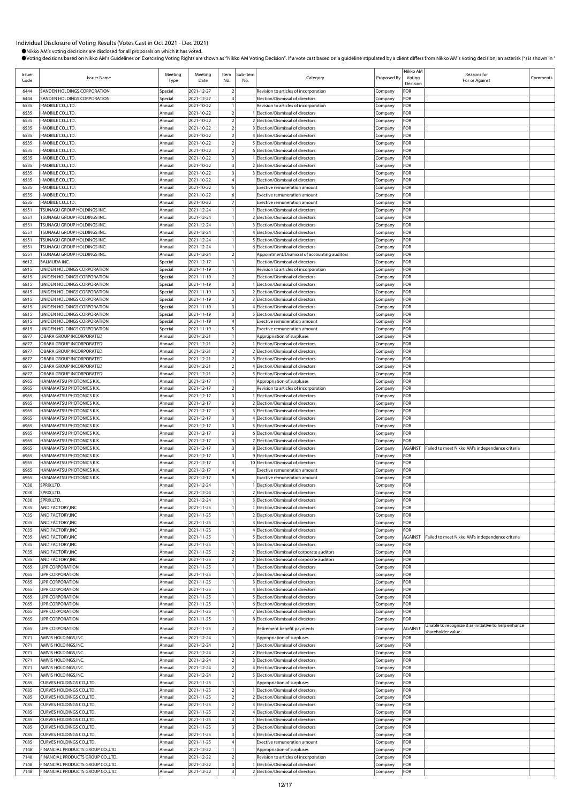| Issuer<br>Code | <b>Issuer Name</b>                                                      | Meeting<br>Type    | Meeting<br>Date          | Item<br>No.                                        | Sub-Item<br>No. | Category                                                                   | Proposed By        | Nikko AM<br>Voting<br>Decision | Reasons for<br>For or Against                                             | Comments |
|----------------|-------------------------------------------------------------------------|--------------------|--------------------------|----------------------------------------------------|-----------------|----------------------------------------------------------------------------|--------------------|--------------------------------|---------------------------------------------------------------------------|----------|
| 6444           | SANDEN HOLDINGS CORPORATION                                             | Special            | 2021-12-27               | $\overline{2}$                                     |                 | Revision to articles of incorporation                                      | Company            | FOR                            |                                                                           |          |
| 6444           | SANDEN HOLDINGS CORPORATION                                             | Special            | 2021-12-27               | $\overline{\mathbf{3}}$                            |                 | Election/Dismissal of directors                                            | Company            | FOR                            |                                                                           |          |
| 6535           | I-MOBILE CO., LTD.                                                      | Annual             | 2021-10-22               |                                                    |                 | Revision to articles of incorporation                                      | Company            | FOR                            |                                                                           |          |
| 6535<br>6535   | I-MOBILE CO.,LTD.<br>I-MOBILE CO.,LTD.                                  | Annual<br>Annual   | 2021-10-22<br>2021-10-22 | $\overline{2}$<br>$\overline{2}$                   |                 | 1 Election/Dismissal of directors<br>2 Election/Dismissal of directors     | Company<br>Company | FOR<br>FOR                     |                                                                           |          |
| 6535           | I-MOBILE CO.,LTD.                                                       | Annual             | 2021-10-22               | $\overline{2}$                                     |                 | 3 Election/Dismissal of directors                                          | Company            | FOR                            |                                                                           |          |
| 6535           | I-MOBILE CO., LTD.                                                      | Annual             | 2021-10-22               | $\overline{2}$                                     |                 | 4 Election/Dismissal of directors                                          | Company            | FOR                            |                                                                           |          |
| 6535           | I-MOBILE CO., LTD.                                                      | Annual             | 2021-10-22               | $\overline{2}$                                     |                 | 5 Election/Dismissal of directors                                          | Company            | FOR                            |                                                                           |          |
| 6535           | I-MOBILE CO.,LTD.                                                       | Annual             | 2021-10-22               | $\overline{2}$                                     |                 | 6 Election/Dismissal of directors                                          | Company            | FOR                            |                                                                           |          |
| 6535           | I-MOBILE CO.,LTD.                                                       | Annual             | 2021-10-22               | $\overline{\mathbf{3}}$                            |                 | 1 Election/Dismissal of directors                                          | Company            | FOR                            |                                                                           |          |
| 6535<br>6535   | I-MOBILE CO.,LTD.<br>I-MOBILE CO., LTD.                                 | Annual<br>Annual   | 2021-10-22<br>2021-10-22 | $\overline{\mathbf{3}}$<br>$\overline{\mathbf{3}}$ |                 | 2 Election/Dismissal of directors<br>3 Election/Dismissal of directors     | Company<br>Company | FOR<br>FOR                     |                                                                           |          |
| 6535           | I-MOBILE CO.,LTD.                                                       | Annual             | 2021-10-22               | $\overline{4}$                                     |                 | Election/Dismissal of directors                                            | Company            | FOR                            |                                                                           |          |
| 6535           | I-MOBILE CO., LTD.                                                      | Annual             | 2021-10-22               | 5                                                  |                 | Exective remuneration amount                                               | Company            | FOR                            |                                                                           |          |
| 6535           | I-MOBILE CO.,LTD.                                                       | Annual             | 2021-10-22               | $6 \overline{6}$                                   |                 | Exective remuneration amount                                               | Company            | FOR                            |                                                                           |          |
| 6535           | I-MOBILE CO.,LTD.                                                       | Annual             | 2021-10-22               | $\overline{7}$                                     |                 | Exective remuneration amount                                               | Company            | FOR                            |                                                                           |          |
| 6551           | TSUNAGU GROUP HOLDINGS INC.                                             | Annual             | 2021-12-24               |                                                    |                 | 1 Election/Dismissal of directors                                          | Company            | FOR                            |                                                                           |          |
| 6551<br>6551   | TSUNAGU GROUP HOLDINGS INC.<br>TSUNAGU GROUP HOLDINGS INC.              | Annual<br>Annual   | 2021-12-24<br>2021-12-24 | $\overline{1}$                                     |                 | 2 Election/Dismissal of directors<br>3 Election/Dismissal of directors     | Company<br>Company | FOR<br>FOR                     |                                                                           |          |
| 6551           | TSUNAGU GROUP HOLDINGS INC.                                             | Annual             | 2021-12-24               | $\mathbf{1}$                                       |                 | 4 Election/Dismissal of directors                                          | Company            | FOR                            |                                                                           |          |
| 6551           | TSUNAGU GROUP HOLDINGS INC.                                             | Annual             | 2021-12-24               | $\mathbf{1}$                                       |                 | 5 Election/Dismissal of directors                                          | Company            | FOR                            |                                                                           |          |
| 6551           | TSUNAGU GROUP HOLDINGS INC.                                             | Annual             | 2021-12-24               | $\mathbf{1}$                                       |                 | 6 Election/Dismissal of directors                                          | Company            | FOR                            |                                                                           |          |
| 6551           | TSUNAGU GROUP HOLDINGS INC.                                             | Annual             | 2021-12-24               | $\overline{2}$                                     |                 | Appointment/Dismissal of accounting auditors                               | Company            | FOR                            |                                                                           |          |
| 6612           | <b>BALMUDA INC.</b>                                                     | Special            | 2021-12-17               | $\overline{1}$                                     |                 | Election/Dismissal of directors                                            | Company            | FOR                            |                                                                           |          |
| 6815<br>6815   | UNIDEN HOLDINGS CORPORATION<br>UNIDEN HOLDINGS CORPORATION              | Special<br>Special | 2021-11-19<br>2021-11-19 | $\overline{1}$<br>$\overline{2}$                   |                 | Revision to articles of incorporation<br>Election/Dismissal of directors   | Company            | FOR<br>FOR                     |                                                                           |          |
| 6815           | UNIDEN HOLDINGS CORPORATION                                             | Special            | 2021-11-19               | $\overline{\mathbf{3}}$                            |                 | Election/Dismissal of directors                                            | Company<br>Company | FOR                            |                                                                           |          |
| 6815           | UNIDEN HOLDINGS CORPORATION                                             | Special            | 2021-11-19               | $\overline{\mathbf{3}}$                            |                 | 2 Election/Dismissal of directors                                          | Company            | FOR                            |                                                                           |          |
| 6815           | UNIDEN HOLDINGS CORPORATION                                             | Special            | 2021-11-19               | $\overline{\mathbf{3}}$                            |                 | 3 Election/Dismissal of directors                                          | Company            | FOR                            |                                                                           |          |
| 6815           | UNIDEN HOLDINGS CORPORATION                                             | Special            | 2021-11-19               | $\overline{\mathbf{3}}$                            |                 | 4 Election/Dismissal of directors                                          | Company            | FOR                            |                                                                           |          |
| 6815           | UNIDEN HOLDINGS CORPORATION                                             | Special            | 2021-11-19               | $\overline{\mathbf{3}}$                            |                 | 5 Election/Dismissal of directors                                          | Company            | FOR                            |                                                                           |          |
| 6815           | UNIDEN HOLDINGS CORPORATION<br>UNIDEN HOLDINGS CORPORATION              | Special            | 2021-11-19               | $\overline{4}$<br>5                                |                 | Exective remuneration amount                                               | Company            | FOR<br>FOR                     |                                                                           |          |
| 6815<br>6877   | OBARA GROUP INCORPORATED                                                | Special<br>Annual  | 2021-11-19<br>2021-12-21 | $\overline{1}$                                     |                 | Exective remuneration amount<br>Appropriation of surpluses                 | Company<br>Company | FOR                            |                                                                           |          |
| 6877           | OBARA GROUP INCORPORATED                                                | Annual             | 2021-12-21               | $\overline{2}$                                     |                 | 1 Election/Dismissal of directors                                          | Company            | FOR                            |                                                                           |          |
| 6877           | OBARA GROUP INCORPORATED                                                | Annual             | 2021-12-21               | $\overline{2}$                                     |                 | 2 Election/Dismissal of directors                                          | Company            | FOR                            |                                                                           |          |
| 6877           | OBARA GROUP INCORPORATED                                                | Annual             | 2021-12-21               | $\overline{2}$                                     |                 | 3 Election/Dismissal of directors                                          | Company            | FOR                            |                                                                           |          |
| 6877           | OBARA GROUP INCORPORATED                                                | Annual             | 2021-12-21               | $\overline{2}$                                     |                 | 4 Election/Dismissal of directors                                          | Company            | FOR                            |                                                                           |          |
| 6877           | OBARA GROUP INCORPORATED                                                | Annual             | 2021-12-21               | $\overline{2}$                                     |                 | 5 Election/Dismissal of directors                                          | Company            | FOR                            |                                                                           |          |
| 6965<br>6965   | HAMAMATSU PHOTONICS K.K.<br>HAMAMATSU PHOTONICS K.K.                    | Annual<br>Annual   | 2021-12-17<br>2021-12-17 | $\overline{1}$<br>$\overline{2}$                   |                 | Appropriation of surpluses<br>Revision to articles of incorporation        | Company            | FOR<br>FOR                     |                                                                           |          |
| 6965           | HAMAMATSU PHOTONICS K.K.                                                | Annual             | 2021-12-17               | $\overline{\mathbf{3}}$                            |                 | 1 Election/Dismissal of directors                                          | Company<br>Company | FOR                            |                                                                           |          |
| 6965           | HAMAMATSU PHOTONICS K.K.                                                | Annual             | 2021-12-17               | $\overline{\mathbf{3}}$                            |                 | 2 Election/Dismissal of directors                                          | Company            | FOR                            |                                                                           |          |
| 6965           | HAMAMATSU PHOTONICS K.K.                                                | Annual             | 2021-12-17               | $\overline{\mathbf{3}}$                            |                 | 3 Election/Dismissal of directors                                          | Company            | FOR                            |                                                                           |          |
| 6965           | HAMAMATSU PHOTONICS K.K.                                                | Annual             | 2021-12-17               | $\overline{\mathbf{3}}$                            |                 | 4 Election/Dismissal of directors                                          | Company            | FOR                            |                                                                           |          |
| 6965           | HAMAMATSU PHOTONICS K.K.                                                | Annual             | 2021-12-17               | $\overline{\mathbf{3}}$                            |                 | 5 Election/Dismissal of directors                                          | Company            | FOR                            |                                                                           |          |
| 6965<br>6965   | HAMAMATSU PHOTONICS K.K.<br>HAMAMATSU PHOTONICS K.K.                    | Annual<br>Annual   | 2021-12-17<br>2021-12-17 | $\overline{\mathbf{3}}$<br>$\overline{\mathbf{3}}$ |                 | 6 Election/Dismissal of directors<br>7 Election/Dismissal of directors     | Company<br>Company | FOR<br>FOR                     |                                                                           |          |
| 6965           | HAMAMATSU PHOTONICS K.K.                                                | Annual             | 2021-12-17               | $\overline{\mathbf{3}}$                            |                 | 8 Election/Dismissal of directors                                          | Company            | AGAINST                        | Failed to meet Nikko AM's independence criteria                           |          |
| 6965           | HAMAMATSU PHOTONICS K.K.                                                | Annual             | 2021-12-17               | $\overline{\mathbf{3}}$                            |                 | 9 Election/Dismissal of directors                                          | Company            | FOR                            |                                                                           |          |
| 6965           | HAMAMATSU PHOTONICS K.K.                                                | Annual             | 2021-12-17               | $\overline{\mathbf{3}}$                            |                 | 10 Election/Dismissal of directors                                         | Company            | FOR                            |                                                                           |          |
| 6965           | HAMAMATSU PHOTONICS K.K.                                                | Annual             | 2021-12-17               | $\overline{4}$                                     |                 | Exective remuneration amount                                               | Company            | FOR                            |                                                                           |          |
| 6965<br>7030   | HAMAMATSU PHOTONICS K.K.<br>SPRIX.LTD.                                  | Annual             | 2021-12-17               | 5<br>$\overline{1}$                                |                 | Exective remuneration amount<br>1 Election/Dismissal of directors          | Company            | FOR<br>FOR                     |                                                                           |          |
| 7030           | SPRIX,LTD.                                                              | Annual<br>Annual   | 2021-12-24<br>2021-12-24 | $\mathbf{1}$                                       |                 | 2 Election/Dismissal of directors                                          | Company<br>Company | FOR                            |                                                                           |          |
| 7030           | SPRIX,LTD.                                                              | Annual             | 2021-12-24               |                                                    |                 | 3 Election/Dismissal of directors                                          | Company            | FOR                            |                                                                           |          |
| 7035           | AND FACTORY, INC                                                        | Annual             | 2021-11-25               |                                                    |                 | 1 Election/Dismissal of directors                                          | Company            | FOR                            |                                                                           |          |
| 7035           | AND FACTORY, INC                                                        | Annual             | 2021-11-25               | $\mathbf{1}$                                       |                 | 2 Election/Dismissal of directors                                          | Company            | FOR                            |                                                                           |          |
| 7035           | AND FACTORY, INC                                                        | Annual             | 2021-11-25               | $\overline{1}$                                     |                 | 3 Election/Dismissal of directors                                          | Company            | FOR                            |                                                                           |          |
| 7035<br>7035   | AND FACTORY, INC<br>AND FACTORY, INC                                    | Annual<br>Annual   | 2021-11-25<br>2021-11-25 | $\mathbf{1}$<br>$\mathbf{1}$                       |                 | 4 Election/Dismissal of directors<br>5 Election/Dismissal of directors     | Company<br>Company | FOR<br>AGAINST                 | Failed to meet Nikko AM's independence criteria                           |          |
| 7035           | AND FACTORY, INC                                                        | Annual             | 2021-11-25               | $\mathbf{1}$                                       |                 | 6 Election/Dismissal of directors                                          | Company            | FOR                            |                                                                           |          |
| 7035           | AND FACTORY, INC                                                        | Annual             | 2021-11-25               | $\overline{2}$                                     |                 | 1 Election/Dismissal of corporate auditors                                 | Company            | FOR                            |                                                                           |          |
| 7035           | AND FACTORY, INC                                                        | Annual             | 2021-11-25               | $\overline{2}$                                     |                 | 2 Election/Dismissal of corporate auditors                                 | Company            | FOR                            |                                                                           |          |
| 7065           | <b>UPR CORPORATION</b>                                                  | Annual             | 2021-11-25               | $\overline{1}$                                     |                 | 1 Election/Dismissal of directors                                          | Company            | FOR                            |                                                                           |          |
| 7065           | <b>UPR CORPORATION</b>                                                  | Annual             | 2021-11-25               |                                                    |                 | 2 Election/Dismissal of directors                                          | Company            | FOR                            |                                                                           |          |
| 7065<br>7065   | <b>UPR CORPORATION</b><br><b>UPR CORPORATION</b>                        | Annual<br>Annual   | 2021-11-25<br>2021-11-25 | $\mathbf{1}$<br>$\mathbf{1}$                       |                 | 3 Election/Dismissal of directors<br>4 Election/Dismissal of directors     | Company<br>Company | FOR<br>FOR                     |                                                                           |          |
| 7065           | <b>UPR CORPORATION</b>                                                  | Annual             | 2021-11-25               | $\mathbf{1}$                                       |                 | 5 Election/Dismissal of directors                                          | Company            | FOR                            |                                                                           |          |
| 7065           | <b>UPR CORPORATION</b>                                                  | Annual             | 2021-11-25               | $\mathbf{1}$                                       |                 | 6 Election/Dismissal of directors                                          | Company            | FOR                            |                                                                           |          |
| 7065           | <b>UPR CORPORATION</b>                                                  | Annual             | 2021-11-25               | $\overline{1}$                                     |                 | 7 Election/Dismissal of directors                                          | Company            | FOR                            |                                                                           |          |
| 7065           | <b>UPR CORPORATION</b>                                                  | Annual             | 2021-11-25               | $\overline{1}$                                     |                 | 8 Election/Dismissal of directors                                          | Company            | FOR                            |                                                                           |          |
| 7065           | <b>UPR CORPORATION</b>                                                  | Annual             | 2021-11-25               | $\overline{2}$                                     |                 | Retirement benefit payments                                                | Company            | AGAINST                        | Unable to recognize it as initiative to help enhance<br>shareholder value |          |
| 7071           | AMVIS HOLDINGS, INC.                                                    | Annual             | 2021-12-24               |                                                    |                 | Appropriation of surpluses                                                 | Company            | FOR                            |                                                                           |          |
| 7071           | AMVIS HOLDINGS, INC.                                                    | Annual             | 2021-12-24               | $\overline{2}$                                     |                 | 1 Election/Dismissal of directors                                          | Company            | FOR                            |                                                                           |          |
| 7071<br>7071   | AMVIS HOLDINGS, INC.                                                    | Annual             | 2021-12-24               | $\overline{2}$<br>$\overline{2}$                   |                 | 2 Election/Dismissal of directors<br>3 Election/Dismissal of directors     | Company            | FOR<br>FOR                     |                                                                           |          |
| 7071           | AMVIS HOLDINGS, INC.<br>AMVIS HOLDINGS, INC.                            | Annual<br>Annual   | 2021-12-24<br>2021-12-24 | $\overline{2}$                                     |                 | 4 Election/Dismissal of directors                                          | Company<br>Company | FOR                            |                                                                           |          |
| 7071           | AMVIS HOLDINGS, INC.                                                    | Annual             | 2021-12-24               | $\overline{2}$                                     |                 | 5 Election/Dismissal of directors                                          | Company            | FOR                            |                                                                           |          |
| 7085           | CURVES HOLDINGS CO., LTD.                                               | Annual             | 2021-11-25               | $\overline{1}$                                     |                 | Appropriation of surpluses                                                 | Company            | FOR                            |                                                                           |          |
| 7085           | CURVES HOLDINGS CO., LTD.                                               | Annual             | 2021-11-25               | $\overline{2}$                                     |                 | 1 Election/Dismissal of directors                                          | Company            | FOR                            |                                                                           |          |
| 7085           | CURVES HOLDINGS CO., LTD.                                               | Annual             | 2021-11-25               | $\overline{2}$                                     |                 | 2 Election/Dismissal of directors                                          | Company            | FOR                            |                                                                           |          |
| 7085<br>7085   | CURVES HOLDINGS CO., LTD.                                               | Annual             | 2021-11-25<br>2021-11-25 | $\overline{2}$<br>$\overline{2}$                   |                 | 3 Election/Dismissal of directors                                          | Company            | FOR<br>FOR                     |                                                                           |          |
| 7085           | CURVES HOLDINGS CO., LTD.<br>CURVES HOLDINGS CO., LTD.                  | Annual<br>Annual   | 2021-11-25               | $\overline{\mathbf{3}}$                            |                 | 4 Election/Dismissal of directors<br>1 Election/Dismissal of directors     | Company<br>Company | FOR                            |                                                                           |          |
| 7085           | CURVES HOLDINGS CO., LTD.                                               | Annual             | 2021-11-25               | $\overline{\mathbf{3}}$                            |                 | 2 Election/Dismissal of directors                                          | Company            | FOR                            |                                                                           |          |
| 7085           | CURVES HOLDINGS CO., LTD.                                               | Annual             | 2021-11-25               | $\overline{\mathbf{3}}$                            |                 | 3 Election/Dismissal of directors                                          | Company            | FOR                            |                                                                           |          |
| 7085           | CURVES HOLDINGS CO., LTD.                                               | Annual             | 2021-11-25               | $\overline{4}$                                     |                 | Exective remuneration amount                                               | Company            | FOR                            |                                                                           |          |
| 7148           | FINANCIAL PRODUCTS GROUP CO.,LTD.                                       | Annual             | 2021-12-22               | $\mathbf{1}$                                       |                 | Appropriation of surpluses                                                 | Company            | FOR                            |                                                                           |          |
| 7148<br>7148   | FINANCIAL PRODUCTS GROUP CO.,LTD.<br>FINANCIAL PRODUCTS GROUP CO., LTD. | Annual<br>Annual   | 2021-12-22<br>2021-12-22 | $\overline{2}$<br>$\overline{\mathbf{3}}$          |                 | Revision to articles of incorporation<br>1 Election/Dismissal of directors | Company            | FOR<br>FOR                     |                                                                           |          |
| 7148           | FINANCIAL PRODUCTS GROUP CO.,LTD                                        | Annual             | 2021-12-22               | $\overline{\mathbf{3}}$                            |                 | 2 Election/Dismissal of directors                                          | Company<br>Company | FOR                            |                                                                           |          |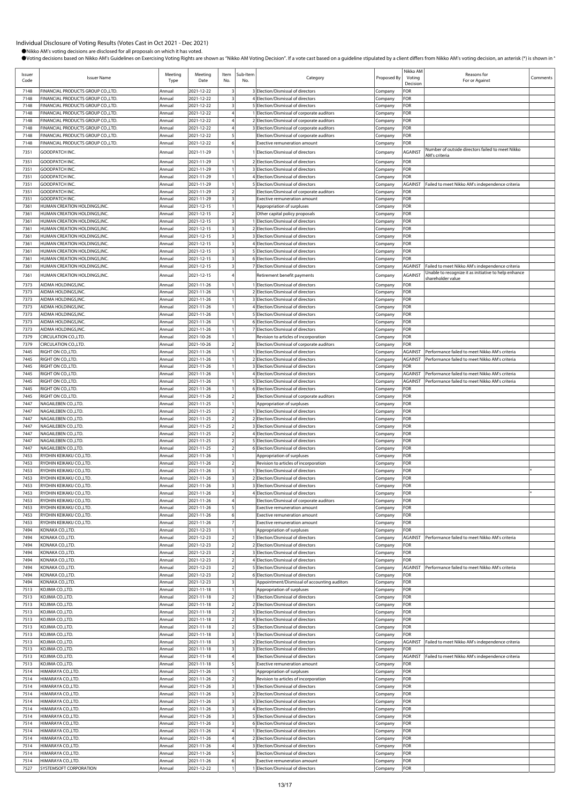| Issuer<br>Code | <b>Issuer Name</b>                                                       | Meeting<br>Type  | Meeting<br>Date          | Item<br>No.                               | Sub-Item<br>No. | Category                                                                                 | Proposed By        | Nikko AM<br>Voting<br>Decision   | Reasons for<br>For or Against                                                                           | Comments |
|----------------|--------------------------------------------------------------------------|------------------|--------------------------|-------------------------------------------|-----------------|------------------------------------------------------------------------------------------|--------------------|----------------------------------|---------------------------------------------------------------------------------------------------------|----------|
| 7148           | FINANCIAL PRODUCTS GROUP CO., LTD.                                       | Annual           | 2021-12-22               | 3                                         |                 | 3 Election/Dismissal of directors                                                        | Company            | FOR                              |                                                                                                         |          |
| 7148           | FINANCIAL PRODUCTS GROUP CO., LTD.                                       | Annual           | 2021-12-22               | $\overline{\mathbf{3}}$                   |                 | 4 Election/Dismissal of directors                                                        | Company            | FOR                              |                                                                                                         |          |
| 7148           | FINANCIAL PRODUCTS GROUP CO.,LTD.                                        | Annual           | 2021-12-22               | $\overline{\mathbf{3}}$                   |                 | 5 Election/Dismissal of directors                                                        | Company            | FOR                              |                                                                                                         |          |
| 7148           | FINANCIAL PRODUCTS GROUP CO., LTD.                                       | Annual           | 2021-12-22               | $\overline{4}$                            |                 | 1 Election/Dismissal of corporate auditors                                               | Company            | FOR                              |                                                                                                         |          |
| 7148<br>7148   | FINANCIAL PRODUCTS GROUP CO., LTD.<br>FINANCIAL PRODUCTS GROUP CO., LTD. | Annual<br>Annual | 2021-12-22<br>2021-12-22 |                                           |                 | 2 Election/Dismissal of corporate auditors<br>3 Election/Dismissal of corporate auditors | Company<br>Company | FOR<br>FOR                       |                                                                                                         |          |
| 7148           | FINANCIAL PRODUCTS GROUP CO.,LTD.                                        | Annual           | 2021-12-22               | 5                                         |                 | Election/Dismissal of corporate auditors                                                 | Company            | FOR                              |                                                                                                         |          |
| 7148           | FINANCIAL PRODUCTS GROUP CO.,LTD.                                        | Annual           | 2021-12-22               | 6                                         |                 | <b>Exective remuneration amount</b>                                                      | Company            | FOR                              |                                                                                                         |          |
| 7351           | GOODPATCH INC.                                                           | Annual           | 2021-11-29               |                                           |                 | Election/Dismissal of directors                                                          | Company            | <b>AGAINST</b>                   | Number of outside directors failed to meet Nikko                                                        |          |
| 7351           | GOODPATCH INC.                                                           | Annual           | 2021-11-29               |                                           |                 | 2 Election/Dismissal of directors                                                        | Company            | FOR                              | AM's criteria                                                                                           |          |
| 7351           | GOODPATCH INC.                                                           | Annual           | 2021-11-29               |                                           |                 | 3 Election/Dismissal of directors                                                        | Company            | FOR                              |                                                                                                         |          |
| 7351           | GOODPATCH INC.                                                           | Annual           | 2021-11-29               |                                           |                 | 4 Election/Dismissal of directors                                                        | Company            | FOR                              |                                                                                                         |          |
| 7351           | GOODPATCH INC.                                                           | Annual           | 2021-11-29               |                                           |                 | 5 Election/Dismissal of directors                                                        | Company            | AGAINST                          | Failed to meet Nikko AM's independence criteria                                                         |          |
| 7351           | <b>GOODPATCH INC</b>                                                     | Annual           | 2021-11-29               | $\overline{2}$                            |                 | Election/Dismissal of corporate auditors                                                 | Company            | FOR                              |                                                                                                         |          |
| 7351           | GOODPATCH INC.                                                           | Annual           | 2021-11-29               | $\overline{\mathbf{3}}$                   |                 | <b>Exective remuneration amount</b>                                                      | Company            | FOR                              |                                                                                                         |          |
| 7361<br>7361   | HUMAN CREATION HOLDINGS, INC.<br>HUMAN CREATION HOLDINGS, INC.           | Annual<br>Annual | 2021-12-15<br>2021-12-15 | $\mathcal{P}$                             |                 | Appropriation of surpluses<br>Other capital policy proposals                             | Company<br>Company | FOR<br>FOR                       |                                                                                                         |          |
| 7361           | HUMAN CREATION HOLDINGS, INC.                                            | Annual           | 2021-12-15               | $\overline{\mathbf{3}}$                   |                 | 1 Election/Dismissal of directors                                                        | Company            | FOR                              |                                                                                                         |          |
| 7361           | HUMAN CREATION HOLDINGS, INC.                                            | Annual           | 2021-12-15               | $\overline{\mathbf{3}}$                   |                 | 2 Election/Dismissal of directors                                                        | Company            | FOR                              |                                                                                                         |          |
| 7361           | HUMAN CREATION HOLDINGS, INC.                                            | Annual           | 2021-12-15               | $\overline{\mathbf{3}}$                   |                 | 3 Election/Dismissal of directors                                                        | Company            | FOR                              |                                                                                                         |          |
| 7361           | HUMAN CREATION HOLDINGS, INC.                                            | Annual           | 2021-12-15               | $\overline{\mathbf{3}}$                   |                 | 4 Election/Dismissal of directors                                                        | Company            | FOR                              |                                                                                                         |          |
| 7361           | HUMAN CREATION HOLDINGS, INC.                                            | Annual           | 2021-12-15               | 3                                         |                 | 5 Election/Dismissal of directors                                                        | Company            | FOR                              |                                                                                                         |          |
| 7361<br>7361   | HUMAN CREATION HOLDINGS, INC.                                            | Annual<br>Annual | 2021-12-15               | 3                                         |                 | 6 Election/Dismissal of directors                                                        | Company            | FOR                              |                                                                                                         |          |
|                | HUMAN CREATION HOLDINGS, INC.                                            |                  | 2021-12-15               |                                           |                 | 7 Election/Dismissal of directors                                                        | Company            | AGAINST                          | Failed to meet Nikko AM's independence criteria<br>Unable to recognize it as initiative to help enhance |          |
| 7361           | HUMAN CREATION HOLDINGS, INC.                                            | Annual           | 2021-12-15               |                                           |                 | Retirement benefit payments                                                              | Company            | <b>AGAINST</b>                   | shareholder value                                                                                       |          |
| 7373           | AIDMA HOLDINGS.INC.                                                      | Annual           | 2021-11-26               |                                           |                 | 1 Election/Dismissal of directors                                                        | Company            | FOR                              |                                                                                                         |          |
| 7373<br>7373   | AIDMA HOLDINGS, INC.<br>AIDMA HOLDINGS, INC.                             | Annual<br>Annual | 2021-11-26<br>2021-11-26 |                                           |                 | 2 Election/Dismissal of directors<br>3 Election/Dismissal of directors                   | Company            | FOR<br>FOR                       |                                                                                                         |          |
| 7373           | AIDMA HOLDINGS, INC.                                                     | Annual           | 2021-11-26               |                                           |                 | 4 Election/Dismissal of directors                                                        | Company<br>Company | FOR                              |                                                                                                         |          |
| 7373           | AIDMA HOLDINGS, INC.                                                     | Annual           | 2021-11-26               |                                           |                 | 5 Election/Dismissal of directors                                                        | Company            | FOR                              |                                                                                                         |          |
| 7373           | AIDMA HOLDINGS, INC.                                                     | Annual           | 2021-11-26               |                                           |                 | 6 Election/Dismissal of directors                                                        | Company            | FOR                              |                                                                                                         |          |
| 7373           | AIDMA HOLDINGS, INC.                                                     | Annual           | 2021-11-26               |                                           |                 | 7 Election/Dismissal of directors                                                        | Company            | FOR                              |                                                                                                         |          |
| 7379           | CIRCULATION CO., LTD.                                                    | Annual           | 2021-10-26               | 1                                         |                 | Revision to articles of incorporation                                                    | Company            | FOR                              |                                                                                                         |          |
| 7379           | CIRCULATION CO., LTD.                                                    | Annual           | 2021-10-26               | $\overline{2}$                            |                 | Election/Dismissal of corporate auditors                                                 | Company            | FOR                              |                                                                                                         |          |
| 7445<br>7445   | RIGHT ON CO., LTD.<br>RIGHT ON CO., LTD.                                 | Annual<br>Annual | 2021-11-26<br>2021-11-26 |                                           |                 | 1 Election/Dismissal of directors<br>2 Election/Dismissal of directors                   | Company<br>Company | <b>AGAINST</b><br><b>AGAINST</b> | Performance failed to meet Nikko AM's criteria<br>Performance failed to meet Nikko AM's criteria        |          |
| 7445           | RIGHT ON CO., LTD.                                                       | Annual           | 2021-11-26               |                                           |                 | 3 Election/Dismissal of directors                                                        | Company            | FOR                              |                                                                                                         |          |
| 7445           | RIGHT ON CO., LTD.                                                       | Annual           | 2021-11-26               |                                           |                 | 4 Election/Dismissal of directors                                                        | Company            | <b>AGAINST</b>                   | Performance failed to meet Nikko AM's criteria                                                          |          |
| 7445           | RIGHT ON CO., LTD.                                                       | Annual           | 2021-11-26               |                                           |                 | 5 Election/Dismissal of directors                                                        | Company            | <b>AGAINST</b>                   | Performance failed to meet Nikko AM's criteria                                                          |          |
| 7445           | RIGHT ON CO., LTD                                                        | Annual           | 2021-11-26               |                                           |                 | 6 Election/Dismissal of directors                                                        | Company            | FOR                              |                                                                                                         |          |
| 7445           | RIGHT ON CO., LTD                                                        | Annual           | 2021-11-26               | $\overline{2}$                            |                 | Election/Dismissal of corporate auditors                                                 | Company            | FOR                              |                                                                                                         |          |
| 7447           | NAGAILEBEN CO.,LTD.                                                      | Annual           | 2021-11-25               |                                           |                 | Appropriation of surpluses                                                               | Company            | FOR                              |                                                                                                         |          |
| 7447<br>7447   | NAGAILEBEN CO.,LTD<br>NAGAILEBEN CO., LTD.                               | Annual<br>Annual | 2021-11-25<br>2021-11-25 | $\overline{2}$                            |                 | 1 Election/Dismissal of directors<br>2 Election/Dismissal of directors                   | Company            | FOR<br>FOR                       |                                                                                                         |          |
| 7447           | NAGAILEBEN CO., LTD.                                                     | Annual           | 2021-11-25               |                                           |                 | 3 Election/Dismissal of directors                                                        | Company<br>Company | FOR                              |                                                                                                         |          |
| 7447           | NAGAILEBEN CO.,LTD                                                       | Annual           | 2021-11-25               | $\overline{2}$                            |                 | 4 Election/Dismissal of directors                                                        | Company            | FOR                              |                                                                                                         |          |
| 7447           | NAGAILEBEN CO., LTD.                                                     | Annual           | 2021-11-25               | $\overline{2}$                            |                 | 5 Election/Dismissal of directors                                                        | Company            | FOR                              |                                                                                                         |          |
| 7447           | NAGAILEBEN CO.,LTD.                                                      | Annual           | 2021-11-25               |                                           |                 | 6 Election/Dismissal of directors                                                        | Company            | FOR                              |                                                                                                         |          |
| 7453           | RYOHIN KEIKAKU CO., LTD.                                                 | Annual           | 2021-11-26               |                                           |                 | Appropriation of surpluses                                                               | Company            | FOR                              |                                                                                                         |          |
| 7453<br>7453   | RYOHIN KEIKAKU CO.,LTD.<br>RYOHIN KEIKAKU CO.,LTD.                       | Annual<br>Annual | 2021-11-26<br>2021-11-26 | $\overline{2}$<br>$\overline{\mathbf{3}}$ |                 | Revision to articles of incorporation<br>1 Election/Dismissal of directors               | Company<br>Company | FOR<br>FOR                       |                                                                                                         |          |
| 7453           | RYOHIN KEIKAKU CO.,LTD.                                                  | Annual           | 2021-11-26               | $\overline{\mathbf{3}}$                   |                 | 2 Election/Dismissal of directors                                                        | Company            | FOR                              |                                                                                                         |          |
| 7453           | RYOHIN KEIKAKU CO.,LTD.                                                  | Annual           | 2021-11-26               | $\overline{\mathbf{3}}$                   |                 | 3 Election/Dismissal of directors                                                        | Company            | FOR                              |                                                                                                         |          |
| 7453           | RYOHIN KEIKAKU CO., LTD.                                                 | Annual           | 2021-11-26               | $\overline{\mathbf{3}}$                   |                 | 4 Election/Dismissal of directors                                                        | Company            | FOR                              |                                                                                                         |          |
| 7453           | RYOHIN KEIKAKU CO.,LTD.                                                  | Annual           | 2021-11-26               |                                           |                 | Election/Dismissal of corporate auditors                                                 | Company            | FOR                              |                                                                                                         |          |
| 7453           | RYOHIN KEIKAKU CO.,LTD.                                                  | Annual           | 2021-11-26               | 5                                         |                 | Exective remuneration amount                                                             | Company            | FOR                              |                                                                                                         |          |
| 7453<br>7453   | RYOHIN KEIKAKU CO.,LTD.<br>RYOHIN KEIKAKU CO., LTD.                      | Annual<br>Annual | 2021-11-26<br>2021-11-26 | 6                                         |                 | <b>Exective remuneration amount</b>                                                      | Company            | FOR<br>FOR                       |                                                                                                         |          |
| 7494           | KONAKA CO.,LTD.                                                          | Annual           | 2021-12-23               |                                           |                 | <b>Exective remuneration amount</b><br>Appropriation of surpluses                        | Company<br>Company | FOR                              |                                                                                                         |          |
| 7494           | KONAKA CO.,LTD.                                                          | Annual           | 2021-12-23               | $\overline{2}$                            |                 | 1 Election/Dismissal of directors                                                        | Company            | <b>AGAINST</b>                   | Performance failed to meet Nikko AM's criteria                                                          |          |
| 7494           | KONAKA CO.,LTD.                                                          | Annual           | 2021-12-23               | $\overline{2}$                            |                 | 2 Election/Dismissal of directors                                                        | Company            | FOR                              |                                                                                                         |          |
| 7494           | KONAKA CO.,LTD.                                                          | Annual           | 2021-12-23               | $\overline{2}$                            |                 | 3 Election/Dismissal of directors                                                        | Company            | FOR                              |                                                                                                         |          |
| 7494           | KONAKA CO.,LTD.                                                          | Annual           | 2021-12-23               | $\overline{2}$                            |                 | 4 Election/Dismissal of directors                                                        | Company            | FOR                              |                                                                                                         |          |
| 7494           | KONAKA CO.,LTD.                                                          | Annual           | 2021-12-23               | $\overline{2}$                            |                 | 5 Election/Dismissal of directors                                                        | Company            | <b>AGAINST</b>                   | Performance failed to meet Nikko AM's criteria                                                          |          |
| 7494<br>7494   | KONAKA CO.,LTD.<br>KONAKA CO.,LTD.                                       | Annual<br>Annual | 2021-12-23<br>2021-12-23 | $\overline{\mathbf{3}}$                   |                 | 6 Election/Dismissal of directors<br>Appointment/Dismissal of accounting auditors        | Company<br>Company | FOR<br>FOR                       |                                                                                                         |          |
| 7513           | KOJIMA CO.,LTD.                                                          | Annual           | 2021-11-18               |                                           |                 | Appropriation of surpluses                                                               | Company            | FOR                              |                                                                                                         |          |
| 7513           | KOJIMA CO.,LTD.                                                          | Annual           | 2021-11-18               | $\mathcal{I}$                             |                 | 1 Election/Dismissal of directors                                                        | Company            | FOR                              |                                                                                                         |          |
| 7513           | KOJIMA CO.,LTD.                                                          | Annual           | 2021-11-18               | $\overline{2}$                            |                 | 2 Election/Dismissal of directors                                                        | Company            | FOR                              |                                                                                                         |          |
| 7513           | KOJIMA CO.,LTD.                                                          | Annual           | 2021-11-18               | $\overline{2}$                            |                 | 3 Election/Dismissal of directors                                                        | Company            | FOR                              |                                                                                                         |          |
| 7513           | KOJIMA CO.,LTD.                                                          | Annual           | 2021-11-18               | $\overline{2}$                            |                 | 4 Election/Dismissal of directors                                                        | Company            | FOR                              |                                                                                                         |          |
| 7513           | KOJIMA CO.,LTD.                                                          | Annual           | 2021-11-18               | $\overline{2}$<br>$\overline{\mathbf{3}}$ |                 | 5 Election/Dismissal of directors                                                        | Company            | FOR<br>FOR                       |                                                                                                         |          |
| 7513<br>7513   | KOJIMA CO.,LTD.<br>KOJIMA CO.,LTD.                                       | Annual<br>Annual | 2021-11-18<br>2021-11-18 | $\overline{\mathbf{3}}$                   |                 | 1 Election/Dismissal of directors<br>2 Election/Dismissal of directors                   | Company<br>Company | AGAINST                          | Failed to meet Nikko AM's independence criteria                                                         |          |
| 7513           | KOJIMA CO.,LTD.                                                          | Annual           | 2021-11-18               | $\overline{\mathbf{3}}$                   |                 | 3 Election/Dismissal of directors                                                        | Company            | FOR                              |                                                                                                         |          |
| 7513           | KOJIMA CO.,LTD.                                                          | Annual           | 2021-11-18               | $\overline{4}$                            |                 | Election/Dismissal of directors                                                          | Company            | <b>AGAINST</b>                   | Failed to meet Nikko AM's independence criteria                                                         |          |
| 7513           | KOJIMA CO.,LTD.                                                          | Annual           | 2021-11-18               | 5                                         |                 | Exective remuneration amount                                                             | Company            | FOR                              |                                                                                                         |          |
| 7514           | HIMARAYA CO.,LTD.                                                        | Annual           | 2021-11-26               |                                           |                 | Appropriation of surpluses                                                               | Company            | FOR                              |                                                                                                         |          |
| 7514           | HIMARAYA CO.,LTD.                                                        | Annual           | 2021-11-26               | $\overline{2}$                            |                 | Revision to articles of incorporation                                                    | Company            | FOR                              |                                                                                                         |          |
| 7514<br>7514   | HIMARAYA CO.,LTD.<br>HIMARAYA CO.,LTD.                                   | Annual<br>Annual | 2021-11-26<br>2021-11-26 | $\overline{\mathbf{3}}$                   |                 | Election/Dismissal of directors<br>2 Election/Dismissal of directors                     | Company<br>Company | FOR<br>FOR                       |                                                                                                         |          |
| 7514           | HIMARAYA CO., LTD.                                                       | Annual           | 2021-11-26               | $\overline{\mathbf{3}}$                   |                 | 3 Election/Dismissal of directors                                                        | Company            | FOR                              |                                                                                                         |          |
| 7514           | HIMARAYA CO.,LTD.                                                        | Annual           | 2021-11-26               | 3                                         |                 | 4 Election/Dismissal of directors                                                        | Company            | FOR                              |                                                                                                         |          |
| 7514           | HIMARAYA CO.,LTD.                                                        | Annual           | 2021-11-26               | $\overline{\mathbf{3}}$                   |                 | 5 Election/Dismissal of directors                                                        | Company            | FOR                              |                                                                                                         |          |
| 7514           | HIMARAYA CO.,LTD.                                                        | Annual           | 2021-11-26               |                                           |                 | 6 Election/Dismissal of directors                                                        | Company            | FOR                              |                                                                                                         |          |
| 7514           | HIMARAYA CO.,LTD.                                                        | Annual           | 2021-11-26               | $\overline{4}$                            |                 | 1 Election/Dismissal of directors                                                        | Company            | FOR                              |                                                                                                         |          |
| 7514<br>7514   | HIMARAYA CO.,LTD.<br>HIMARAYA CO.,LTD.                                   | Annual<br>Annual | 2021-11-26<br>2021-11-26 | 4                                         |                 | 2 Election/Dismissal of directors<br>3 Election/Dismissal of directors                   | Company            | FOR<br>FOR                       |                                                                                                         |          |
| 7514           | HIMARAYA CO.,LTD.                                                        | Annual           | 2021-11-26               | 5                                         |                 | Election/Dismissal of directors                                                          | Company<br>Company | FOR                              |                                                                                                         |          |
| 7514           | HIMARAYA CO.,LTD.                                                        | Annual           | 2021-11-26               | 6                                         |                 | <b>Exective remuneration amount</b>                                                      | Company            | FOR                              |                                                                                                         |          |
| 7527           | SYSTEMSOFT CORPORATION                                                   | Annual           | 2021-12-22               | $\overline{1}$                            |                 | 1 Election/Dismissal of directors                                                        | Company            | FOR                              |                                                                                                         |          |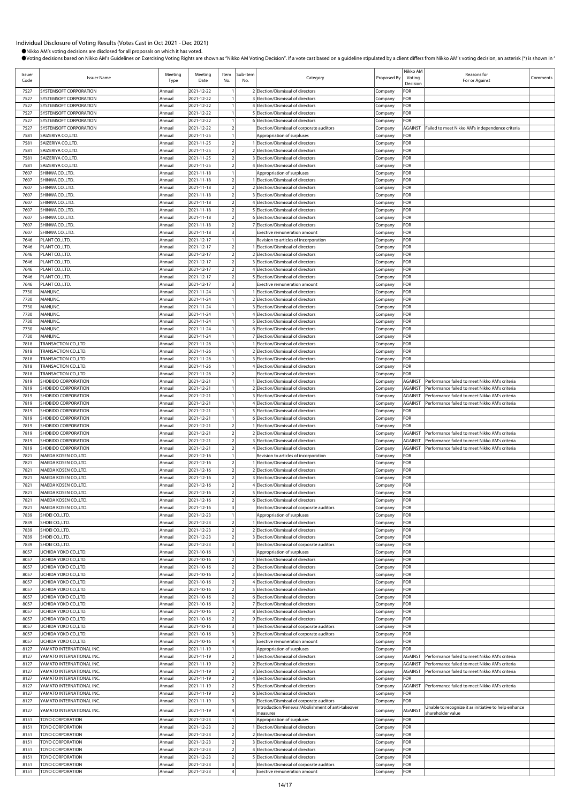| Issuer<br>Code | <b>Issuer Name</b>                                     | Meeting<br>Type  | Meeting<br>Date          | Item<br>No.             | Sub-Item<br>No. | Category                                                                 | Proposed By        | Nikko AM<br>Voting<br>Decision | Reasons for<br>For or Against                        | Comments |
|----------------|--------------------------------------------------------|------------------|--------------------------|-------------------------|-----------------|--------------------------------------------------------------------------|--------------------|--------------------------------|------------------------------------------------------|----------|
| 7527           | SYSTEMSOFT CORPORATION                                 | Annual           | 2021-12-22               |                         |                 | 2 Election/Dismissal of directors                                        | Company            | FOR                            |                                                      |          |
| 7527           | SYSTEMSOFT CORPORATION                                 | Annual           | 2021-12-22               |                         |                 | 3 Election/Dismissal of directors                                        | Company            | FOR                            |                                                      |          |
| 7527           | SYSTEMSOFT CORPORATION                                 | Annual           | 2021-12-22               |                         |                 | 4 Election/Dismissal of directors                                        | Company            | FOR                            |                                                      |          |
| 7527           | SYSTEMSOFT CORPORATION                                 | Annual           | 2021-12-22               |                         |                 | 5 Election/Dismissal of directors                                        | Company            | FOR                            |                                                      |          |
| 7527           | SYSTEMSOFT CORPORATION                                 | Annual           | 2021-12-22               |                         |                 | 6 Election/Dismissal of directors                                        | Company            | FOR                            |                                                      |          |
| 7527<br>7581   | SYSTEMSOFT CORPORATION<br>SAIZERIYA CO.,LTD.           | Annual<br>Annual | 2021-12-22<br>2021-11-25 | 2                       |                 | Election/Dismissal of corporate auditors<br>Appropriation of surpluses   | Company<br>Company | <b>AGAINST</b><br>FOR          | Failed to meet Nikko AM's independence criteria      |          |
| 7581           | SAIZERIYA CO., LTD.                                    | Annual           | 2021-11-25               | $\overline{2}$          |                 | 1 Election/Dismissal of directors                                        | Company            | FOR                            |                                                      |          |
| 7581           | SAIZERIYA CO., LTD.                                    | Annual           | 2021-11-25               | $\overline{2}$          |                 | 2 Election/Dismissal of directors                                        | Company            | FOR                            |                                                      |          |
| 7581           | SAIZERIYA CO.,LTD.                                     | Annual           | 2021-11-25               |                         |                 | 3 Election/Dismissal of directors                                        | Company            | FOR                            |                                                      |          |
| 7581           | SAIZERIYA CO., LTD.                                    | Annual           | 2021-11-25               | $\overline{2}$          |                 | 4 Election/Dismissal of directors                                        | Company            | FOR                            |                                                      |          |
| 7607           | SHINWA CO.,LTD.                                        | Annual           | 2021-11-18               |                         |                 | Appropriation of surpluses                                               | Company            | FOR                            |                                                      |          |
| 7607           | SHINWA CO.,LTD.                                        | Annual           | 2021-11-18               | 2                       |                 | 1 Election/Dismissal of directors                                        | Company            | FOR                            |                                                      |          |
| 7607           | SHINWA CO.,LTD.                                        | Annual           | 2021-11-18               | $\overline{2}$          |                 | 2 Election/Dismissal of directors                                        | Company            | FOR                            |                                                      |          |
| 7607           | SHINWA CO.,LTD.                                        | Annual           | 2021-11-18               | $\overline{2}$          |                 | 3 Election/Dismissal of directors                                        | Company            | FOR                            |                                                      |          |
| 7607           | SHINWA CO.,LTD.                                        | Annual           | 2021-11-18               | $\overline{2}$          |                 | 4 Election/Dismissal of directors                                        | Company            | FOR                            |                                                      |          |
| 7607           | SHINWA CO.,LTD.                                        | Annual           | 2021-11-18               | 2                       |                 | 5 Election/Dismissal of directors                                        | Company            | FOR                            |                                                      |          |
| 7607           | SHINWA CO.,LTD.                                        | Annual           | 2021-11-18               | 2                       |                 | 6 Election/Dismissal of directors                                        | Company            | FOR                            |                                                      |          |
| 7607           | SHINWA CO.,LTD.                                        | Annual           | 2021-11-18               | 2                       |                 | 7 Election/Dismissal of directors                                        | Company            | FOR                            |                                                      |          |
| 7607           | SHINWA CO.,LTD.                                        | Annual           | 2021-11-18               |                         |                 | <b>Exective remuneration amount</b>                                      | Company            | FOR                            |                                                      |          |
| 7646           | PLANT CO.,LTD.                                         | Annual           | 2021-12-17               |                         |                 | Revision to articles of incorporation                                    | Company            | FOR                            |                                                      |          |
| 7646           | PLANT CO., LTD.                                        | Annual           | 2021-12-17               | $\overline{2}$          |                 | 1 Election/Dismissal of directors                                        | Company            | FOR                            |                                                      |          |
| 7646           | PLANT CO.,LTD.                                         | Annual           | 2021-12-17               |                         |                 | 2 Election/Dismissal of directors                                        | Company            | FOR                            |                                                      |          |
| 7646           | PLANT CO., LTD.                                        | Annual           | 2021-12-17               | 2                       |                 | 3 Election/Dismissal of directors                                        | Company            | FOR                            |                                                      |          |
| 7646           | PLANT CO., LTD.                                        | Annual           | 2021-12-17               | $\overline{2}$          |                 | 4 Election/Dismissal of directors                                        | Company            | FOR                            |                                                      |          |
| 7646           | PLANT CO., LTD.                                        | Annual           | 2021-12-17               | $\overline{2}$          |                 | 5 Election/Dismissal of directors                                        | Company            | FOR                            |                                                      |          |
| 7646           | PLANT CO.,LTD.                                         | Annual           | 2021-12-17               | 3                       |                 | <b>Exective remuneration amount</b>                                      | Company            | FOR                            |                                                      |          |
| 7730           | MANI, INC.                                             | Annual           | 2021-11-24               |                         |                 | 1 Election/Dismissal of directors                                        | Company            | FOR                            |                                                      |          |
| 7730           | MANI, INC.<br>MANI, INC.                               | Annual           | 2021-11-24               |                         |                 | 2 Election/Dismissal of directors<br>3 Election/Dismissal of directors   | Company            | FOR<br>FOR                     |                                                      |          |
| 7730<br>7730   | MANI, INC.                                             | Annual<br>Annual | 2021-11-24<br>2021-11-24 |                         |                 | 4 Election/Dismissal of directors                                        | Company<br>Company | FOR                            |                                                      |          |
| 7730           | MANI, INC.                                             | Annual           | 2021-11-24               |                         |                 | 5 Election/Dismissal of directors                                        | Company            | FOR                            |                                                      |          |
| 7730           | MANI, INC.                                             | Annual           | 2021-11-24               |                         |                 | 6 Election/Dismissal of directors                                        | Company            | FOR                            |                                                      |          |
| 7730           | MANI, INC.                                             | Annual           | 2021-11-24               |                         |                 | 7 Election/Dismissal of directors                                        | Company            | FOR                            |                                                      |          |
| 7818           | TRANSACTION CO.,LTD.                                   | Annual           | 2021-11-26               |                         |                 | 1 Election/Dismissal of directors                                        | Company            | FOR                            |                                                      |          |
| 7818           | TRANSACTION CO., LTD.                                  | Annual           | 2021-11-26               |                         |                 | 2 Election/Dismissal of directors                                        | Company            | FOR                            |                                                      |          |
| 7818           | TRANSACTION CO.,LTD.                                   | Annual           | 2021-11-26               |                         |                 | 3 Election/Dismissal of directors                                        | Company            | FOR                            |                                                      |          |
| 7818           | TRANSACTION CO., LTD.                                  | Annual           | 2021-11-26               |                         |                 | 4 Election/Dismissal of directors                                        | Company            | FOR                            |                                                      |          |
| 7818           | TRANSACTION CO.,LTD.                                   | Annual           | 2021-11-26               | 2                       |                 | Election/Dismissal of directors                                          | Company            | FOR                            |                                                      |          |
| 7819           | SHOBIDO CORPORATION                                    | Annual           | 2021-12-21               |                         |                 | Election/Dismissal of directors                                          | Company            | <b>AGAINST</b>                 | Performance failed to meet Nikko AM's criteria       |          |
| 7819           | SHOBIDO CORPORATION                                    | Annual           | 2021-12-21               |                         |                 | 2 Election/Dismissal of directors                                        | Company            | <b>AGAINST</b>                 | Performance failed to meet Nikko AM's criteria       |          |
| 7819           | SHOBIDO CORPORATION                                    | Annual           | 2021-12-21               |                         |                 | 3 Election/Dismissal of directors                                        | Company            | <b>AGAINST</b>                 | Performance failed to meet Nikko AM's criteria       |          |
| 7819           | SHOBIDO CORPORATION                                    | Annual           | 2021-12-21               |                         |                 | 4 Election/Dismissal of directors                                        | Company            | <b>AGAINST</b>                 | Performance failed to meet Nikko AM's criteria       |          |
| 7819           | SHOBIDO CORPORATION                                    | Annual           | 2021-12-21               |                         |                 | 5 Election/Dismissal of directors                                        | Company            | FOR                            |                                                      |          |
| 7819           | SHOBIDO CORPORATION                                    | Annual           | 2021-12-21               |                         |                 | 6 Election/Dismissal of directors                                        | Company            | FOR                            |                                                      |          |
| 7819           | SHOBIDO CORPORATION                                    | Annual           | 2021-12-21               | $\overline{2}$          |                 | 1 Election/Dismissal of directors                                        | Company            | FOR                            |                                                      |          |
| 7819           | SHOBIDO CORPORATION                                    | Annual           | 2021-12-21               | $\overline{2}$          |                 | 2 Election/Dismissal of directors                                        | Company            | <b>AGAINST</b>                 | Performance failed to meet Nikko AM's criteria       |          |
| 7819           | SHOBIDO CORPORATION                                    | Annual           | 2021-12-21               | $\overline{a}$          |                 | 3 Election/Dismissal of directors                                        | Company            | <b>AGAINST</b>                 | Performance failed to meet Nikko AM's criteria       |          |
| 7819           | SHOBIDO CORPORATION                                    | Annual           | 2021-12-21               | $\overline{2}$          |                 | 4 Election/Dismissal of directors                                        | Company            | <b>AGAINST</b>                 | Performance failed to meet Nikko AM's criteria       |          |
| 7821           | MAEDA KOSEN CO., LTD.                                  | Annual           | 2021-12-16               |                         |                 | Revision to articles of incorporation                                    | Company            | FOR                            |                                                      |          |
| 7821           | MAEDA KOSEN CO.,LTD.                                   | Annual           | 2021-12-16               | $\overline{2}$          |                 | 1 Election/Dismissal of directors                                        | Company            | FOR                            |                                                      |          |
| 7821           | MAEDA KOSEN CO.,LTD.                                   | Annual           | 2021-12-16               | $\overline{2}$          |                 | 2 Election/Dismissal of directors<br>3 Election/Dismissal of directors   | Company            | FOR                            |                                                      |          |
| 7821           | MAEDA KOSEN CO.,LTD.                                   | Annual           | 2021-12-16               | 2<br>$\overline{2}$     |                 | 4 Election/Dismissal of directors                                        | Company            | FOR<br>FOR                     |                                                      |          |
| 7821<br>7821   | MAEDA KOSEN CO.,LTD.<br>MAEDA KOSEN CO.,LTD.           | Annual<br>Annual | 2021-12-16<br>2021-12-16 | $\overline{a}$          |                 | 5 Election/Dismissal of directors                                        | Company<br>Company | FOR                            |                                                      |          |
| 7821           | MAEDA KOSEN CO., LTD.                                  | Annual           | 2021-12-16               | $\overline{2}$          |                 | 6 Election/Dismissal of directors                                        | Company            | FOR                            |                                                      |          |
| 7821           | MAEDA KOSEN CO.,LTD.                                   | Annual           | 2021-12-16               | $\overline{\mathbf{3}}$ |                 | Election/Dismissal of corporate auditors                                 | Company            | FOR                            |                                                      |          |
| 7839           | SHOEI CO., LTD.                                        | Annual           | 2021-12-23               |                         |                 | Appropriation of surpluses                                               | Company            | FOR                            |                                                      |          |
| 7839           | SHOEI CO., LTD.                                        | Annual           | 2021-12-23               | $\overline{2}$          |                 | 1 Election/Dismissal of directors                                        | Company            | FOR                            |                                                      |          |
| 7839           | SHOEI CO., LTD.                                        | Annual           | 2021-12-23               | $\overline{2}$          |                 | 2 Election/Dismissal of directors                                        | Company            | FOR                            |                                                      |          |
| 7839           | SHOEI CO., LTD.                                        | Annual           | 2021-12-23               | $\overline{2}$          |                 | 3 Election/Dismissal of directors                                        | Company            | FOR                            |                                                      |          |
| 7839           | SHOEI CO., LTD.                                        | Annual           | 2021-12-23               | $\overline{\mathbf{3}}$ |                 | Election/Dismissal of corporate auditors                                 | Company            | FOR                            |                                                      |          |
| 8057           | UCHIDA YOKO CO.,LTD.                                   | Annual           | 2021-10-16               |                         |                 | Appropriation of surpluses                                               | Company            | FOR                            |                                                      |          |
| 8057           | UCHIDA YOKO CO.,LTD.                                   | Annual           | 2021-10-16               | $\overline{2}$          |                 | Election/Dismissal of directors                                          | Company            | FOR                            |                                                      |          |
| 8057           | UCHIDA YOKO CO.,LTD.                                   | Annual           | 2021-10-16               | $\overline{2}$          |                 | 2 Election/Dismissal of directors                                        | Company            | FOR                            |                                                      |          |
| 8057           | UCHIDA YOKO CO.,LTD.                                   | Annual           | 2021-10-16               | $\overline{2}$          |                 | 3 Election/Dismissal of directors                                        | Company            | FOR                            |                                                      |          |
| 8057           | UCHIDA YOKO CO.,LTD.                                   | Annual           | 2021-10-16               | $\overline{a}$          |                 | 4 Election/Dismissal of directors                                        | Company            | FOR                            |                                                      |          |
| 8057           | UCHIDA YOKO CO.,LTD.                                   | Annual           | 2021-10-16               | $\overline{a}$          |                 | 5 Election/Dismissal of directors                                        | Company            | FOR                            |                                                      |          |
| 8057           | UCHIDA YOKO CO., LTD.                                  | Annual           | 2021-10-16               | $\overline{a}$          |                 | 6 Election/Dismissal of directors                                        | Company            | FOR                            |                                                      |          |
| 8057           | UCHIDA YOKO CO.,LTD.                                   | Annual           | 2021-10-16               | $\overline{a}$          |                 | 7 Election/Dismissal of directors                                        | Company            | FOR                            |                                                      |          |
| 8057           | UCHIDA YOKO CO.,LTD.                                   | Annual           | 2021-10-16               | $\overline{2}$          |                 | 8 Election/Dismissal of directors                                        | Company            | FOR                            |                                                      |          |
| 8057           | UCHIDA YOKO CO.,LTD.                                   | Annual           | 2021-10-16               | $\overline{2}$          |                 | 9 Election/Dismissal of directors                                        | Company            | FOR                            |                                                      |          |
| 8057           | UCHIDA YOKO CO.,LTD.                                   | Annual           | 2021-10-16               | 3                       |                 | 1 Election/Dismissal of corporate auditors                               | Company            | FOR                            |                                                      |          |
| 8057           | UCHIDA YOKO CO.,LTD.                                   | Annual           | 2021-10-16               | $\overline{\mathbf{3}}$ |                 | 2 Election/Dismissal of corporate auditors                               | Company            | FOR                            |                                                      |          |
| 8057           | UCHIDA YOKO CO.,LTD.                                   | Annual           | 2021-10-16               | $\overline{4}$          |                 | Exective remuneration amount                                             | Company            | FOR                            |                                                      |          |
| 8127<br>8127   | YAMATO INTERNATIONAL INC.<br>YAMATO INTERNATIONAL INC. | Annual           | 2021-11-19<br>2021-11-19 | $\overline{2}$          |                 | Appropriation of surpluses<br>1 Election/Dismissal of directors          | Company            | FOR<br><b>AGAINST</b>          | Performance failed to meet Nikko AM's criteria       |          |
| 8127           | YAMATO INTERNATIONAL INC.                              | Annual<br>Annual | 2021-11-19               | $\overline{2}$          |                 | 2 Election/Dismissal of directors                                        | Company<br>Company | <b>AGAINST</b>                 | Performance failed to meet Nikko AM's criteria       |          |
| 8127           | YAMATO INTERNATIONAL INC.                              | Annual           | 2021-11-19               | $\overline{2}$          |                 | 3 Election/Dismissal of directors                                        | Company            | <b>AGAINST</b>                 | Performance failed to meet Nikko AM's criteria       |          |
| 8127           | YAMATO INTERNATIONAL INC.                              | Annual           | 2021-11-19               | $\overline{2}$          |                 | 4 Election/Dismissal of directors                                        | Company            | FOR                            |                                                      |          |
| 8127           | YAMATO INTERNATIONAL INC.                              | Annual           | 2021-11-19               | $\overline{2}$          |                 | 5 Election/Dismissal of directors                                        | Company            | <b>AGAINST</b>                 | Performance failed to meet Nikko AM's criteria       |          |
| 8127           | YAMATO INTERNATIONAL INC.                              | Annual           | 2021-11-19               | $\overline{2}$          |                 | 6 Election/Dismissal of directors                                        | Company            | FOR                            |                                                      |          |
| 8127           | YAMATO INTERNATIONAL INC.                              | Annual           | 2021-11-19               |                         |                 | Election/Dismissal of corporate auditors                                 | Company            | FOR                            |                                                      |          |
| 8127           | YAMATO INTERNATIONAL INC.                              | Annual           | 2021-11-19               |                         |                 | Introduction/Renewal/Abolishment of anti-takeover                        |                    | <b>AGAINST</b>                 | Unable to recognize it as initiative to help enhance |          |
|                |                                                        |                  |                          |                         |                 | measures                                                                 | Company            |                                | shareholder value                                    |          |
| 8151           | <b>TOYO CORPORATION</b>                                | Annual           | 2021-12-23               |                         |                 | Appropriation of surpluses                                               | Company            | FOR                            |                                                      |          |
| 8151           | TOYO CORPORATION                                       | Annual           | 2021-12-23               | $\overline{a}$          |                 | Election/Dismissal of directors                                          | Company            | FOR                            |                                                      |          |
| 8151           | <b>TOYO CORPORATION</b>                                | Annual           | 2021-12-23               | $\overline{2}$          |                 | 2 Election/Dismissal of directors                                        | Company            | FOR                            |                                                      |          |
| 8151           | <b>TOYO CORPORATION</b>                                | Annual           | 2021-12-23               | $\overline{2}$          |                 | 3 Election/Dismissal of directors                                        | Company            | FOR                            |                                                      |          |
| 8151           | TOYO CORPORATION                                       | Annual           | 2021-12-23               | $\overline{a}$          |                 | 4 Election/Dismissal of directors                                        | Company            | FOR                            |                                                      |          |
| 8151           | TOYO CORPORATION                                       | Annual           | 2021-12-23               | $\overline{a}$          |                 | 5 Election/Dismissal of directors                                        | Company            | FOR                            |                                                      |          |
| 8151<br>8151   | TOYO CORPORATION<br>TOYO CORPORATION                   | Annual<br>Annual | 2021-12-23<br>2021-12-23 | $\overline{4}$          |                 | Election/Dismissal of corporate auditors<br>Exective remuneration amount | Company<br>Company | FOR<br>FOR                     |                                                      |          |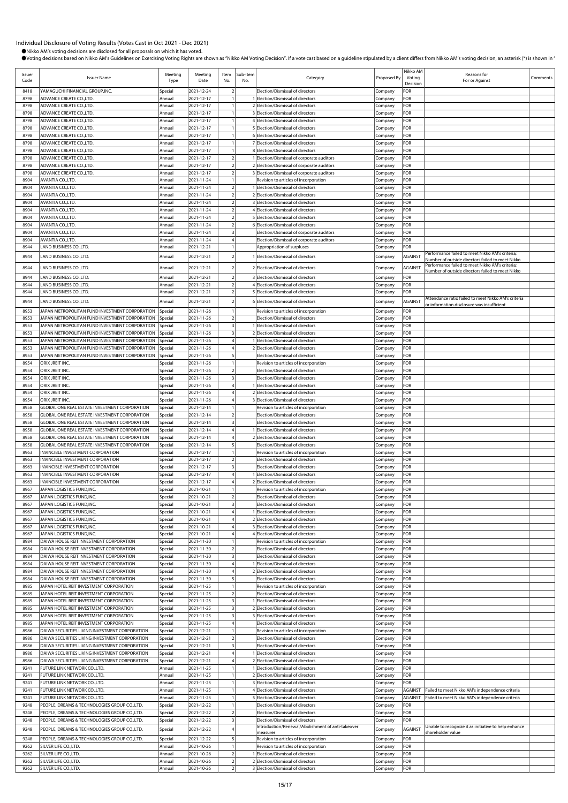| Issuer<br>Code | <b>Issuer Name</b>                                                                               | Meeting<br>Type    | Meeting<br>Date          | Item<br>No.                                        | Sub-Item<br>No. | Category                                                                       | Proposed By        | Nikko AM<br>Voting<br>Decision | Reasons for<br>For or Against                                                                       | Comments |
|----------------|--------------------------------------------------------------------------------------------------|--------------------|--------------------------|----------------------------------------------------|-----------------|--------------------------------------------------------------------------------|--------------------|--------------------------------|-----------------------------------------------------------------------------------------------------|----------|
| 8418           | YAMAGUCHI FINANCIAL GROUP,INC.                                                                   | Special            | 2021-12-24               | $\overline{2}$                                     |                 | Election/Dismissal of directors                                                | Company            | FOR                            |                                                                                                     |          |
| 8798           | ADVANCE CREATE CO., LTD.                                                                         | Annual             | 2021-12-17               | $\mathbf{1}$                                       |                 | 1 Election/Dismissal of directors                                              | Company            | FOR                            |                                                                                                     |          |
| 8798           | ADVANCE CREATE CO., LTD.                                                                         | Annual             | 2021-12-17               | $\mathbf{1}$                                       |                 | 2 Election/Dismissal of directors                                              | Company            | FOR                            |                                                                                                     |          |
| 8798           | ADVANCE CREATE CO., LTD.                                                                         | Annual             | 2021-12-17               | $\mathbf{1}$                                       |                 | 3 Election/Dismissal of directors                                              | Company            | FOR                            |                                                                                                     |          |
| 8798<br>8798   | ADVANCE CREATE CO., LTD.<br>ADVANCE CREATE CO., LTD.                                             | Annual<br>Annual   | 2021-12-17<br>2021-12-17 | $\mathbf{1}$<br>$\mathbf{1}$                       |                 | 4 Election/Dismissal of directors<br>5 Election/Dismissal of directors         | Company            | FOR<br>FOR                     |                                                                                                     |          |
| 8798           | ADVANCE CREATE CO., LTD.                                                                         | Annual             | 2021-12-17               | $\mathbf{1}$                                       |                 | 6 Election/Dismissal of directors                                              | Company<br>Company | FOR                            |                                                                                                     |          |
| 8798           | ADVANCE CREATE CO., LTD.                                                                         | Annual             | 2021-12-17               | $\mathbf{1}$                                       |                 | 7 Election/Dismissal of directors                                              | Company            | FOR                            |                                                                                                     |          |
| 8798           | ADVANCE CREATE CO., LTD.                                                                         | Annual             | 2021-12-17               | $\mathbf{1}$                                       |                 | 8 Election/Dismissal of directors                                              | Company            | FOR                            |                                                                                                     |          |
| 8798           | ADVANCE CREATE CO., LTD.                                                                         | Annual             | 2021-12-17               | $\overline{2}$                                     |                 | 1 Election/Dismissal of corporate auditors                                     | Company            | FOR                            |                                                                                                     |          |
| 8798           | ADVANCE CREATE CO.,LTD.                                                                          | Annual             | 2021-12-17               | $\overline{2}$                                     |                 | 2 Election/Dismissal of corporate auditors                                     | Company            | FOR                            |                                                                                                     |          |
| 8798           | ADVANCE CREATE CO., LTD.                                                                         | Annual             | 2021-12-17               | $\overline{2}$                                     |                 | 3 Election/Dismissal of corporate auditors                                     | Company            | FOR                            |                                                                                                     |          |
| 8904           | AVANTIA CO., LTD.                                                                                | Annual             | 2021-11-24<br>2021-11-24 | $\mathbf{1}$                                       |                 | Revision to articles of incorporation                                          | Company            | FOR                            |                                                                                                     |          |
| 8904<br>8904   | AVANTIA CO., LTD.<br>AVANTIA CO.,LTD.                                                            | Annual<br>Annual   | 2021-11-24               | $\overline{2}$<br>$\overline{2}$                   |                 | 1 Election/Dismissal of directors<br>2 Election/Dismissal of directors         | Company<br>Company | FOR<br>FOR                     |                                                                                                     |          |
| 8904           | AVANTIA CO.,LTD.                                                                                 | Annual             | 2021-11-24               | $\overline{2}$                                     |                 | 3 Election/Dismissal of directors                                              | Company            | FOR                            |                                                                                                     |          |
| 8904           | AVANTIA CO.,LTD.                                                                                 | Annual             | 2021-11-24               | $\overline{2}$                                     |                 | 4 Election/Dismissal of directors                                              | Company            | FOR                            |                                                                                                     |          |
| 8904           | AVANTIA CO., LTD.                                                                                | Annual             | 2021-11-24               | $\overline{2}$                                     |                 | 5 Election/Dismissal of directors                                              | Company            | FOR                            |                                                                                                     |          |
| 8904           | AVANTIA CO., LTD.                                                                                | Annual             | 2021-11-24               | $\overline{2}$                                     |                 | 6 Election/Dismissal of directors                                              | Company            | FOR                            |                                                                                                     |          |
| 8904           | AVANTIA CO.,LTD.                                                                                 | Annual             | 2021-11-24               | $\overline{\mathbf{3}}$                            |                 | Election/Dismissal of corporate auditors                                       | Company            | FOR                            |                                                                                                     |          |
| 8904<br>8944   | AVANTIA CO.,LTD.<br>LAND BUSINESS CO., LTD.                                                      | Annual<br>Annual   | 2021-11-24<br>2021-12-21 | $\overline{4}$<br>$\mathbf{1}$                     |                 | Election/Dismissal of corporate auditors<br>Appropriation of surpluses         | Company<br>Company | FOR<br>FOR                     |                                                                                                     |          |
|                |                                                                                                  |                    |                          |                                                    |                 |                                                                                |                    |                                | Performance failed to meet Nikko AM's criteria;                                                     |          |
| 8944           | LAND BUSINESS CO., LTD.                                                                          | Annual             | 2021-12-21               | $\overline{2}$                                     |                 | 1 Election/Dismissal of directors                                              | Company            | AGAINST                        | Number of outside directors failed to meet Nikko                                                    |          |
| 8944           | LAND BUSINESS CO., LTD.                                                                          | Annual             | 2021-12-21               | $\overline{2}$                                     |                 | 2 Election/Dismissal of directors                                              | Company            | AGAINST                        | Performance failed to meet Nikko AM's criteria;<br>Number of outside directors failed to meet Nikko |          |
| 8944           | LAND BUSINESS CO., LTD.                                                                          | Annual             | 2021-12-21               | $\overline{2}$                                     |                 | 3 Election/Dismissal of directors                                              | Company            | FOR                            |                                                                                                     |          |
| 8944           | LAND BUSINESS CO., LTD.                                                                          | Annual             | 2021-12-21               | $\overline{2}$                                     |                 | 4 Election/Dismissal of directors                                              | Company            | FOR                            |                                                                                                     |          |
| 8944           | LAND BUSINESS CO., LTD.                                                                          | Annual             | 2021-12-21               | $\overline{2}$                                     |                 | 5 Election/Dismissal of directors                                              | Company            | FOR                            | Attendance ratio failed to meet Nikko AM's criteria                                                 |          |
| 8944           | LAND BUSINESS CO., LTD.                                                                          | Annual             | 2021-12-21               | $\overline{2}$                                     |                 | 6 Election/Dismissal of directors                                              | Company            | AGAINST                        | or information disclosure was insufficient                                                          |          |
| 8953           | JAPAN METROPOLITAN FUND INVESTMENT CORPORATION                                                   | Special            | 2021-11-26               | $\mathbf{1}$                                       |                 | Revision to articles of incorporation                                          | Company            | FOR                            |                                                                                                     |          |
| 8953           | JAPAN METROPOLITAN FUND INVESTMENT CORPORATION                                                   | Special            | 2021-11-26               | $\overline{2}$                                     |                 | Election/Dismissal of directors                                                | Company            | FOR                            |                                                                                                     |          |
| 8953           | JAPAN METROPOLITAN FUND INVESTMENT CORPORATION                                                   | special            | 2021-11-26               | $\overline{\mathbf{3}}$<br>$\overline{\mathbf{3}}$ |                 | 1 Election/Dismissal of directors                                              | Company            | FOR                            |                                                                                                     |          |
| 8953<br>8953   | JAPAN METROPOLITAN FUND INVESTMENT CORPORATION<br>JAPAN METROPOLITAN FUND INVESTMENT CORPORATION | Special<br>pecia   | 2021-11-26<br>2021-11-26 | $\overline{4}$                                     |                 | 2 Election/Dismissal of directors<br>1 Election/Dismissal of directors         | Company<br>Company | FOR<br>FOR                     |                                                                                                     |          |
| 8953           | JAPAN METROPOLITAN FUND INVESTMENT CORPORATION                                                   | Special            | 2021-11-26               | $\overline{4}$                                     |                 | 2 Election/Dismissal of directors                                              | Company            | FOR                            |                                                                                                     |          |
| 8953           | JAPAN METROPOLITAN FUND INVESTMENT CORPORATION                                                   | Special            | 2021-11-26               | 5                                                  |                 | Election/Dismissal of directors                                                | Company            | FOR                            |                                                                                                     |          |
| 8954           | ORIX JREIT INC.                                                                                  | Special            | 2021-11-26               | $\overline{1}$                                     |                 | Revision to articles of incorporation                                          | Company            | FOR                            |                                                                                                     |          |
| 8954           | ORIX JREIT INC.                                                                                  | Special            | 2021-11-26               | $\overline{2}$                                     |                 | Election/Dismissal of directors                                                | Company            | FOR                            |                                                                                                     |          |
| 8954           | ORIX JREIT INC.                                                                                  | Special            | 2021-11-26               | $\overline{\mathbf{3}}$                            |                 | Election/Dismissal of directors                                                | Company            | FOR                            |                                                                                                     |          |
| 8954<br>8954   | ORIX JREIT INC.<br>ORIX JREIT INC.                                                               | Special<br>Special | 2021-11-26<br>2021-11-26 | $\overline{4}$<br>$\overline{4}$                   |                 | 1 Election/Dismissal of directors<br>2 Election/Dismissal of directors         | Company<br>Company | FOR<br>FOR                     |                                                                                                     |          |
| 8954           | ORIX JREIT INC.                                                                                  | Special            | 2021-11-26               | $\overline{4}$                                     |                 | 3 Election/Dismissal of directors                                              | Company            | FOR                            |                                                                                                     |          |
| 8958           | GLOBAL ONE REAL ESTATE INVESTMENT CORPORATION                                                    | Special            | 2021-12-14               | $\mathbf{1}$                                       |                 | Revision to articles of incorporation                                          | Company            | FOR                            |                                                                                                     |          |
| 8958           | GLOBAL ONE REAL ESTATE INVESTMENT CORPORATION                                                    | Special            | 2021-12-14               | $\overline{2}$                                     |                 | Election/Dismissal of directors                                                | Company            | FOR                            |                                                                                                     |          |
| 8958           | GLOBAL ONE REAL ESTATE INVESTMENT CORPORATION                                                    | Special            | 2021-12-14               | $\overline{\mathbf{3}}$                            |                 | Election/Dismissal of directors                                                | Company            | FOR                            |                                                                                                     |          |
| 8958           | GLOBAL ONE REAL ESTATE INVESTMENT CORPORATION                                                    | Special            | 2021-12-14               | $\overline{4}$                                     |                 | 1 Election/Dismissal of directors                                              | Company            | FOR                            |                                                                                                     |          |
| 8958<br>8958   | GLOBAL ONE REAL ESTATE INVESTMENT CORPORATION<br>GLOBAL ONE REAL ESTATE INVESTMENT CORPORATION   | Special            | 2021-12-14<br>2021-12-14 | $\overline{4}$<br>5                                |                 | 2 Election/Dismissal of directors                                              | Company            | FOR<br>FOR                     |                                                                                                     |          |
| 8963           | INVINCIBLE INVESTMENT CORPORATION                                                                | Special<br>Special | 2021-12-17               | $\mathbf{1}$                                       |                 | Election/Dismissal of directors<br>Revision to articles of incorporation       | Company<br>Company | FOR                            |                                                                                                     |          |
| 8963           | INVINCIBLE INVESTMENT CORPORATION                                                                | Special            | 2021-12-17               | $\overline{2}$                                     |                 | Election/Dismissal of directors                                                | Company            | FOR                            |                                                                                                     |          |
| 8963           | INVINCIBLE INVESTMENT CORPORATION                                                                | Special            | 2021-12-17               | $\overline{\mathbf{3}}$                            |                 | Election/Dismissal of directors                                                | Company            | FOR                            |                                                                                                     |          |
| 8963           | INVINCIBLE INVESTMENT CORPORATION                                                                | Special            | 2021-12-17               | $\overline{4}$                                     |                 | 1 Election/Dismissal of directors                                              | Company            | FOR                            |                                                                                                     |          |
| 8963           | INVINCIBLE INVESTMENT CORPORATION                                                                | Special            | 2021-12-17               | $\overline{4}$                                     |                 | 2 Election/Dismissal of directors                                              | Company            | FOR                            |                                                                                                     |          |
| 8967           | JAPAN LOGISTICS FUND.INC.                                                                        | Special            | 2021-10-21               |                                                    |                 | Revision to articles of incorporation                                          | Company            | FOR                            |                                                                                                     |          |
| 8967<br>8967   | JAPAN LOGISTICS FUND, INC.<br>JAPAN LOGISTICS FUND, INC.                                         | Special<br>Special | 2021-10-21<br>2021-10-21 | $\overline{2}$<br>$\overline{\mathbf{3}}$          |                 | Election/Dismissal of directors<br>Election/Dismissal of directors             | Company<br>Company | FOR<br>FOR                     |                                                                                                     |          |
| 8967           | JAPAN LOGISTICS FUND, INC.                                                                       | Special            | 2021-10-21               | $\overline{4}$                                     |                 | 1 Election/Dismissal of directors                                              | Company            | FOR                            |                                                                                                     |          |
| 8967           | JAPAN LOGISTICS FUND, INC.                                                                       | Special            | 2021-10-21               | $\overline{4}$                                     |                 | 2 Election/Dismissal of directors                                              | Company            | FOR                            |                                                                                                     |          |
| 8967           | JAPAN LOGISTICS FUND,INC.                                                                        | Special            | 2021-10-21               | $\overline{4}$                                     |                 | 3 Election/Dismissal of directors                                              | Company            | FOR                            |                                                                                                     |          |
| 8967           | JAPAN LOGISTICS FUND, INC.                                                                       | Special            | 2021-10-21               | $\overline{4}$                                     |                 | 4 Election/Dismissal of directors                                              | Company            | FOR                            |                                                                                                     |          |
| 8984           | DAIWA HOUSE REIT INVESTMENT CORPORATION                                                          | Special            | 2021-11-30               | $\mathbf{1}$                                       |                 | Revision to articles of incorporation                                          | Company            | FOR                            |                                                                                                     |          |
| 8984<br>8984   | DAIWA HOUSE REIT INVESTMENT CORPORATION<br>DAIWA HOUSE REIT INVESTMENT CORPORATION               | Special<br>Special | 2021-11-30<br>2021-11-30 | $\overline{\mathbf{2}}$<br>$\overline{\mathbf{3}}$ |                 | Election/Dismissal of directors<br>Election/Dismissal of directors             | Company<br>Company | FOR<br>FOR                     |                                                                                                     |          |
| 8984           | DAIWA HOUSE REIT INVESTMENT CORPORATION                                                          | Special            | 2021-11-30               | $\overline{4}$                                     |                 | 1 Election/Dismissal of directors                                              | Company            | FOR                            |                                                                                                     |          |
| 8984           | DAIWA HOUSE REIT INVESTMENT CORPORATION                                                          | Special            | 2021-11-30               | $\overline{4}$                                     |                 | 2 Election/Dismissal of directors                                              | Company            | FOR                            |                                                                                                     |          |
| 8984           | DAIWA HOUSE REIT INVESTMENT CORPORATION                                                          | Special            | 2021-11-30               | 5                                                  |                 | Election/Dismissal of directors                                                | Company            | FOR                            |                                                                                                     |          |
| 8985           | JAPAN HOTEL REIT INVESTMENT CORPORATION                                                          | Special            | 2021-11-25               | $\overline{1}$                                     |                 | Revision to articles of incorporation                                          | Company            | FOR                            |                                                                                                     |          |
| 8985           | JAPAN HOTEL REIT INVESTMENT CORPORATION                                                          | Special            | 2021-11-25               | $\overline{2}$                                     |                 | Election/Dismissal of directors                                                | Company            | FOR                            |                                                                                                     |          |
| 8985<br>8985   | JAPAN HOTEL REIT INVESTMENT CORPORATION<br>JAPAN HOTEL REIT INVESTMENT CORPORATION               | Special<br>Special | 2021-11-25<br>2021-11-25 | $\overline{\mathbf{3}}$<br>$\overline{\mathbf{3}}$ |                 | 1 Election/Dismissal of directors<br>2 Election/Dismissal of directors         | Company<br>Company | FOR<br>FOR                     |                                                                                                     |          |
| 8985           | JAPAN HOTEL REIT INVESTMENT CORPORATION                                                          | Special            | 2021-11-25               | $\overline{\mathbf{3}}$                            |                 | 3 Election/Dismissal of directors                                              | Company            | FOR                            |                                                                                                     |          |
| 8985           | JAPAN HOTEL REIT INVESTMENT CORPORATION                                                          | Special            | 2021-11-25               | $\overline{4}$                                     |                 | Election/Dismissal of directors                                                | Company            | FOR                            |                                                                                                     |          |
| 8986           | DAIWA SECURITIES LIVING INVESTMENT CORPORATION                                                   | Special            | 2021-12-21               | $\mathbf{1}$                                       |                 | Revision to articles of incorporation                                          | Company            | FOR                            |                                                                                                     |          |
| 8986           | DAIWA SECURITIES LIVING INVESTMENT CORPORATION                                                   | Special            | 2021-12-21               | $\overline{2}$                                     |                 | Election/Dismissal of directors                                                | Company            | FOR                            |                                                                                                     |          |
| 8986           | DAIWA SECURITIES LIVING INVESTMENT CORPORATION                                                   | Special            | 2021-12-21               | $\overline{\mathbf{3}}$                            |                 | Election/Dismissal of directors                                                | Company            | FOR                            |                                                                                                     |          |
| 8986<br>8986   | DAIWA SECURITIES LIVING INVESTMENT CORPORATION<br>DAIWA SECURITIES LIVING INVESTMENT CORPORATION | Special            | 2021-12-21               | $\overline{4}$<br>$\overline{4}$                   |                 | 1 Election/Dismissal of directors<br>2 Election/Dismissal of directors         | Company            | FOR<br>FOR                     |                                                                                                     |          |
| 9241           | FUTURE LINK NETWORK CO., LTD.                                                                    | Special<br>Annual  | 2021-12-21<br>2021-11-25 | $\mathbf{1}$                                       |                 | 1 Election/Dismissal of directors                                              | Company<br>Company | FOR                            |                                                                                                     |          |
| 9241           | FUTURE LINK NETWORK CO., LTD.                                                                    | Annual             | 2021-11-25               | $\mathbf{1}$                                       |                 | 2 Election/Dismissal of directors                                              | Company            | FOR                            |                                                                                                     |          |
| 9241           | FUTURE LINK NETWORK CO.,LTD.                                                                     | Annual             | 2021-11-25               | $\overline{1}$                                     |                 | 3 Election/Dismissal of directors                                              | Company            | FOR                            |                                                                                                     |          |
| 9241           | FUTURE LINK NETWORK CO., LTD.                                                                    | Annual             | 2021-11-25               | $\overline{1}$                                     |                 | 4 Election/Dismissal of directors                                              | Company            | AGAINST                        | Failed to meet Nikko AM's independence criteria                                                     |          |
| 9241           | FUTURE LINK NETWORK CO.,LTD.                                                                     | Annual             | 2021-11-25               | $\mathbf{1}$                                       |                 | 5 Election/Dismissal of directors                                              | Company            | AGAINST                        | Failed to meet Nikko AM's independence criteria                                                     |          |
| 9248           | PEOPLE, DREAMS & TECHNOLOGIES GROUP CO.,LTD.                                                     | Special            | 2021-12-22               | $\mathbf{1}$<br>$\overline{2}$                     |                 | Election/Dismissal of directors                                                | Company            | FOR<br>FOR                     |                                                                                                     |          |
| 9248<br>9248   | PEOPLE, DREAMS & TECHNOLOGIES GROUP CO.,LTD.<br>PEOPLE, DREAMS & TECHNOLOGIES GROUP CO.,LTD.     | Special<br>Special | 2021-12-22<br>2021-12-22 | $\overline{\mathbf{3}}$                            |                 | Election/Dismissal of directors<br>Election/Dismissal of directors             | Company<br>Company | FOR                            |                                                                                                     |          |
| 9248           | PEOPLE, DREAMS & TECHNOLOGIES GROUP CO.,LTD.                                                     | Special            | 2021-12-22               | $\overline{4}$                                     |                 | Introduction/Renewal/Abolishment of anti-takeover                              |                    | AGAINST                        | Unable to recognize it as initiative to help enhance                                                |          |
|                | PEOPLE, DREAMS & TECHNOLOGIES GROUP CO.,LTD.                                                     |                    |                          |                                                    |                 | measures                                                                       | Company            | FOR                            | shareholder value                                                                                   |          |
| 9248<br>9262   | SILVER LIFE CO., LTD.                                                                            | Special<br>Annual  | 2021-12-22<br>2021-10-26 | 5<br>$\mathbf{1}$                                  |                 | Revision to articles of incorporation<br>Revision to articles of incorporation | Company<br>Company | FOR                            |                                                                                                     |          |
| 9262           | SILVER LIFE CO., LTD.                                                                            | Annual             | 2021-10-26               | $\overline{2}$                                     |                 | 1 Election/Dismissal of directors                                              | Company            | FOR                            |                                                                                                     |          |
| 9262           | SILVER LIFE CO., LTD.                                                                            | Annual             | 2021-10-26               | $\sqrt{2}$                                         |                 | 2 Election/Dismissal of directors                                              | Company            | FOR                            |                                                                                                     |          |
| 9262           | SILVER LIFE CO., LTD.                                                                            | Annual             | 2021-10-26               | $\overline{2}$                                     |                 | 3 Election/Dismissal of directors                                              | Company            | FOR                            |                                                                                                     |          |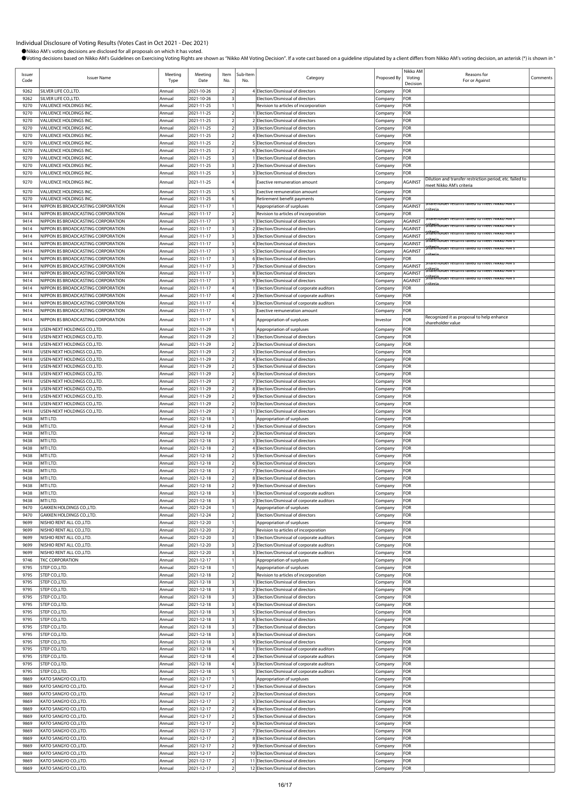| Issuer<br>Code | <b>Issuer Name</b>                                                       | Meeting<br>Type  | Meeting<br>Date          | Item<br>No.                                        | Sub-Item<br>No. | Category                                                                                 | Proposed By        | Nikko AM<br>Voting<br>Decision | Reasons for<br>For or Against                                                                               | Comments |
|----------------|--------------------------------------------------------------------------|------------------|--------------------------|----------------------------------------------------|-----------------|------------------------------------------------------------------------------------------|--------------------|--------------------------------|-------------------------------------------------------------------------------------------------------------|----------|
| 9262           | SILVER LIFE CO., LTD.                                                    | Annual           | 2021-10-26               | $\overline{2}$                                     |                 | 4 Election/Dismissal of directors                                                        | Company            | FOR                            |                                                                                                             |          |
| 9262<br>9270   | SILVER LIFE CO., LTD.<br>VALUENCE HOLDINGS INC.                          | Annual           | 2021-10-26<br>2021-11-25 | $\overline{\mathbf{3}}$<br>$\mathbf{1}$            |                 | Election/Dismissal of directors                                                          | Company            | FOR<br>FOR                     |                                                                                                             |          |
| 9270           | VALUENCE HOLDINGS INC.                                                   | Annual<br>Annual | 2021-11-25               | $\overline{2}$                                     |                 | Revision to articles of incorporation<br>1 Election/Dismissal of directors               | Company<br>Company | FOR                            |                                                                                                             |          |
| 9270           | VALUENCE HOLDINGS INC.                                                   | Annual           | 2021-11-25               | $\overline{2}$                                     |                 | 2 Election/Dismissal of directors                                                        | Company            | FOR                            |                                                                                                             |          |
| 9270           | VALUENCE HOLDINGS INC.                                                   | Annual           | 2021-11-25               | $\overline{2}$                                     |                 | 3 Election/Dismissal of directors                                                        | Company            | FOR                            |                                                                                                             |          |
| 9270           | VALUENCE HOLDINGS INC.                                                   | Annual           | 2021-11-25               | $\overline{\mathbf{2}}$<br>$\overline{2}$          |                 | 4 Election/Dismissal of directors<br>5 Election/Dismissal of directors                   | Company            | FOR<br>FOR                     |                                                                                                             |          |
| 9270<br>9270   | VALUENCE HOLDINGS INC.<br>VALUENCE HOLDINGS INC.                         | Annual<br>Annual | 2021-11-25<br>2021-11-25 | $\overline{2}$                                     |                 | 6 Election/Dismissal of directors                                                        | Company<br>Company | FOR                            |                                                                                                             |          |
| 9270           | VALUENCE HOLDINGS INC.                                                   | Annual           | 2021-11-25               | $\overline{\mathbf{3}}$                            |                 | 1 Election/Dismissal of directors                                                        | Company            | FOR                            |                                                                                                             |          |
| 9270           | VALUENCE HOLDINGS INC.                                                   | Annual           | 2021-11-25               | $\overline{\mathbf{3}}$                            |                 | 2 Election/Dismissal of directors                                                        | Company            | FOR                            |                                                                                                             |          |
| 9270           | VALUENCE HOLDINGS INC.                                                   | Annual           | 2021-11-25               | $\overline{\mathbf{3}}$                            |                 | 3 Election/Dismissal of directors                                                        | Company            | FOR                            | Dilution and transfer restriction period, etc. failed to                                                    |          |
| 9270           | VALUENCE HOLDINGS INC.                                                   | Annual           | 2021-11-25               |                                                    |                 | Exective remuneration amount                                                             | Company            | AGAINST                        | meet Nikko AM's criteria                                                                                    |          |
| 9270<br>9270   | VALUENCE HOLDINGS INC.<br>VALUENCE HOLDINGS INC.                         | Annual           | 2021-11-25<br>2021-11-25 | 5<br>6                                             |                 | Exective remuneration amount                                                             | Company            | FOR<br>FOR                     |                                                                                                             |          |
| 9414           | NIPPON BS BROADCASTING CORPORATION                                       | Annual<br>Annual | 2021-11-17               | $\mathbf{1}$                                       |                 | Retirement benefit payments<br>Appropriation of surpluses                                | Company<br>Company | AGAINST                        | inarenoider returns failed to meet inikko Aivi s                                                            |          |
| 9414           | NIPPON BS BROADCASTING CORPORATION                                       | Annual           | 2021-11-17               | $\overline{2}$                                     |                 | Revision to articles of incorporation                                                    | Company            | FOR                            |                                                                                                             |          |
| 9414           | NIPPON BS BROADCASTING CORPORATION                                       | Annual           | 2021-11-17               | $\overline{\mathbf{3}}$                            |                 | 1 Election/Dismissal of directors                                                        | Company            | AGAINST                        | hareholder returns failed to meet Nikko AM's<br><u> ក៏ដែរម៉ាំកាបាទ returns railed to meet inikko Aivi s</u> |          |
| 9414<br>9414   | NIPPON BS BROADCASTING CORPORATION<br>NIPPON BS BROADCASTING CORPORATION | Annual<br>Annual | 2021-11-17<br>2021-11-17 | $\overline{\mathbf{3}}$<br>$\overline{\mathbf{3}}$ |                 | 2 Election/Dismissal of directors<br>3 Election/Dismissal of directors                   | Company<br>Company | AGAINST<br>AGAINST             | ilafënoider returns ralled to meet ivikko Alvi                                                              |          |
| 9414           | NIPPON BS BROADCASTING CORPORATION                                       | Annual           | 2021-11-17               | $\overline{\mathbf{3}}$                            |                 | 4 Election/Dismissal of directors                                                        | Company            | AGAINST                        | Hafenoider returns failed to meet Nikko AM s                                                                |          |
| 9414           | NIPPON BS BROADCASTING CORPORATION                                       | Annual           | 2021-11-17               | $\overline{\mathbf{3}}$                            |                 | 5 Election/Dismissal of directors                                                        | Company            | AGAINST                        | ilafeñolder returns railed to meet Nikko AM s                                                               |          |
| 9414           | NIPPON BS BROADCASTING CORPORATION                                       | Annual           | 2021-11-17               | $\overline{\mathbf{3}}$                            |                 | 6 Election/Dismissal of directors                                                        | Company            | FOR                            | narenoider returns failed to meet Nikko AM !                                                                |          |
| 9414<br>9414   | NIPPON BS BROADCASTING CORPORATION<br>NIPPON BS BROADCASTING CORPORATION | Annual<br>Annual | 2021-11-17<br>2021-11-17 | $\overline{\mathbf{3}}$<br>$\overline{\mathbf{3}}$ |                 | 7 Election/Dismissal of directors<br>8 Election/Dismissal of directors                   | Company<br>Company | AGAINST<br>AGAINST             | fafenoider returns railed to meet Nikko Alv                                                                 |          |
| 9414           | NIPPON BS BROADCASTING CORPORATION                                       | Annual           | 2021-11-17               | $\overline{\mathbf{3}}$                            |                 | 9 Election/Dismissal of directors                                                        | Company            | AGAINST                        | filafénoloer returns falled to meet Nikko AM s                                                              |          |
| 9414           | NIPPON BS BROADCASTING CORPORATION                                       | Annual           | 2021-11-17               | $\overline{4}$                                     |                 | 1 Election/Dismissal of corporate auditors                                               | Company            | FOR                            |                                                                                                             |          |
| 9414           | NIPPON BS BROADCASTING CORPORATION                                       | Annual           | 2021-11-17               | $\overline{4}$                                     |                 | 2 Election/Dismissal of corporate auditors                                               | Company            | FOR                            |                                                                                                             |          |
| 9414<br>9414   | NIPPON BS BROADCASTING CORPORATION<br>NIPPON BS BROADCASTING CORPORATION | Annual<br>Annual | 2021-11-17<br>2021-11-17 | $\overline{4}$<br>5                                |                 | 3 Election/Dismissal of corporate auditors<br>Exective remuneration amount               | Company<br>Company | FOR<br>FOR                     |                                                                                                             |          |
| 9414           | NIPPON BS BROADCASTING CORPORATION                                       | Annual           | 2021-11-17               | 6                                                  |                 | Appropriation of surpluses                                                               | Investor           | FOR                            | Recognized it as proposal to help enhance                                                                   |          |
| 9418           | USEN-NEXT HOLDINGS CO., LTD.                                             | Annual           | 2021-11-29               |                                                    |                 | Appropriation of surpluses                                                               | Company            | FOR                            | shareholder value                                                                                           |          |
| 9418           | USEN-NEXT HOLDINGS CO.,LTD                                               | Annual           | 2021-11-29               | $\overline{2}$                                     |                 | 1 Election/Dismissal of directors                                                        | Company            | FOR                            |                                                                                                             |          |
| 9418           | USEN-NEXT HOLDINGS CO.,LTD.                                              | Annual           | 2021-11-29               | $\overline{2}$                                     |                 | 2 Election/Dismissal of directors                                                        | Company            | FOR                            |                                                                                                             |          |
| 9418           | USEN-NEXT HOLDINGS CO., LTD                                              | Annual           | 2021-11-29               | $\overline{2}$                                     |                 | 3 Election/Dismissal of directors                                                        | Company            | FOR                            |                                                                                                             |          |
| 9418<br>9418   | USEN-NEXT HOLDINGS CO., LTD.<br>USEN-NEXT HOLDINGS CO., LTD.             | Annual<br>Annual | 2021-11-29<br>2021-11-29 | $\overline{2}$<br>$\overline{2}$                   |                 | 4 Election/Dismissal of directors<br>5 Election/Dismissal of directors                   | Company<br>Company | FOR<br>FOR                     |                                                                                                             |          |
| 9418           | USEN-NEXT HOLDINGS CO.,LTD                                               | Annual           | 2021-11-29               | $\overline{2}$                                     |                 | 6 Election/Dismissal of directors                                                        | Company            | FOR                            |                                                                                                             |          |
| 9418           | USEN-NEXT HOLDINGS CO.,LTD.                                              | Annual           | 2021-11-29               | $\overline{2}$                                     |                 | 7 Election/Dismissal of directors                                                        | Company            | FOR                            |                                                                                                             |          |
| 9418           | USEN-NEXT HOLDINGS CO., LTD                                              | Annual           | 2021-11-29               | $\overline{\mathbf{2}}$                            |                 | 8 Election/Dismissal of directors                                                        | Company            | FOR                            |                                                                                                             |          |
| 9418<br>9418   | USEN-NEXT HOLDINGS CO., LTD.<br>USEN-NEXT HOLDINGS CO.,LTD               | Annual<br>Annual | 2021-11-29<br>2021-11-29 | $\overline{2}$<br>$\sqrt{2}$                       |                 | 9 Election/Dismissal of directors<br>10 Election/Dismissal of directors                  | Company<br>Company | FOR<br>FOR                     |                                                                                                             |          |
| 9418           | USEN-NEXT HOLDINGS CO.,LTD                                               | Annual           | 2021-11-29               | $\overline{2}$                                     |                 | 11 Election/Dismissal of directors                                                       | Company            | FOR                            |                                                                                                             |          |
| 9438           | MTI LTD.                                                                 | Annual           | 2021-12-18               | $\overline{1}$                                     |                 | Appropriation of surpluses                                                               | Company            | FOR                            |                                                                                                             |          |
| 9438           | MTI LTD.                                                                 | Annual           | 2021-12-18               | $\overline{2}$                                     |                 | 1 Election/Dismissal of directors                                                        | Company            | FOR                            |                                                                                                             |          |
| 9438<br>9438   | MTI LTD.<br>MTI LTD.                                                     | Annual<br>Annual | 2021-12-18<br>2021-12-18 | $\overline{2}$<br>$\overline{2}$                   |                 | 2 Election/Dismissal of directors<br>3 Election/Dismissal of directors                   | Company<br>Company | FOR<br>FOR                     |                                                                                                             |          |
| 9438           | MTI LTD.                                                                 | Annual           | 2021-12-18               | $\overline{2}$                                     |                 | 4 Election/Dismissal of directors                                                        | Company            | FOR                            |                                                                                                             |          |
| 9438           | MTI LTD.                                                                 | Annual           | 2021-12-18               | $\overline{2}$                                     |                 | 5 Election/Dismissal of directors                                                        | Company            | FOR                            |                                                                                                             |          |
| 9438           | MTI LTD.                                                                 | Annual           | 2021-12-18               | $\overline{2}$                                     |                 | 6 Election/Dismissal of directors                                                        | Company            | FOR                            |                                                                                                             |          |
| 9438<br>9438   | MTI LTD.<br>MTI LTD.                                                     | Annual<br>Annual | 2021-12-18<br>2021-12-18 | $\overline{2}$<br>$\overline{2}$                   |                 | 7 Election/Dismissal of directors<br>8 Election/Dismissal of directors                   | Company<br>Company | FOR<br>FOR                     |                                                                                                             |          |
| 9438           | MTI LTD.                                                                 | Annual           | 2021-12-18               | $\overline{2}$                                     |                 | 9 Election/Dismissal of directors                                                        | Company            | FOR                            |                                                                                                             |          |
| 9438           | MTI LTD.                                                                 | Annual           | 2021-12-18               | $\overline{3}$                                     |                 | 1 Election/Dismissal of corporate auditors                                               | Company            | FOR                            |                                                                                                             |          |
| 9438           | MTI LTD.                                                                 | Annual           | 2021-12-18               | $\overline{\mathbf{3}}$                            |                 | 2 Election/Dismissal of corporate auditors                                               | Company            | FOR                            |                                                                                                             |          |
| 9470<br>9470   | GAKKEN HOLDINGS CO., LTD.<br>GAKKEN HOLDINGS CO., LTD.                   | Annual<br>Annual | 2021-12-24<br>2021-12-24 | $\mathbf{1}$<br>$\overline{2}$                     |                 | Appropriation of surpluses<br>Election/Dismissal of directors                            | Company<br>Company | FOR<br>FOR                     |                                                                                                             |          |
| 9699           | NISHIO RENT ALL CO., LTD.                                                | Annual           | 2021-12-20               | $\overline{1}$                                     |                 | Appropriation of surpluses                                                               | Company            | FOR                            |                                                                                                             |          |
| 9699           | NISHIO RENT ALL CO., LTD.                                                | Annual           | 2021-12-20               | $\overline{2}$                                     |                 | Revision to articles of incorporation                                                    | Company            | FOR                            |                                                                                                             |          |
| 9699           | NISHIO RENT ALL CO., LTD.                                                | Annual           | 2021-12-20<br>2021-12-20 | $\overline{\mathbf{3}}$<br>$\overline{\mathbf{3}}$ |                 | 1 Election/Dismissal of corporate auditors                                               | Company            | FOR<br>FOR                     |                                                                                                             |          |
| 9699<br>9699   | NISHIO RENT ALL CO., LTD.<br>NISHIO RENT ALL CO., LTD.                   | Annual<br>Annual | 2021-12-20               | $\overline{\mathbf{3}}$                            |                 | 2 Election/Dismissal of corporate auditors<br>3 Election/Dismissal of corporate auditors | Company<br>Company | FOR                            |                                                                                                             |          |
| 9746           | <b>TKC CORPORATION</b>                                                   | Annual           | 2021-12-17               | $\mathbf{1}$                                       |                 | Appropriation of surpluses                                                               | Company            | FOR                            |                                                                                                             |          |
| 9795           | STEP CO.,LTD.                                                            | Annual           | 2021-12-18               | $\overline{1}$                                     |                 | Appropriation of surpluses                                                               | Company            | FOR                            |                                                                                                             |          |
| 9795<br>9795   | STEP CO., LTD.<br>STEP CO., LTD.                                         | Annual<br>Annual | 2021-12-18<br>2021-12-18 | $\overline{2}$<br>$\overline{\mathbf{3}}$          |                 | Revision to articles of incorporation<br>1 Election/Dismissal of directors               | Company<br>Company | FOR<br>FOR                     |                                                                                                             |          |
| 9795           | STEP CO.,LTD.                                                            | Annual           | 2021-12-18               | $\overline{\mathbf{3}}$                            |                 | 2 Election/Dismissal of directors                                                        | Company            | FOR                            |                                                                                                             |          |
| 9795           | STEP CO., LTD.                                                           | Annual           | 2021-12-18               | $\overline{\mathbf{3}}$                            |                 | 3 Election/Dismissal of directors                                                        | Company            | FOR                            |                                                                                                             |          |
| 9795           | STEP CO., LTD.                                                           | Annual           | 2021-12-18               | $\overline{\mathbf{3}}$                            |                 | 4 Election/Dismissal of directors                                                        | Company            | FOR                            |                                                                                                             |          |
| 9795<br>9795   | STEP CO., LTD.<br>STEP CO., LTD.                                         | Annual<br>Annual | 2021-12-18<br>2021-12-18 | $\overline{\mathbf{3}}$<br>$\overline{\mathbf{3}}$ |                 | 5 Election/Dismissal of directors<br>6 Election/Dismissal of directors                   | Company<br>Company | FOR<br>FOR                     |                                                                                                             |          |
| 9795           | STEP CO., LTD.                                                           | Annual           | 2021-12-18               | $\overline{\mathbf{3}}$                            |                 | 7 Election/Dismissal of directors                                                        | Company            | FOR                            |                                                                                                             |          |
| 9795           | STEP CO., LTD.                                                           | Annual           | 2021-12-18               | $\overline{\mathbf{3}}$                            |                 | 8 Election/Dismissal of directors                                                        | Company            | FOR                            |                                                                                                             |          |
| 9795           | STEP CO.,LTD.                                                            | Annual           | 2021-12-18               | $\overline{\mathbf{3}}$                            |                 | 9 Election/Dismissal of directors                                                        | Company            | FOR                            |                                                                                                             |          |
| 9795<br>9795   | STEP CO.,LTD.<br>STEP CO.,LTD.                                           | Annual<br>Annual | 2021-12-18<br>2021-12-18 | $\overline{4}$<br>$\overline{4}$                   |                 | 1 Election/Dismissal of corporate auditors<br>2 Election/Dismissal of corporate auditors | Company<br>Company | FOR<br>FOR                     |                                                                                                             |          |
| 9795           | STEP CO., LTD.                                                           | Annual           | 2021-12-18               | $\overline{4}$                                     |                 | 3 Election/Dismissal of corporate auditors                                               | Company            | FOR                            |                                                                                                             |          |
| 9795           | STEP CO.,LTD.                                                            | Annual           | 2021-12-18               | 5                                                  |                 | Election/Dismissal of corporate auditors                                                 | Company            | FOR                            |                                                                                                             |          |
| 9869           | KATO SANGYO CO.,LTD.                                                     | Annual           | 2021-12-17               | $\mathbf{1}$                                       |                 | Appropriation of surpluses                                                               | Company            | FOR<br>FOR                     |                                                                                                             |          |
| 9869<br>9869   | KATO SANGYO CO.,LTD.<br>KATO SANGYO CO.,LTD.                             | Annual<br>Annual | 2021-12-17<br>2021-12-17 | $\overline{2}$<br>$\overline{2}$                   |                 | 1 Election/Dismissal of directors<br>2 Election/Dismissal of directors                   | Company<br>Company | FOR                            |                                                                                                             |          |
| 9869           | KATO SANGYO CO.,LTD.                                                     | Annual           | 2021-12-17               | $\sqrt{2}$                                         |                 | 3 Election/Dismissal of directors                                                        | Company            | FOR                            |                                                                                                             |          |
| 9869           | KATO SANGYO CO.,LTD.                                                     | Annual           | 2021-12-17               | $\overline{2}$                                     |                 | 4 Election/Dismissal of directors                                                        | Company            | FOR                            |                                                                                                             |          |
| 9869           | KATO SANGYO CO.,LTD.<br>KATO SANGYO CO.,LTD.                             | Annual           | 2021-12-17<br>2021-12-17 | $\overline{2}$<br>$\overline{2}$                   |                 | 5 Election/Dismissal of directors<br>6 Election/Dismissal of directors                   | Company            | FOR<br>FOR                     |                                                                                                             |          |
| 9869<br>9869   | KATO SANGYO CO.,LTD                                                      | Annual<br>Annual | 2021-12-17               | $\overline{2}$                                     |                 | 7 Election/Dismissal of directors                                                        | Company<br>Company | FOR                            |                                                                                                             |          |
| 9869           | KATO SANGYO CO.,LTD.                                                     | Annual           | 2021-12-17               | $\overline{2}$                                     |                 | 8 Election/Dismissal of directors                                                        | Company            | FOR                            |                                                                                                             |          |
| 9869           | KATO SANGYO CO.,LTD.                                                     | Annual           | 2021-12-17               | $\overline{2}$                                     |                 | 9 Election/Dismissal of directors                                                        | Company            | FOR                            |                                                                                                             |          |
| 9869<br>9869   | KATO SANGYO CO.,LTD.<br>KATO SANGYO CO.,LTD                              | Annual<br>Annual | 2021-12-17<br>2021-12-17 | $\overline{2}$<br>$\sqrt{2}$                       |                 | 10 Election/Dismissal of directors<br>11 Election/Dismissal of directors                 | Company<br>Company | FOR<br>FOR                     |                                                                                                             |          |
| 9869           | KATO SANGYO CO.,LTD                                                      | Annual           | 2021-12-17               | $\overline{2}$                                     |                 | 12 Election/Dismissal of directors                                                       | Company            | FOR                            |                                                                                                             |          |